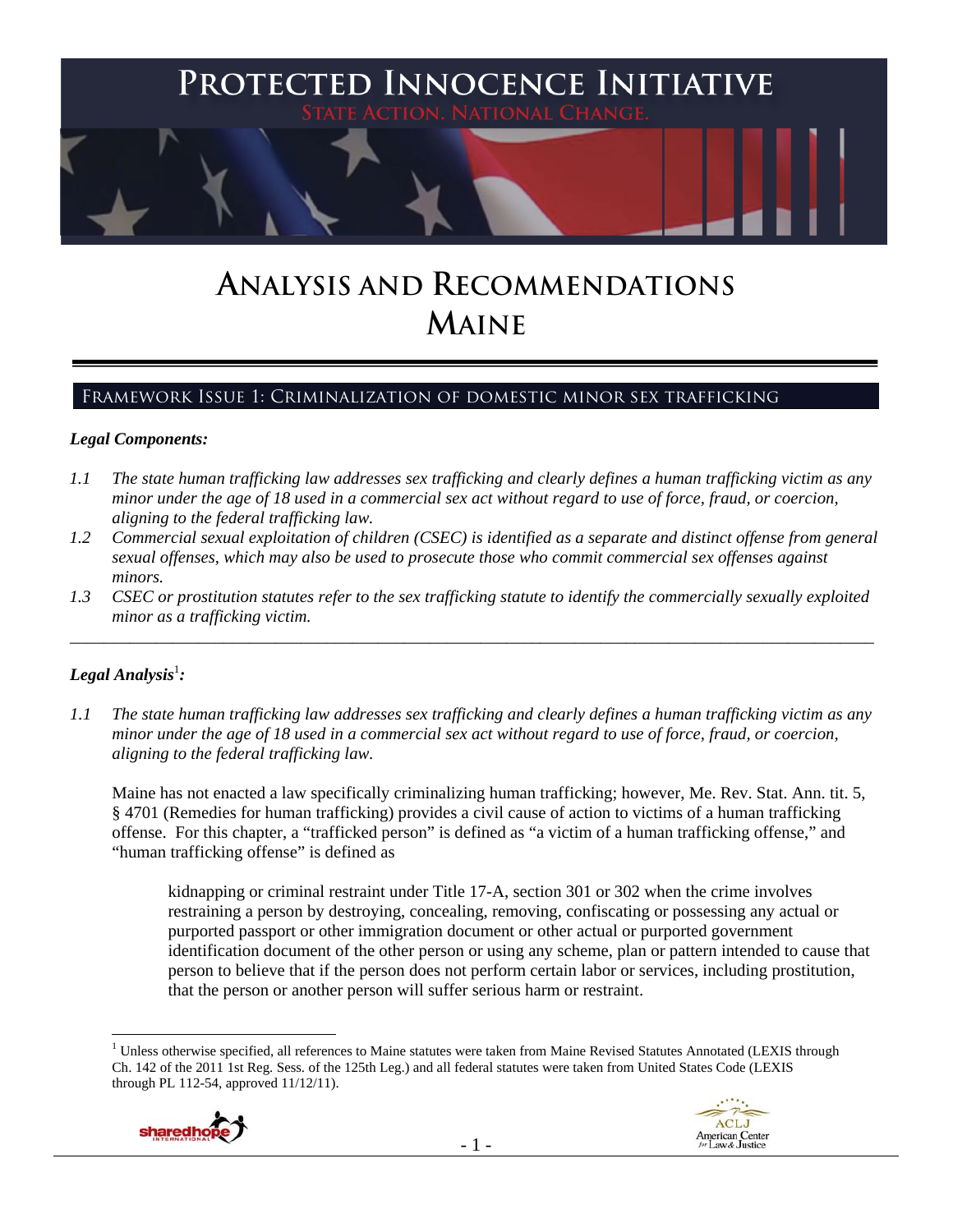

# **ANALYSIS AND RECOMMENDATIONS MAINE**

# Framework Issue 1: Criminalization of domestic minor sex trafficking

#### *Legal Components:*

- *1.1 The state human trafficking law addresses sex trafficking and clearly defines a human trafficking victim as any minor under the age of 18 used in a commercial sex act without regard to use of force, fraud, or coercion, aligning to the federal trafficking law.*
- *1.2 Commercial sexual exploitation of children (CSEC) is identified as a separate and distinct offense from general sexual offenses, which may also be used to prosecute those who commit commercial sex offenses against minors.*
- *1.3 CSEC or prostitution statutes refer to the sex trafficking statute to identify the commercially sexually exploited minor as a trafficking victim.*  \_\_\_\_\_\_\_\_\_\_\_\_\_\_\_\_\_\_\_\_\_\_\_\_\_\_\_\_\_\_\_\_\_\_\_\_\_\_\_\_\_\_\_\_\_\_\_\_\_\_\_\_\_\_\_\_\_\_\_\_\_\_\_\_\_\_\_\_\_\_\_\_\_\_\_\_\_\_\_\_\_\_\_\_\_\_\_\_\_\_\_\_\_\_

# $\bm{\mathit{Legal\, Analysis^{\text{!}}:}}$

 $\overline{a}$ 

*1.1 The state human trafficking law addresses sex trafficking and clearly defines a human trafficking victim as any minor under the age of 18 used in a commercial sex act without regard to use of force, fraud, or coercion, aligning to the federal trafficking law.*

Maine has not enacted a law specifically criminalizing human trafficking; however, Me. Rev. Stat. Ann. tit. 5, § 4701 (Remedies for human trafficking) provides a civil cause of action to victims of a human trafficking offense. For this chapter, a "trafficked person" is defined as "a victim of a human trafficking offense," and "human trafficking offense" is defined as

kidnapping or criminal restraint under Title 17-A, section 301 or 302 when the crime involves restraining a person by destroying, concealing, removing, confiscating or possessing any actual or purported passport or other immigration document or other actual or purported government identification document of the other person or using any scheme, plan or pattern intended to cause that person to believe that if the person does not perform certain labor or services, including prostitution, that the person or another person will suffer serious harm or restraint.

<sup>&</sup>lt;sup>1</sup> Unless otherwise specified, all references to Maine statutes were taken from Maine Revised Statutes Annotated (LEXIS through Ch. 142 of the 2011 1st Reg. Sess. of the 125th Leg.) and all federal statutes were taken from United States Code (LEXIS through PL 112-54, approved 11/12/11).



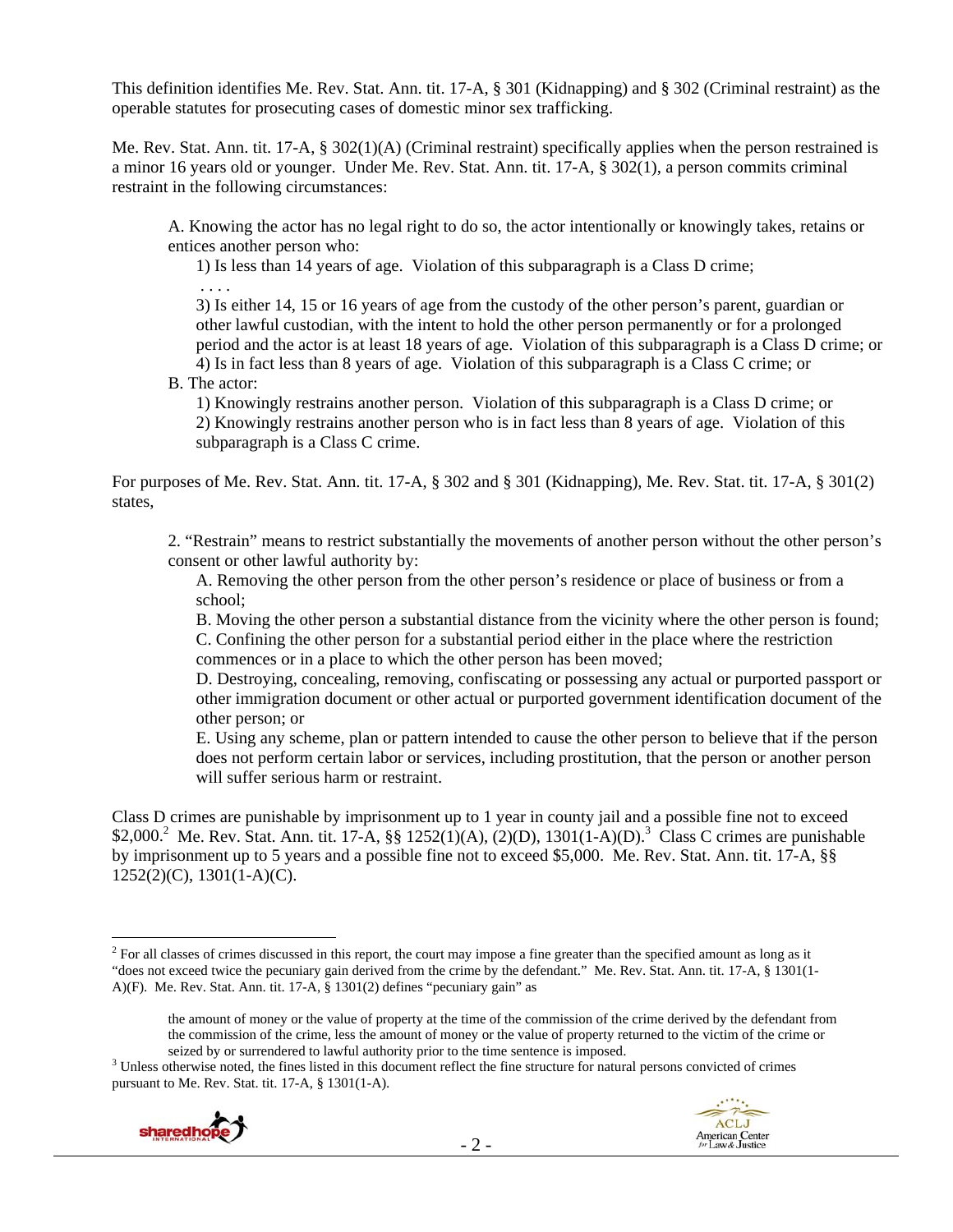This definition identifies Me. Rev. Stat. Ann. tit. 17-A, § 301 (Kidnapping) and § 302 (Criminal restraint) as the operable statutes for prosecuting cases of domestic minor sex trafficking.

Me. Rev. Stat. Ann. tit. 17-A, § 302(1)(A) (Criminal restraint) specifically applies when the person restrained is a minor 16 years old or younger. Under Me. Rev. Stat. Ann. tit. 17-A, § 302(1), a person commits criminal restraint in the following circumstances:

A. Knowing the actor has no legal right to do so, the actor intentionally or knowingly takes, retains or entices another person who:

1) Is less than 14 years of age. Violation of this subparagraph is a Class D crime; . . . .

3) Is either 14, 15 or 16 years of age from the custody of the other person's parent, guardian or other lawful custodian, with the intent to hold the other person permanently or for a prolonged period and the actor is at least 18 years of age. Violation of this subparagraph is a Class D crime; or 4) Is in fact less than 8 years of age. Violation of this subparagraph is a Class C crime; or

B. The actor:

1) Knowingly restrains another person. Violation of this subparagraph is a Class D crime; or 2) Knowingly restrains another person who is in fact less than 8 years of age. Violation of this subparagraph is a Class C crime.

For purposes of Me. Rev. Stat. Ann. tit. 17-A, § 302 and § 301 (Kidnapping), Me. Rev. Stat. tit. 17-A, § 301(2) states,

2. "Restrain" means to restrict substantially the movements of another person without the other person's consent or other lawful authority by:

A. Removing the other person from the other person's residence or place of business or from a school;

B. Moving the other person a substantial distance from the vicinity where the other person is found; C. Confining the other person for a substantial period either in the place where the restriction commences or in a place to which the other person has been moved;

D. Destroying, concealing, removing, confiscating or possessing any actual or purported passport or other immigration document or other actual or purported government identification document of the other person; or

E. Using any scheme, plan or pattern intended to cause the other person to believe that if the person does not perform certain labor or services, including prostitution, that the person or another person will suffer serious harm or restraint.

Class D crimes are punishable by imprisonment up to 1 year in county jail and a possible fine not to exceed \$2,000.<sup>2</sup> Me. Rev. Stat. Ann. tit. 17-A, §§ 1252(1)(A), (2)(D), 1301(1-A)(D).<sup>3</sup> Class C crimes are punishable by imprisonment up to 5 years and a possible fine not to exceed \$5,000. Me. Rev. Stat. Ann. tit. 17-A, §§ 1252(2)(C), 1301(1-A)(C).

<sup>&</sup>lt;sup>3</sup> Unless otherwise noted, the fines listed in this document reflect the fine structure for natural persons convicted of crimes pursuant to Me. Rev. Stat. tit. 17-A, § 1301(1-A).





 $2^2$  For all classes of crimes discussed in this report, the court may impose a fine greater than the specified amount as long as it "does not exceed twice the pecuniary gain derived from the crime by the defendant." Me. Rev. Stat. Ann. tit. 17-A, § 1301(1- A)(F). Me. Rev. Stat. Ann. tit. 17-A, § 1301(2) defines "pecuniary gain" as

the amount of money or the value of property at the time of the commission of the crime derived by the defendant from the commission of the crime, less the amount of money or the value of property returned to the victim of the crime or seized by or surrendered to lawful authority prior to the time sentence is imposed.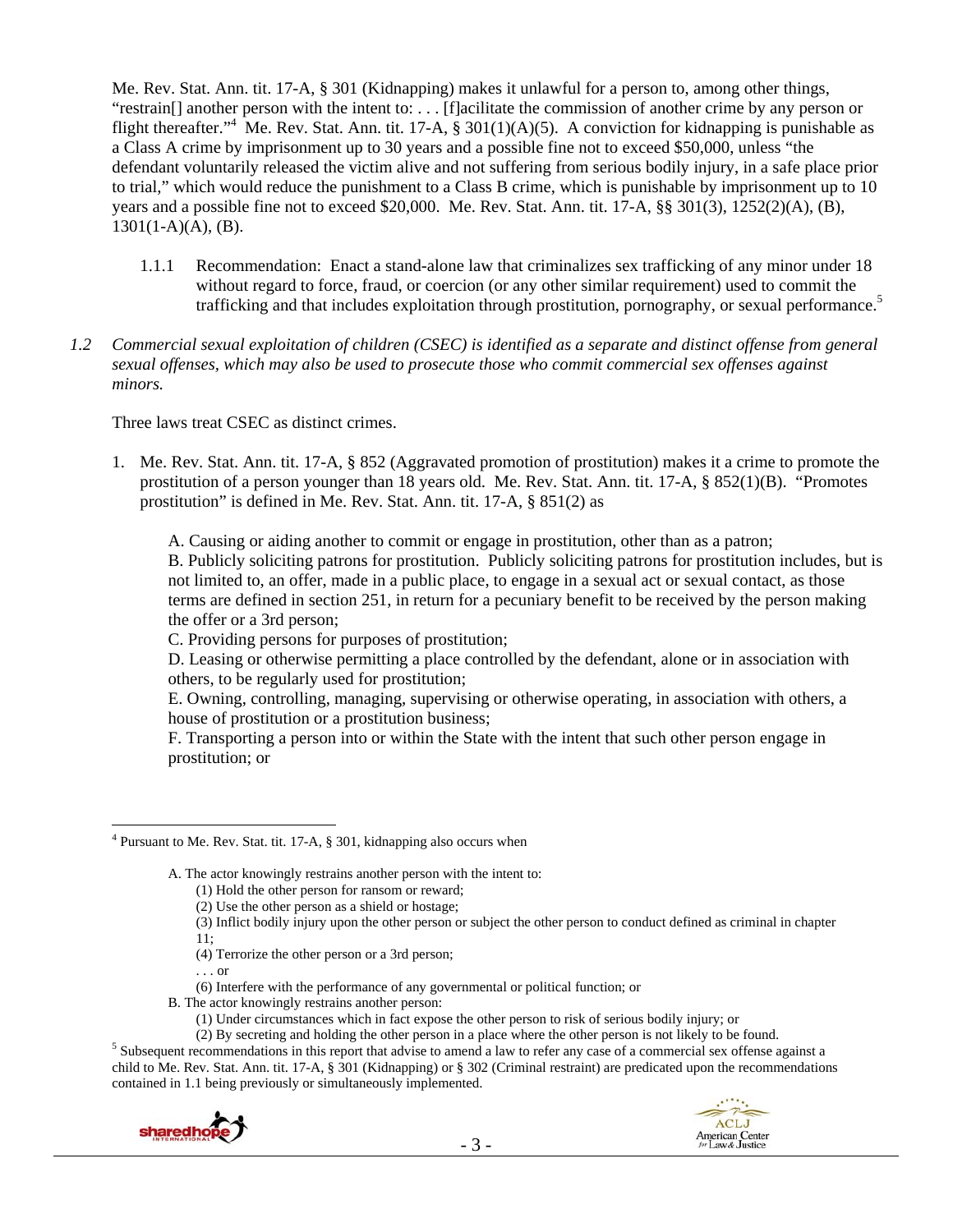Me. Rev. Stat. Ann. tit. 17-A, § 301 (Kidnapping) makes it unlawful for a person to, among other things, "restrain[] another person with the intent to: . . . [f]acilitate the commission of another crime by any person or flight thereafter."<sup>4</sup> Me. Rev. Stat. Ann. tit. 17-A, § 301(1)(A)(5). A conviction for kidnapping is punishable as a Class A crime by imprisonment up to 30 years and a possible fine not to exceed \$50,000, unless "the defendant voluntarily released the victim alive and not suffering from serious bodily injury, in a safe place prior to trial," which would reduce the punishment to a Class B crime, which is punishable by imprisonment up to 10 years and a possible fine not to exceed \$20,000. Me. Rev. Stat. Ann. tit. 17-A, §§ 301(3), 1252(2)(A), (B),  $1301(1-A)(A)$ , (B).

- 1.1.1 Recommendation: Enact a stand-alone law that criminalizes sex trafficking of any minor under 18 without regard to force, fraud, or coercion (or any other similar requirement) used to commit the trafficking and that includes exploitation through prostitution, pornography, or sexual performance.<sup>5</sup>
- *1.2 Commercial sexual exploitation of children (CSEC) is identified as a separate and distinct offense from general sexual offenses, which may also be used to prosecute those who commit commercial sex offenses against minors.*

Three laws treat CSEC as distinct crimes.

1. Me. Rev. Stat. Ann. tit. 17-A, § 852 (Aggravated promotion of prostitution) makes it a crime to promote the prostitution of a person younger than 18 years old. Me. Rev. Stat. Ann. tit. 17-A, § 852(1)(B). "Promotes prostitution" is defined in Me. Rev. Stat. Ann. tit. 17-A, § 851(2) as

A. Causing or aiding another to commit or engage in prostitution, other than as a patron;

B. Publicly soliciting patrons for prostitution. Publicly soliciting patrons for prostitution includes, but is not limited to, an offer, made in a public place, to engage in a sexual act or sexual contact, as those terms are defined in section 251, in return for a pecuniary benefit to be received by the person making the offer or a 3rd person;

C. Providing persons for purposes of prostitution;

D. Leasing or otherwise permitting a place controlled by the defendant, alone or in association with others, to be regularly used for prostitution;

E. Owning, controlling, managing, supervising or otherwise operating, in association with others, a house of prostitution or a prostitution business;

F. Transporting a person into or within the State with the intent that such other person engage in prostitution; or

- (3) Inflict bodily injury upon the other person or subject the other person to conduct defined as criminal in chapter 11;
- (4) Terrorize the other person or a 3rd person;
- . . . or
- (6) Interfere with the performance of any governmental or political function; or
- B. The actor knowingly restrains another person:
	- (1) Under circumstances which in fact expose the other person to risk of serious bodily injury; or

<sup>&</sup>lt;sup>5</sup> Subsequent recommendations in this report that advise to amend a law to refer any case of a commercial sex offense against a child to Me. Rev. Stat. Ann. tit. 17-A, § 301 (Kidnapping) or § 302 (Criminal restraint) are predicated upon the recommendations contained in 1.1 being previously or simultaneously implemented.



 $\overline{a}$ <sup>4</sup> Pursuant to Me. Rev. Stat. tit. 17-A, § 301, kidnapping also occurs when

A. The actor knowingly restrains another person with the intent to:

<sup>(1)</sup> Hold the other person for ransom or reward;

<sup>(2)</sup> Use the other person as a shield or hostage;

<sup>(2)</sup> By secreting and holding the other person in a place where the other person is not likely to be found. 5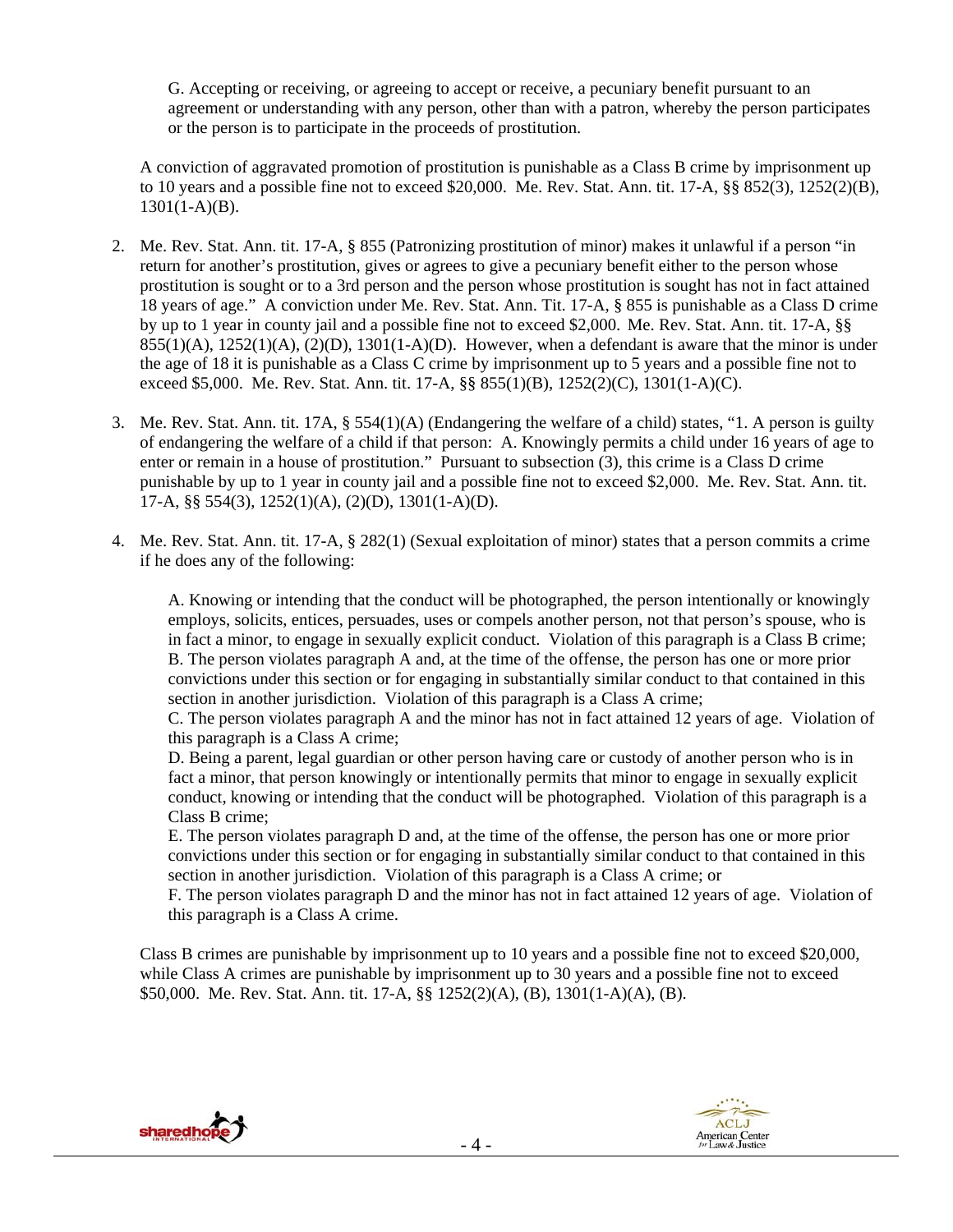G. Accepting or receiving, or agreeing to accept or receive, a pecuniary benefit pursuant to an agreement or understanding with any person, other than with a patron, whereby the person participates or the person is to participate in the proceeds of prostitution.

A conviction of aggravated promotion of prostitution is punishable as a Class B crime by imprisonment up to 10 years and a possible fine not to exceed \$20,000. Me. Rev. Stat. Ann. tit. 17-A,  $\S$ § 852(3), 1252(2)(B),  $1301(1-A)(B)$ .

- 2. Me. Rev. Stat. Ann. tit. 17-A, § 855 (Patronizing prostitution of minor) makes it unlawful if a person "in return for another's prostitution, gives or agrees to give a pecuniary benefit either to the person whose prostitution is sought or to a 3rd person and the person whose prostitution is sought has not in fact attained 18 years of age." A conviction under Me. Rev. Stat. Ann. Tit. 17-A, § 855 is punishable as a Class D crime by up to 1 year in county jail and a possible fine not to exceed \$2,000. Me. Rev. Stat. Ann. tit. 17-A, §§  $855(1)(A)$ ,  $1252(1)(A)$ ,  $(2)(D)$ ,  $1301(1-A)(D)$ . However, when a defendant is aware that the minor is under the age of 18 it is punishable as a Class C crime by imprisonment up to 5 years and a possible fine not to exceed \$5,000. Me. Rev. Stat. Ann. tit. 17-A, §§ 855(1)(B), 1252(2)(C), 1301(1-A)(C).
- 3. Me. Rev. Stat. Ann. tit. 17A, § 554(1)(A) (Endangering the welfare of a child) states, "1. A person is guilty of endangering the welfare of a child if that person: A. Knowingly permits a child under 16 years of age to enter or remain in a house of prostitution." Pursuant to subsection (3), this crime is a Class D crime punishable by up to 1 year in county jail and a possible fine not to exceed \$2,000. Me. Rev. Stat. Ann. tit. 17-A, §§ 554(3), 1252(1)(A), (2)(D), 1301(1-A)(D).
- 4. Me. Rev. Stat. Ann. tit. 17-A, § 282(1) (Sexual exploitation of minor) states that a person commits a crime if he does any of the following:

A. Knowing or intending that the conduct will be photographed, the person intentionally or knowingly employs, solicits, entices, persuades, uses or compels another person, not that person's spouse, who is in fact a minor, to engage in sexually explicit conduct. Violation of this paragraph is a Class B crime; B. The person violates paragraph A and, at the time of the offense, the person has one or more prior convictions under this section or for engaging in substantially similar conduct to that contained in this section in another jurisdiction. Violation of this paragraph is a Class A crime;

C. The person violates paragraph A and the minor has not in fact attained 12 years of age. Violation of this paragraph is a Class A crime;

D. Being a parent, legal guardian or other person having care or custody of another person who is in fact a minor, that person knowingly or intentionally permits that minor to engage in sexually explicit conduct, knowing or intending that the conduct will be photographed. Violation of this paragraph is a Class B crime;

E. The person violates paragraph D and, at the time of the offense, the person has one or more prior convictions under this section or for engaging in substantially similar conduct to that contained in this section in another jurisdiction. Violation of this paragraph is a Class A crime; or

F. The person violates paragraph D and the minor has not in fact attained 12 years of age. Violation of this paragraph is a Class A crime.

Class B crimes are punishable by imprisonment up to 10 years and a possible fine not to exceed \$20,000, while Class A crimes are punishable by imprisonment up to 30 years and a possible fine not to exceed \$50,000. Me. Rev. Stat. Ann. tit. 17-A, §§ 1252(2)(A), (B), 1301(1-A)(A), (B).



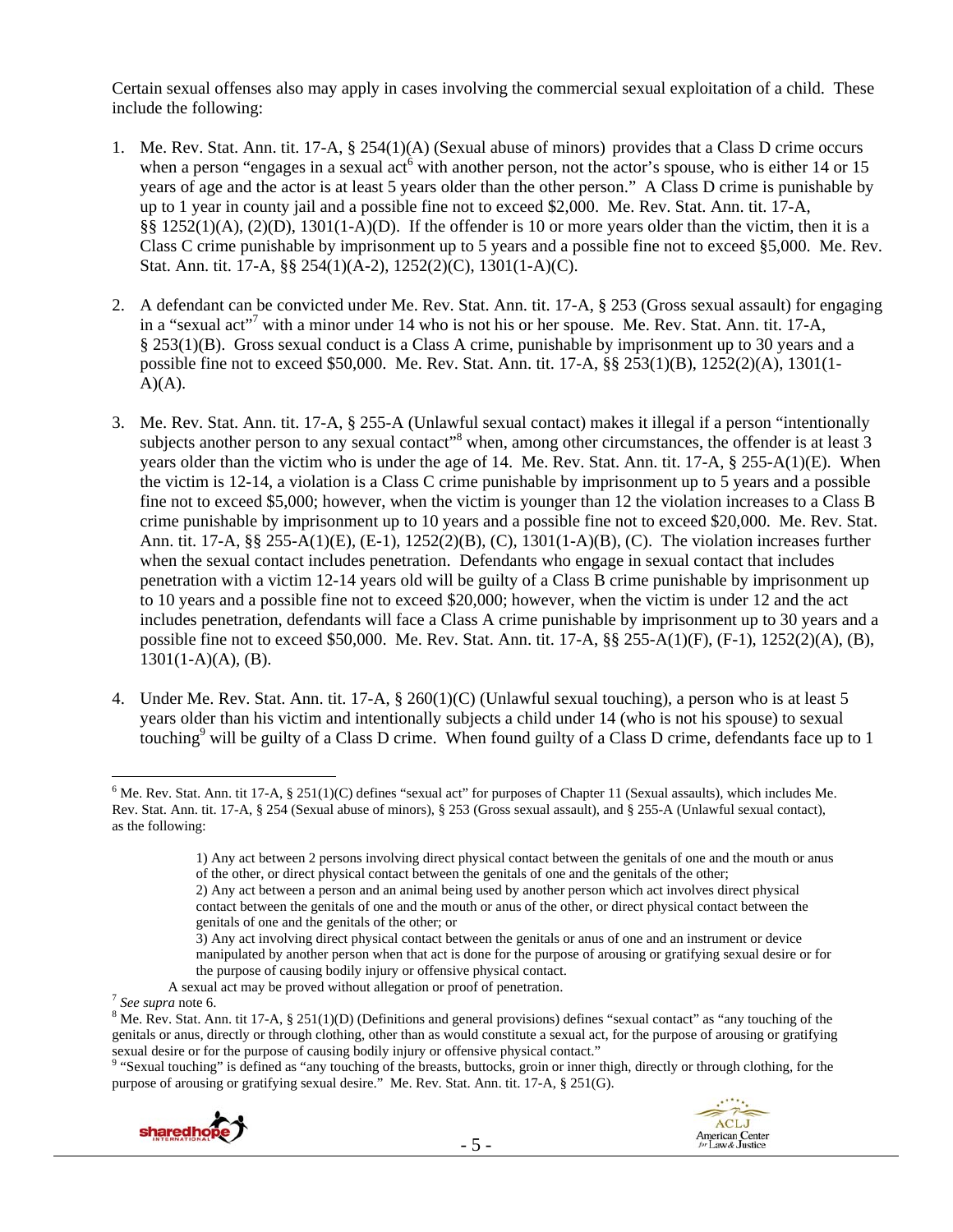Certain sexual offenses also may apply in cases involving the commercial sexual exploitation of a child. These include the following:

- 1. Me. Rev. Stat. Ann. tit. 17-A, § 254(1)(A) (Sexual abuse of minors) provides that a Class D crime occurs when a person "engages in a sexual act<sup>6</sup> with another person, not the actor's spouse, who is either 14 or 15 years of age and the actor is at least 5 years older than the other person." A Class D crime is punishable by up to 1 year in county jail and a possible fine not to exceed \$2,000. Me. Rev. Stat. Ann. tit. 17-A, §§ 1252(1)(A), (2)(D), 1301(1-A)(D). If the offender is 10 or more years older than the victim, then it is a Class C crime punishable by imprisonment up to 5 years and a possible fine not to exceed §5,000. Me. Rev. Stat. Ann. tit. 17-A, §§ 254(1)(A-2), 1252(2)(C), 1301(1-A)(C).
- 2. A defendant can be convicted under Me. Rev. Stat. Ann. tit. 17-A, § 253 (Gross sexual assault) for engaging in a "sexual act"<sup>7</sup> with a minor under 14 who is not his or her spouse. Me. Rev. Stat. Ann. tit. 17-A, § 253(1)(B). Gross sexual conduct is a Class A crime, punishable by imprisonment up to 30 years and a possible fine not to exceed \$50,000. Me. Rev. Stat. Ann. tit. 17-A, §§ 253(1)(B), 1252(2)(A), 1301(1-  $A)(A)$ .
- 3. Me. Rev. Stat. Ann. tit. 17-A, § 255-A (Unlawful sexual contact) makes it illegal if a person "intentionally subjects another person to any sexual contact<sup>38</sup> when, among other circumstances, the offender is at least 3 years older than the victim who is under the age of 14. Me. Rev. Stat. Ann. tit. 17-A, § 255-A(1)(E). When the victim is 12-14, a violation is a Class C crime punishable by imprisonment up to 5 years and a possible fine not to exceed \$5,000; however, when the victim is younger than 12 the violation increases to a Class B crime punishable by imprisonment up to 10 years and a possible fine not to exceed \$20,000. Me. Rev. Stat. Ann. tit. 17-A, §§ 255-A(1)(E), (E-1), 1252(2)(B), (C), 1301(1-A)(B), (C). The violation increases further when the sexual contact includes penetration. Defendants who engage in sexual contact that includes penetration with a victim 12-14 years old will be guilty of a Class B crime punishable by imprisonment up to 10 years and a possible fine not to exceed \$20,000; however, when the victim is under 12 and the act includes penetration, defendants will face a Class A crime punishable by imprisonment up to 30 years and a possible fine not to exceed \$50,000. Me. Rev. Stat. Ann. tit. 17-A, §§ 255-A(1)(F), (F-1), 1252(2)(A), (B),  $1301(1-A)(A)$ , (B).
- 4. Under Me. Rev. Stat. Ann. tit. 17-A, § 260(1)(C) (Unlawful sexual touching), a person who is at least 5 years older than his victim and intentionally subjects a child under 14 (who is not his spouse) to sexual touching<sup>9</sup> will be guilty of a Class D crime. When found guilty of a Class D crime, defendants face up to 1

purpose of arousing or gratifying sexual desire." Me. Rev. Stat. Ann. tit. 17-A, § 251(G).





 $\overline{a}$  $6$  Me. Rev. Stat. Ann. tit 17-A,  $\S 251(1)(C)$  defines "sexual act" for purposes of Chapter 11 (Sexual assaults), which includes Me. Rev. Stat. Ann. tit. 17-A, § 254 (Sexual abuse of minors), § 253 (Gross sexual assault), and § 255-A (Unlawful sexual contact), as the following:

<sup>1)</sup> Any act between 2 persons involving direct physical contact between the genitals of one and the mouth or anus of the other, or direct physical contact between the genitals of one and the genitals of the other;

<sup>2)</sup> Any act between a person and an animal being used by another person which act involves direct physical contact between the genitals of one and the mouth or anus of the other, or direct physical contact between the genitals of one and the genitals of the other; or

<sup>3)</sup> Any act involving direct physical contact between the genitals or anus of one and an instrument or device manipulated by another person when that act is done for the purpose of arousing or gratifying sexual desire or for the purpose of causing bodily injury or offensive physical contact.

A sexual act may be proved without allegation or proof of penetration. <sup>7</sup> *See supra* note 6.

<sup>&</sup>lt;sup>8</sup> Me. Rev. Stat. Ann. tit 17-A, § 251(1)(D) (Definitions and general provisions) defines "sexual contact" as "any touching of the genitals or anus, directly or through clothing, other than as would constitute a sexual act, for the purpose of arousing or gratifying sexual desire or for the purpose of causing bodily injury or offensive physical contact."<br><sup>9</sup> "Sexual touching" is defined as "any touching of the breasts, buttocks, groin or inner thigh, directly or through clothing, for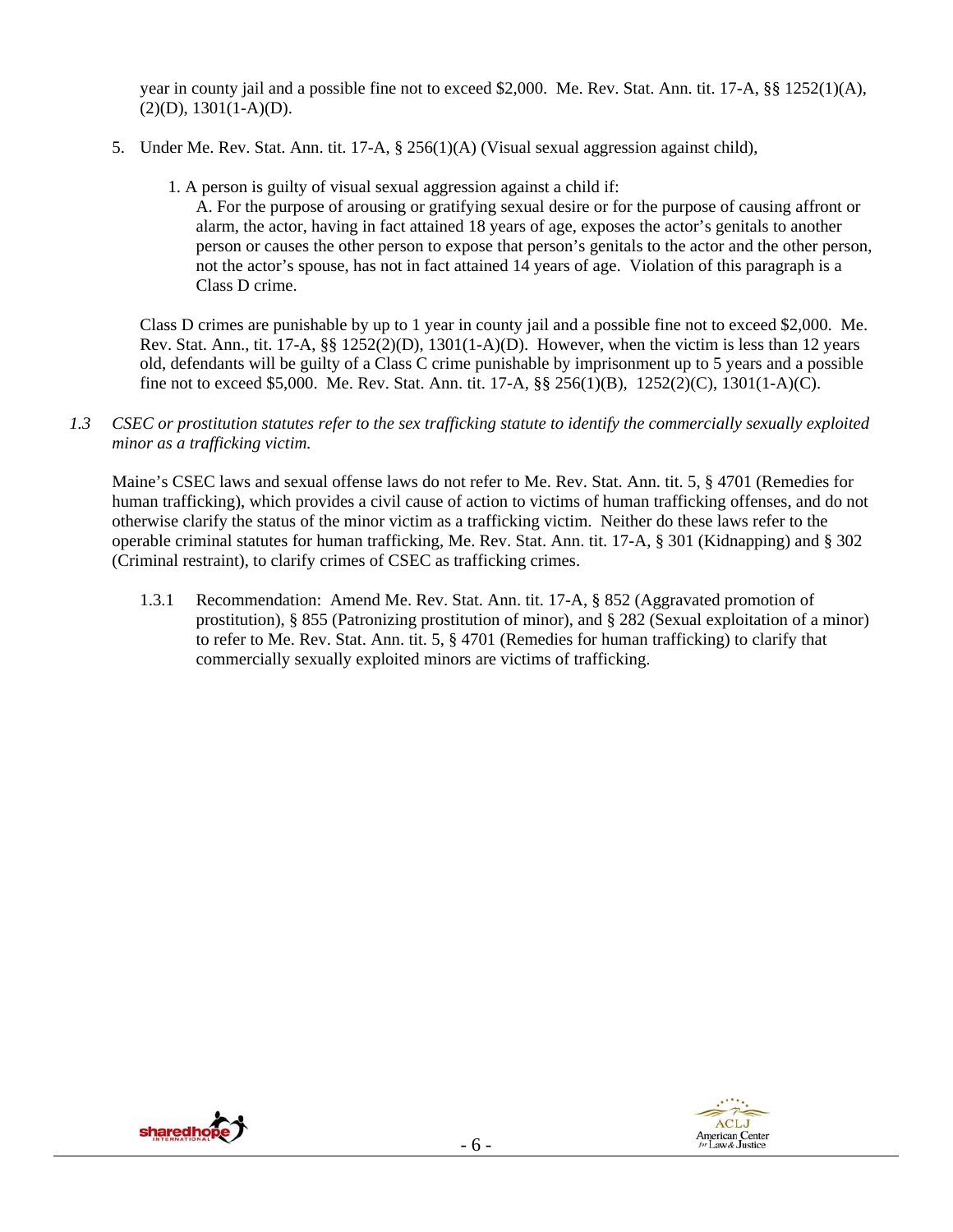year in county jail and a possible fine not to exceed \$2,000. Me. Rev. Stat. Ann. tit. 17-A, §§ 1252(1)(A),  $(2)(D), 1301(1-A)(D).$ 

- 5. Under Me. Rev. Stat. Ann. tit. 17-A, § 256(1)(A) (Visual sexual aggression against child),
	- 1. A person is guilty of visual sexual aggression against a child if:

A. For the purpose of arousing or gratifying sexual desire or for the purpose of causing affront or alarm, the actor, having in fact attained 18 years of age, exposes the actor's genitals to another person or causes the other person to expose that person's genitals to the actor and the other person, not the actor's spouse, has not in fact attained 14 years of age. Violation of this paragraph is a Class D crime.

Class D crimes are punishable by up to 1 year in county jail and a possible fine not to exceed \$2,000. Me. Rev. Stat. Ann., tit. 17-A, §§ 1252(2)(D), 1301(1-A)(D). However, when the victim is less than 12 years old, defendants will be guilty of a Class C crime punishable by imprisonment up to 5 years and a possible fine not to exceed \$5,000. Me. Rev. Stat. Ann. tit. 17-A, §§ 256(1)(B), 1252(2)(C), 1301(1-A)(C).

*1.3 CSEC or prostitution statutes refer to the sex trafficking statute to identify the commercially sexually exploited minor as a trafficking victim.*

Maine's CSEC laws and sexual offense laws do not refer to Me. Rev. Stat. Ann. tit. 5, § 4701 (Remedies for human trafficking), which provides a civil cause of action to victims of human trafficking offenses, and do not otherwise clarify the status of the minor victim as a trafficking victim. Neither do these laws refer to the operable criminal statutes for human trafficking, Me. Rev. Stat. Ann. tit. 17-A, § 301 (Kidnapping) and § 302 (Criminal restraint), to clarify crimes of CSEC as trafficking crimes.

1.3.1 Recommendation: Amend Me. Rev. Stat. Ann. tit. 17-A, § 852 (Aggravated promotion of prostitution), § 855 (Patronizing prostitution of minor), and § 282 (Sexual exploitation of a minor) to refer to Me. Rev. Stat. Ann. tit. 5, § 4701 (Remedies for human trafficking) to clarify that commercially sexually exploited minors are victims of trafficking.



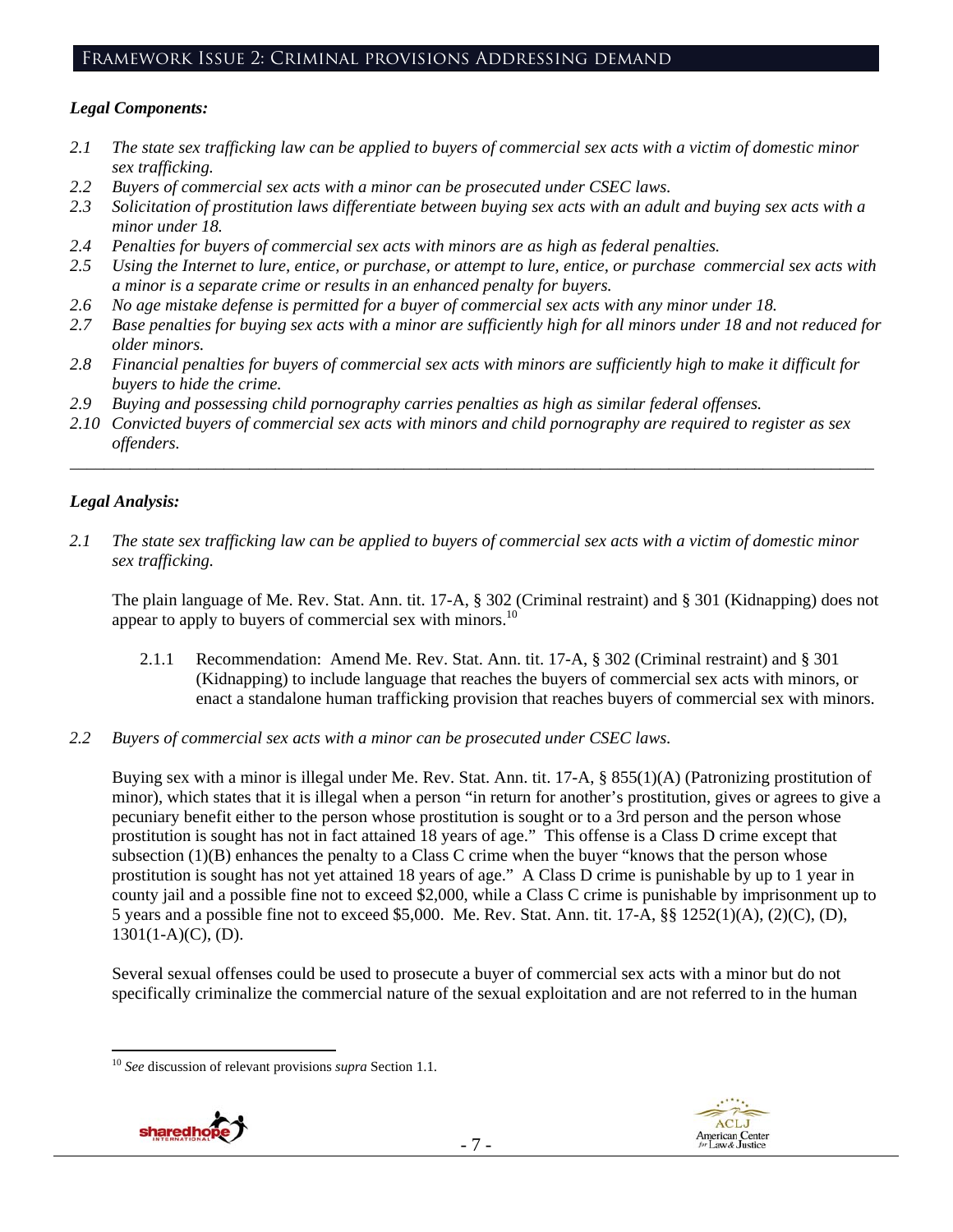#### Framework Issue 2: Criminal provisions Addressing demand

#### *Legal Components:*

- *2.1 The state sex trafficking law can be applied to buyers of commercial sex acts with a victim of domestic minor sex trafficking.*
- *2.2 Buyers of commercial sex acts with a minor can be prosecuted under CSEC laws.*
- *2.3 Solicitation of prostitution laws differentiate between buying sex acts with an adult and buying sex acts with a minor under 18.*
- *2.4 Penalties for buyers of commercial sex acts with minors are as high as federal penalties.*
- *2.5 Using the Internet to lure, entice, or purchase, or attempt to lure, entice, or purchase commercial sex acts with a minor is a separate crime or results in an enhanced penalty for buyers.*
- *2.6 No age mistake defense is permitted for a buyer of commercial sex acts with any minor under 18.*
- *2.7 Base penalties for buying sex acts with a minor are sufficiently high for all minors under 18 and not reduced for older minors.*
- *2.8 Financial penalties for buyers of commercial sex acts with minors are sufficiently high to make it difficult for buyers to hide the crime.*
- *2.9 Buying and possessing child pornography carries penalties as high as similar federal offenses.*
- *2.10 Convicted buyers of commercial sex acts with minors and child pornography are required to register as sex offenders.*

\_\_\_\_\_\_\_\_\_\_\_\_\_\_\_\_\_\_\_\_\_\_\_\_\_\_\_\_\_\_\_\_\_\_\_\_\_\_\_\_\_\_\_\_\_\_\_\_\_\_\_\_\_\_\_\_\_\_\_\_\_\_\_\_\_\_\_\_\_\_\_\_\_\_\_\_\_\_\_\_\_\_\_\_\_\_\_\_\_\_\_\_\_\_

#### *Legal Analysis:*

*2.1 The state sex trafficking law can be applied to buyers of commercial sex acts with a victim of domestic minor sex trafficking.* 

The plain language of Me. Rev. Stat. Ann. tit. 17-A, § 302 (Criminal restraint) and § 301 (Kidnapping) does not appear to apply to buyers of commercial sex with minors.<sup>10</sup>

- 2.1.1 Recommendation: Amend Me. Rev. Stat. Ann. tit. 17-A, § 302 (Criminal restraint) and § 301 (Kidnapping) to include language that reaches the buyers of commercial sex acts with minors, or enact a standalone human trafficking provision that reaches buyers of commercial sex with minors.
- *2.2 Buyers of commercial sex acts with a minor can be prosecuted under CSEC laws.*

Buying sex with a minor is illegal under Me. Rev. Stat. Ann. tit. 17-A, § 855(1)(A) (Patronizing prostitution of minor), which states that it is illegal when a person "in return for another's prostitution, gives or agrees to give a pecuniary benefit either to the person whose prostitution is sought or to a 3rd person and the person whose prostitution is sought has not in fact attained 18 years of age." This offense is a Class D crime except that subsection (1)(B) enhances the penalty to a Class C crime when the buyer "knows that the person whose prostitution is sought has not yet attained 18 years of age." A Class D crime is punishable by up to 1 year in county jail and a possible fine not to exceed \$2,000, while a Class C crime is punishable by imprisonment up to 5 years and a possible fine not to exceed \$5,000. Me. Rev. Stat. Ann. tit. 17-A, §§ 1252(1)(A), (2)(C), (D),  $1301(1-A)(C)$ , (D).

Several sexual offenses could be used to prosecute a buyer of commercial sex acts with a minor but do not specifically criminalize the commercial nature of the sexual exploitation and are not referred to in the human

<sup>10</sup> *See* discussion of relevant provisions *supra* Section 1.1.



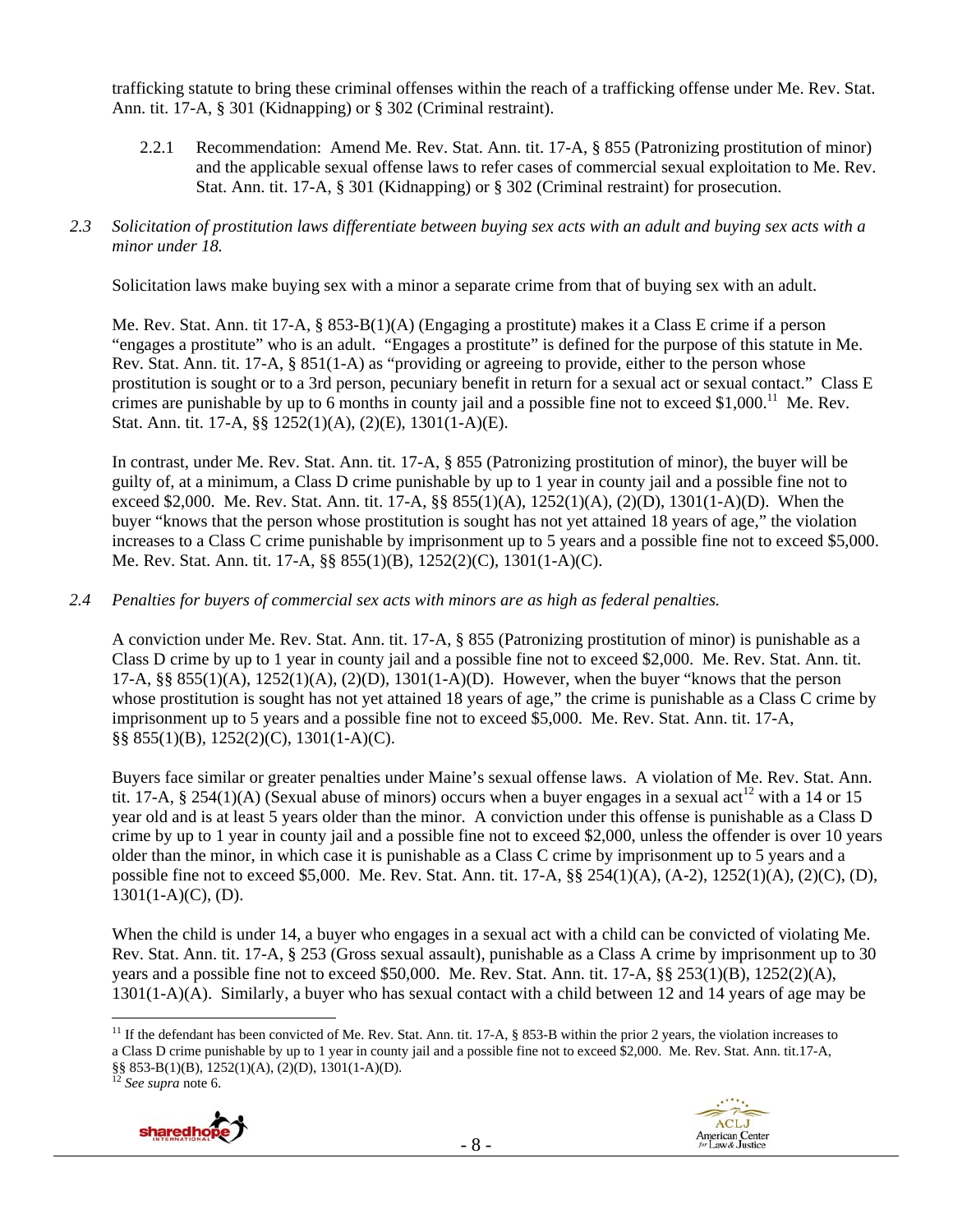trafficking statute to bring these criminal offenses within the reach of a trafficking offense under Me. Rev. Stat. Ann. tit. 17-A, § 301 (Kidnapping) or § 302 (Criminal restraint).

- 2.2.1 Recommendation: Amend Me. Rev. Stat. Ann. tit. 17-A, § 855 (Patronizing prostitution of minor) and the applicable sexual offense laws to refer cases of commercial sexual exploitation to Me. Rev. Stat. Ann. tit. 17-A, § 301 (Kidnapping) or § 302 (Criminal restraint) for prosecution.
- *2.3 Solicitation of prostitution laws differentiate between buying sex acts with an adult and buying sex acts with a minor under 18.*

Solicitation laws make buying sex with a minor a separate crime from that of buying sex with an adult.

Me. Rev. Stat. Ann. tit 17-A, § 853-B(1)(A) (Engaging a prostitute) makes it a Class E crime if a person "engages a prostitute" who is an adult. "Engages a prostitute" is defined for the purpose of this statute in Me. Rev. Stat. Ann. tit. 17-A, § 851(1-A) as "providing or agreeing to provide, either to the person whose prostitution is sought or to a 3rd person, pecuniary benefit in return for a sexual act or sexual contact." Class E crimes are punishable by up to 6 months in county jail and a possible fine not to exceed \$1,000.<sup>11</sup> Me. Rev. Stat. Ann. tit. 17-A, §§ 1252(1)(A), (2)(E), 1301(1-A)(E).

In contrast, under Me. Rev. Stat. Ann. tit. 17-A, § 855 (Patronizing prostitution of minor), the buyer will be guilty of, at a minimum, a Class D crime punishable by up to 1 year in county jail and a possible fine not to exceed \$2,000. Me. Rev. Stat. Ann. tit. 17-A, §§ 855(1)(A), 1252(1)(A), (2)(D), 1301(1-A)(D). When the buyer "knows that the person whose prostitution is sought has not yet attained 18 years of age," the violation increases to a Class C crime punishable by imprisonment up to 5 years and a possible fine not to exceed \$5,000. Me. Rev. Stat. Ann. tit. 17-A, §§ 855(1)(B), 1252(2)(C), 1301(1-A)(C).

*2.4 Penalties for buyers of commercial sex acts with minors are as high as federal penalties.* 

A conviction under Me. Rev. Stat. Ann. tit. 17-A, § 855 (Patronizing prostitution of minor) is punishable as a Class D crime by up to 1 year in county jail and a possible fine not to exceed \$2,000. Me. Rev. Stat. Ann. tit. 17-A,  $\S$ § 855(1)(A), 1252(1)(A), (2)(D), 1301(1-A)(D). However, when the buyer "knows that the person whose prostitution is sought has not yet attained 18 years of age," the crime is punishable as a Class C crime by imprisonment up to 5 years and a possible fine not to exceed \$5,000. Me. Rev. Stat. Ann. tit. 17-A, §§ 855(1)(B), 1252(2)(C), 1301(1-A)(C).

Buyers face similar or greater penalties under Maine's sexual offense laws. A violation of Me. Rev. Stat. Ann. tit. 17-A, § 254(1)(A) (Sexual abuse of minors) occurs when a buyer engages in a sexual act<sup>12</sup> with a 14 or 15 year old and is at least 5 years older than the minor. A conviction under this offense is punishable as a Class D crime by up to 1 year in county jail and a possible fine not to exceed \$2,000, unless the offender is over 10 years older than the minor, in which case it is punishable as a Class C crime by imprisonment up to 5 years and a possible fine not to exceed \$5,000. Me. Rev. Stat. Ann. tit. 17-A, §§ 254(1)(A), (A-2), 1252(1)(A), (2)(C), (D),  $1301(1-A)(C)$ , (D).

When the child is under 14, a buyer who engages in a sexual act with a child can be convicted of violating Me. Rev. Stat. Ann. tit. 17-A, § 253 (Gross sexual assault), punishable as a Class A crime by imprisonment up to 30 years and a possible fine not to exceed \$50,000. Me. Rev. Stat. Ann. tit. 17-A, §§ 253(1)(B), 1252(2)(A), 1301(1-A)(A). Similarly, a buyer who has sexual contact with a child between 12 and 14 years of age may be

<sup>12</sup> *See supra* note 6.





 $\overline{a}$ <sup>11</sup> If the defendant has been convicted of Me. Rev. Stat. Ann. tit. 17-A,  $\S$  853-B within the prior 2 years, the violation increases to a Class D crime punishable by up to 1 year in county jail and a possible fine not to exceed \$2,000. Me. Rev. Stat. Ann. tit.17-A, §§ 853-B(1)(B), 1252(1)(A), (2)(D), 1301(1-A)(D).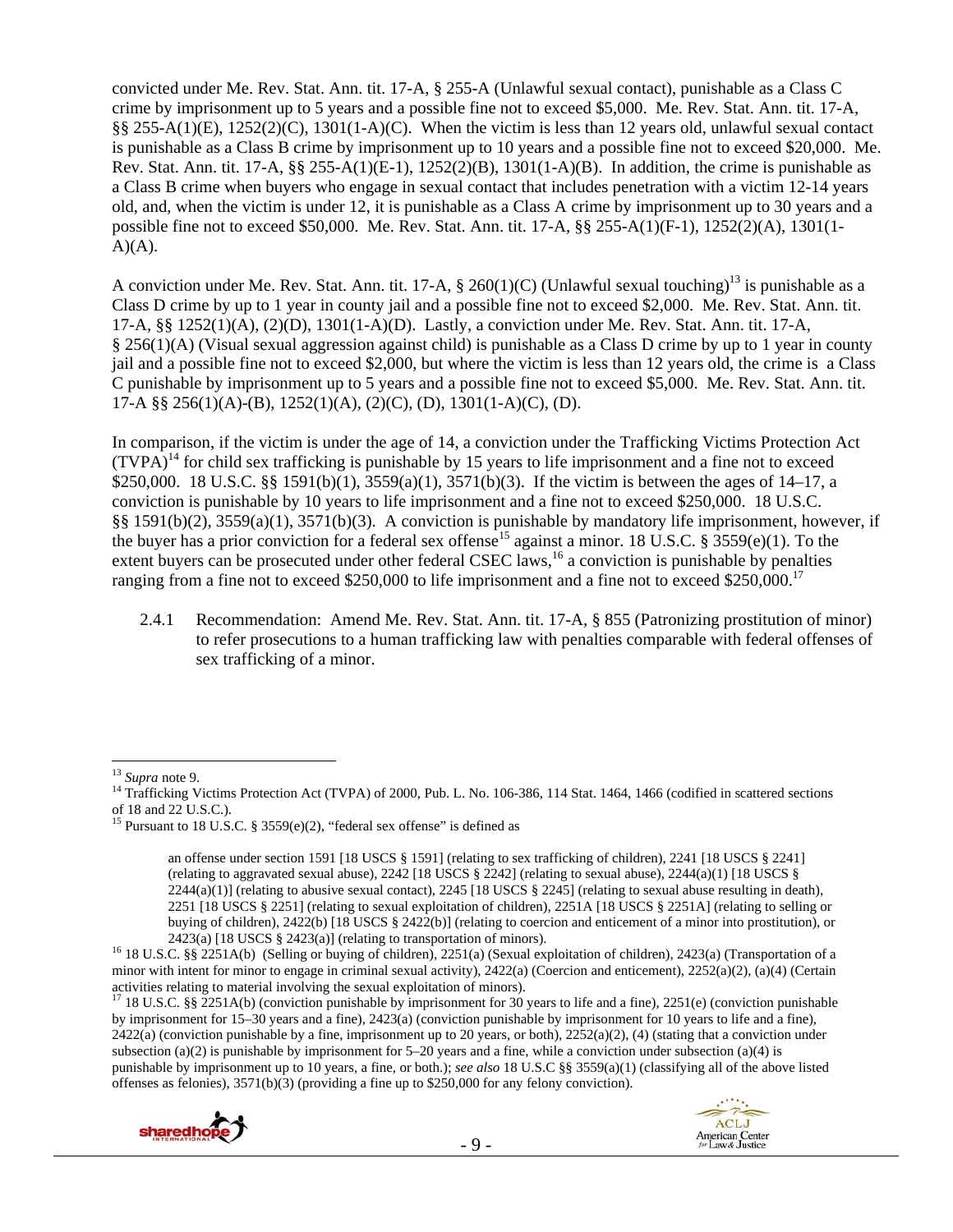convicted under Me. Rev. Stat. Ann. tit. 17-A, § 255-A (Unlawful sexual contact), punishable as a Class C crime by imprisonment up to 5 years and a possible fine not to exceed \$5,000. Me. Rev. Stat. Ann. tit. 17-A, §§ 255-A(1)(E), 1252(2)(C), 1301(1-A)(C). When the victim is less than 12 years old, unlawful sexual contact is punishable as a Class B crime by imprisonment up to 10 years and a possible fine not to exceed \$20,000. Me. Rev. Stat. Ann. tit. 17-A,  $\S$  $\S$  255-A(1)(E-1), 1252(2)(B), 1301(1-A)(B). In addition, the crime is punishable as a Class B crime when buyers who engage in sexual contact that includes penetration with a victim 12-14 years old, and, when the victim is under 12, it is punishable as a Class A crime by imprisonment up to 30 years and a possible fine not to exceed \$50,000. Me. Rev. Stat. Ann. tit. 17-A, §§ 255-A(1)(F-1), 1252(2)(A), 1301(1-  $A)(A)$ .

A conviction under Me. Rev. Stat. Ann. tit. 17-A,  $\S 260(1)(C)$  (Unlawful sexual touching)<sup>13</sup> is punishable as a Class D crime by up to 1 year in county jail and a possible fine not to exceed \$2,000. Me. Rev. Stat. Ann. tit. 17-A, §§ 1252(1)(A), (2)(D), 1301(1-A)(D). Lastly, a conviction under Me. Rev. Stat. Ann. tit. 17-A, § 256(1)(A) (Visual sexual aggression against child) is punishable as a Class D crime by up to 1 year in county jail and a possible fine not to exceed \$2,000, but where the victim is less than 12 years old, the crime is a Class C punishable by imprisonment up to 5 years and a possible fine not to exceed \$5,000. Me. Rev. Stat. Ann. tit. 17-A §§ 256(1)(A)-(B), 1252(1)(A), (2)(C), (D), 1301(1-A)(C), (D).

In comparison, if the victim is under the age of 14, a conviction under the Trafficking Victims Protection Act  $(TVPA)^{14}$  for child sex trafficking is punishable by 15 years to life imprisonment and a fine not to exceed \$250,000. 18 U.S.C. §§ 1591(b)(1), 3559(a)(1), 3571(b)(3). If the victim is between the ages of 14–17, a conviction is punishable by 10 years to life imprisonment and a fine not to exceed \$250,000. 18 U.S.C. §§ 1591(b)(2), 3559(a)(1), 3571(b)(3). A conviction is punishable by mandatory life imprisonment, however, if the buyer has a prior conviction for a federal sex offense<sup>15</sup> against a minor. 18 U.S.C. § 3559(e)(1). To the extent buyers can be prosecuted under other federal CSEC laws,<sup>16</sup> a conviction is punishable by penalties ranging from a fine not to exceed \$250,000 to life imprisonment and a fine not to exceed \$250,000.<sup>17</sup>

2.4.1 Recommendation: Amend Me. Rev. Stat. Ann. tit. 17-A, § 855 (Patronizing prostitution of minor) to refer prosecutions to a human trafficking law with penalties comparable with federal offenses of sex trafficking of a minor.

<sup>&</sup>lt;sup>17</sup> 18 U.S.C. §§ 2251A(b) (conviction punishable by imprisonment for 30 years to life and a fine), 2251(e) (conviction punishable by imprisonment for 15–30 years and a fine), 2423(a) (conviction punishable by imprisonment for 10 years to life and a fine),  $2422(a)$  (conviction punishable by a fine, imprisonment up to 20 years, or both),  $2252(a)(2)$ , (4) (stating that a conviction under subsection (a)(2) is punishable by imprisonment for  $5-20$  years and a fine, while a conviction under subsection (a)(4) is punishable by imprisonment up to 10 years, a fine, or both.); *see also* 18 U.S.C §§ 3559(a)(1) (classifying all of the above listed offenses as felonies), 3571(b)(3) (providing a fine up to \$250,000 for any felony conviction).





<sup>&</sup>lt;sup>13</sup> *Supra* note 9.<br><sup>14</sup> Trafficking Victims Protection Act (TVPA) of 2000, Pub. L. No. 106-386, 114 Stat. 1464, 1466 (codified in scattered sections of 18 and 22 U.S.C.).

<sup>&</sup>lt;sup>15</sup> Pursuant to 18 U.S.C. § 3559(e)(2), "federal sex offense" is defined as

an offense under section 1591 [18 USCS § 1591] (relating to sex trafficking of children), 2241 [18 USCS § 2241] (relating to aggravated sexual abuse), 2242 [18 USCS § 2242] (relating to sexual abuse), 2244(a)(1) [18 USCS §  $2244(a)(1)$ ] (relating to abusive sexual contact),  $2245$  [18 USCS § 2245] (relating to sexual abuse resulting in death), 2251 [18 USCS § 2251] (relating to sexual exploitation of children), 2251A [18 USCS § 2251A] (relating to selling or buying of children), 2422(b) [18 USCS § 2422(b)] (relating to coercion and enticement of a minor into prostitution), or

<sup>2423(</sup>a) [18 USCS § 2423(a)] (relating to transportation of minors).<br><sup>16</sup> 18 U.S.C. §§ 2251A(b) (Selling or buying of children), 2251(a) (Sexual exploitation of children), 2423(a) (Transportation of a minor with intent for minor to engage in criminal sexual activity), 2422(a) (Coercion and enticement), 2252(a)(2), (a)(4) (Certain activities relating to material involving the sexual exploitation of minors).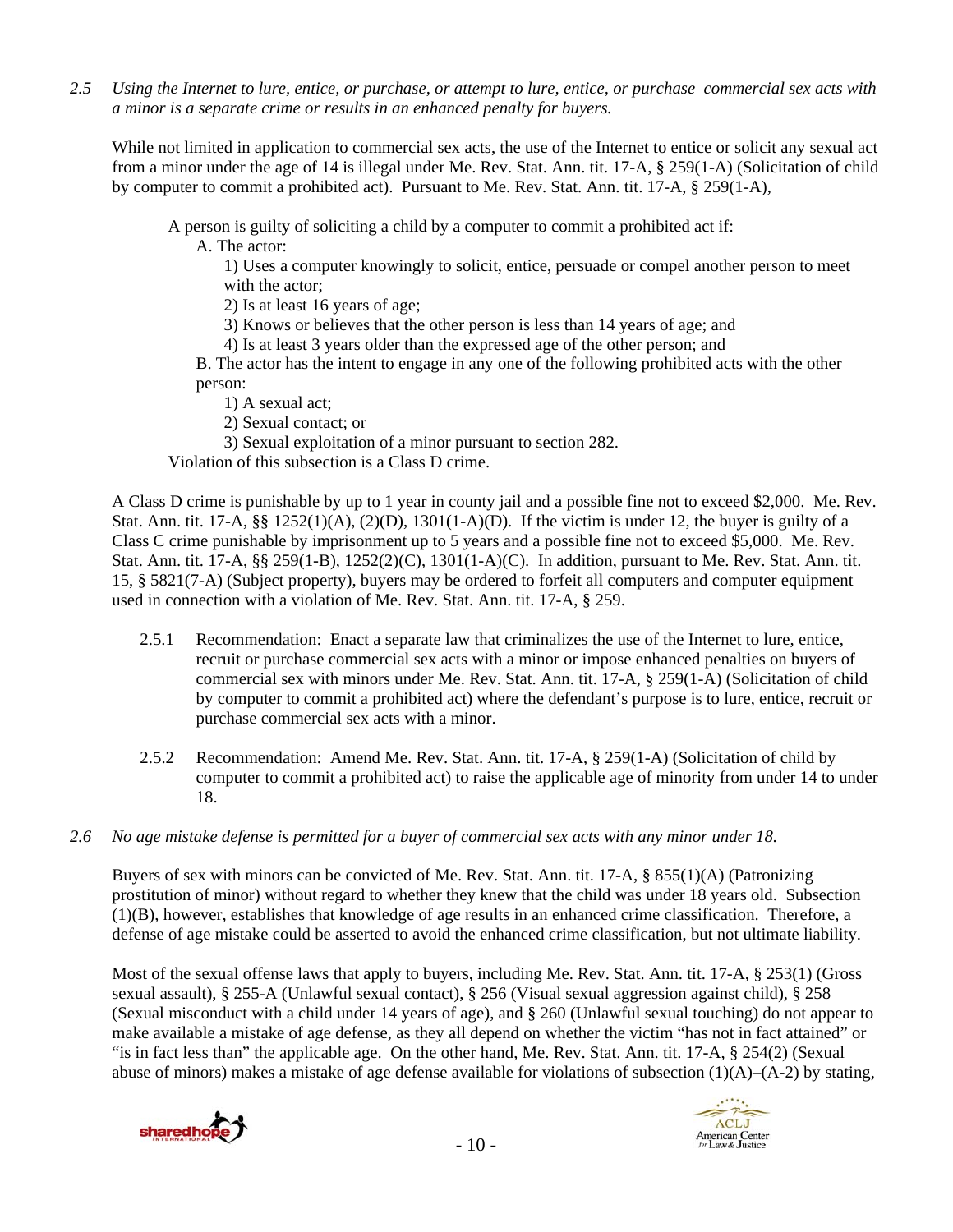*2.5 Using the Internet to lure, entice, or purchase, or attempt to lure, entice, or purchase commercial sex acts with a minor is a separate crime or results in an enhanced penalty for buyers.* 

While not limited in application to commercial sex acts, the use of the Internet to entice or solicit any sexual act from a minor under the age of 14 is illegal under Me. Rev. Stat. Ann. tit. 17-A, § 259(1-A) (Solicitation of child by computer to commit a prohibited act). Pursuant to Me. Rev. Stat. Ann. tit. 17-A, § 259(1-A),

A person is guilty of soliciting a child by a computer to commit a prohibited act if:

A. The actor:

1) Uses a computer knowingly to solicit, entice, persuade or compel another person to meet with the actor;

2) Is at least 16 years of age;

3) Knows or believes that the other person is less than 14 years of age; and

4) Is at least 3 years older than the expressed age of the other person; and

B. The actor has the intent to engage in any one of the following prohibited acts with the other person:

1) A sexual act;

2) Sexual contact; or

3) Sexual exploitation of a minor pursuant to section 282.

Violation of this subsection is a Class D crime.

A Class D crime is punishable by up to 1 year in county jail and a possible fine not to exceed \$2,000. Me. Rev. Stat. Ann. tit. 17-A,  $\S$  $\S$  1252(1)(A), (2)(D), 1301(1-A)(D). If the victim is under 12, the buyer is guilty of a Class C crime punishable by imprisonment up to 5 years and a possible fine not to exceed \$5,000. Me. Rev. Stat. Ann. tit. 17-A, §§ 259(1-B), 1252(2)(C), 1301(1-A)(C). In addition, pursuant to Me. Rev. Stat. Ann. tit. 15, § 5821(7-A) (Subject property), buyers may be ordered to forfeit all computers and computer equipment used in connection with a violation of Me. Rev. Stat. Ann. tit. 17-A, § 259.

- 2.5.1 Recommendation: Enact a separate law that criminalizes the use of the Internet to lure, entice, recruit or purchase commercial sex acts with a minor or impose enhanced penalties on buyers of commercial sex with minors under Me. Rev. Stat. Ann. tit. 17-A, § 259(1-A) (Solicitation of child by computer to commit a prohibited act) where the defendant's purpose is to lure, entice, recruit or purchase commercial sex acts with a minor.
- 2.5.2 Recommendation: Amend Me. Rev. Stat. Ann. tit. 17-A, § 259(1-A) (Solicitation of child by computer to commit a prohibited act) to raise the applicable age of minority from under 14 to under 18.
- *2.6 No age mistake defense is permitted for a buyer of commercial sex acts with any minor under 18.*

Buyers of sex with minors can be convicted of Me. Rev. Stat. Ann. tit. 17-A, § 855(1)(A) (Patronizing prostitution of minor) without regard to whether they knew that the child was under 18 years old. Subsection (1)(B), however, establishes that knowledge of age results in an enhanced crime classification. Therefore, a defense of age mistake could be asserted to avoid the enhanced crime classification, but not ultimate liability.

Most of the sexual offense laws that apply to buyers, including Me. Rev. Stat. Ann. tit. 17-A, § 253(1) (Gross sexual assault), § 255-A (Unlawful sexual contact), § 256 (Visual sexual aggression against child), § 258 (Sexual misconduct with a child under 14 years of age), and § 260 (Unlawful sexual touching) do not appear to make available a mistake of age defense, as they all depend on whether the victim "has not in fact attained" or "is in fact less than" the applicable age. On the other hand, Me. Rev. Stat. Ann. tit. 17-A, § 254(2) (Sexual abuse of minors) makes a mistake of age defense available for violations of subsection  $(1)(A)$ – $(A-2)$  by stating,

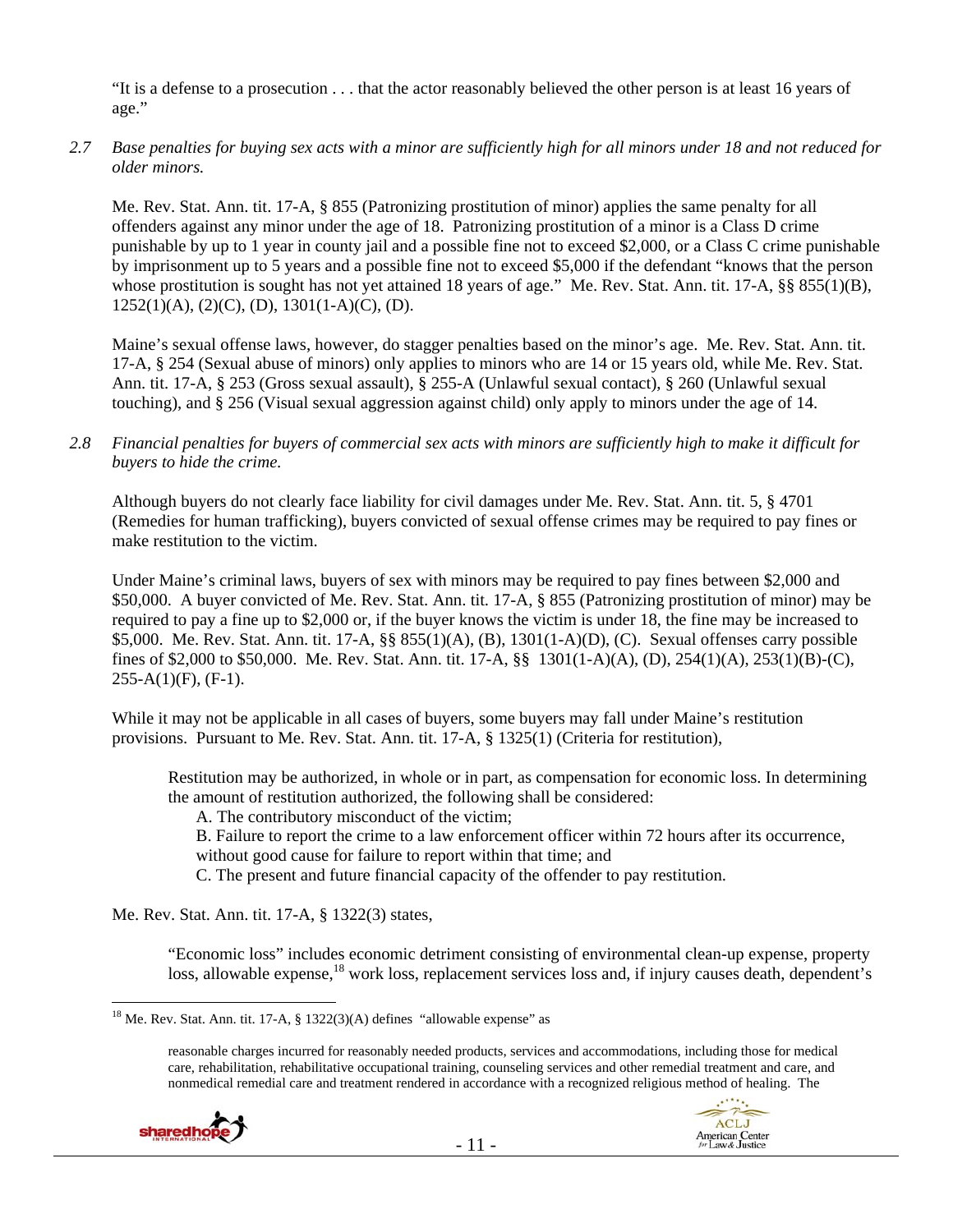"It is a defense to a prosecution . . . that the actor reasonably believed the other person is at least 16 years of age."

*2.7 Base penalties for buying sex acts with a minor are sufficiently high for all minors under 18 and not reduced for older minors.* 

Me. Rev. Stat. Ann. tit. 17-A, § 855 (Patronizing prostitution of minor) applies the same penalty for all offenders against any minor under the age of 18. Patronizing prostitution of a minor is a Class D crime punishable by up to 1 year in county jail and a possible fine not to exceed \$2,000, or a Class C crime punishable by imprisonment up to 5 years and a possible fine not to exceed \$5,000 if the defendant "knows that the person whose prostitution is sought has not yet attained 18 years of age." Me. Rev. Stat. Ann. tit. 17-A, §§ 855(1)(B),  $1252(1)(A), (2)(C), (D), 1301(1-A)(C), (D).$ 

Maine's sexual offense laws, however, do stagger penalties based on the minor's age. Me. Rev. Stat. Ann. tit. 17-A, § 254 (Sexual abuse of minors) only applies to minors who are 14 or 15 years old, while Me. Rev. Stat. Ann. tit. 17-A, § 253 (Gross sexual assault), § 255-A (Unlawful sexual contact), § 260 (Unlawful sexual touching), and § 256 (Visual sexual aggression against child) only apply to minors under the age of 14.

#### *2.8 Financial penalties for buyers of commercial sex acts with minors are sufficiently high to make it difficult for buyers to hide the crime.*

Although buyers do not clearly face liability for civil damages under Me. Rev. Stat. Ann. tit. 5, § 4701 (Remedies for human trafficking), buyers convicted of sexual offense crimes may be required to pay fines or make restitution to the victim.

Under Maine's criminal laws, buyers of sex with minors may be required to pay fines between \$2,000 and \$50,000. A buyer convicted of Me. Rev. Stat. Ann. tit. 17-A, § 855 (Patronizing prostitution of minor) may be required to pay a fine up to \$2,000 or, if the buyer knows the victim is under 18, the fine may be increased to \$5,000. Me. Rev. Stat. Ann. tit. 17-A, §§ 855(1)(A), (B), 1301(1-A)(D), (C). Sexual offenses carry possible fines of \$2,000 to \$50,000. Me. Rev. Stat. Ann. tit. 17-A, §§ 1301(1-A)(A), (D), 254(1)(A), 253(1)(B)-(C),  $255-A(1)(F)$ ,  $(F-1)$ .

While it may not be applicable in all cases of buyers, some buyers may fall under Maine's restitution provisions. Pursuant to Me. Rev. Stat. Ann. tit. 17-A, § 1325(1) (Criteria for restitution),

Restitution may be authorized, in whole or in part, as compensation for economic loss. In determining the amount of restitution authorized, the following shall be considered:

A. The contributory misconduct of the victim;

B. Failure to report the crime to a law enforcement officer within 72 hours after its occurrence, without good cause for failure to report within that time; and

C. The present and future financial capacity of the offender to pay restitution.

Me. Rev. Stat. Ann. tit. 17-A, § 1322(3) states,

"Economic loss" includes economic detriment consisting of environmental clean-up expense, property loss, allowable expense,<sup>18</sup> work loss, replacement services loss and, if injury causes death, dependent's

reasonable charges incurred for reasonably needed products, services and accommodations, including those for medical care, rehabilitation, rehabilitative occupational training, counseling services and other remedial treatment and care, and nonmedical remedial care and treatment rendered in accordance with a recognized religious method of healing. The



 $\overline{a}$ <sup>18</sup> Me. Rev. Stat. Ann. tit. 17-A, § 1322(3)(A) defines "allowable expense" as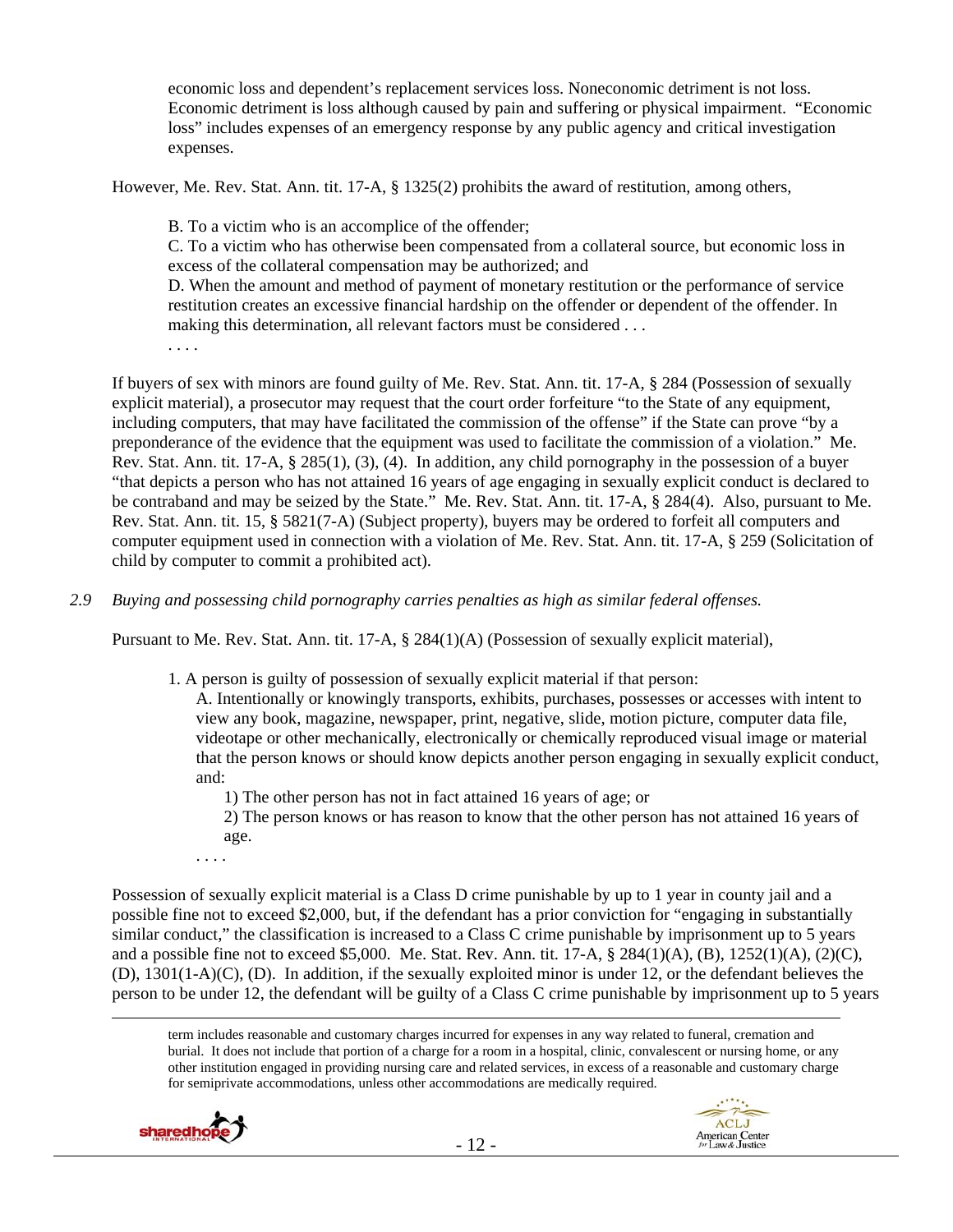economic loss and dependent's replacement services loss. Noneconomic detriment is not loss. Economic detriment is loss although caused by pain and suffering or physical impairment. "Economic loss" includes expenses of an emergency response by any public agency and critical investigation expenses.

However, Me. Rev. Stat. Ann. tit. 17-A, § 1325(2) prohibits the award of restitution, among others,

B. To a victim who is an accomplice of the offender;

C. To a victim who has otherwise been compensated from a collateral source, but economic loss in excess of the collateral compensation may be authorized; and

D. When the amount and method of payment of monetary restitution or the performance of service restitution creates an excessive financial hardship on the offender or dependent of the offender. In making this determination, all relevant factors must be considered . . .

. . . .

If buyers of sex with minors are found guilty of Me. Rev. Stat. Ann. tit. 17-A, § 284 (Possession of sexually explicit material), a prosecutor may request that the court order forfeiture "to the State of any equipment, including computers, that may have facilitated the commission of the offense" if the State can prove "by a preponderance of the evidence that the equipment was used to facilitate the commission of a violation." Me. Rev. Stat. Ann. tit. 17-A, § 285(1), (3), (4). In addition, any child pornography in the possession of a buyer "that depicts a person who has not attained 16 years of age engaging in sexually explicit conduct is declared to be contraband and may be seized by the State." Me. Rev. Stat. Ann. tit. 17-A, § 284(4). Also, pursuant to Me. Rev. Stat. Ann. tit. 15, § 5821(7-A) (Subject property), buyers may be ordered to forfeit all computers and computer equipment used in connection with a violation of Me. Rev. Stat. Ann. tit. 17-A, § 259 (Solicitation of child by computer to commit a prohibited act).

*2.9 Buying and possessing child pornography carries penalties as high as similar federal offenses.* 

Pursuant to Me. Rev. Stat. Ann. tit. 17-A, § 284(1)(A) (Possession of sexually explicit material),

1. A person is guilty of possession of sexually explicit material if that person:

A. Intentionally or knowingly transports, exhibits, purchases, possesses or accesses with intent to view any book, magazine, newspaper, print, negative, slide, motion picture, computer data file, videotape or other mechanically, electronically or chemically reproduced visual image or material that the person knows or should know depicts another person engaging in sexually explicit conduct, and:

1) The other person has not in fact attained 16 years of age; or

2) The person knows or has reason to know that the other person has not attained 16 years of age.

. . . .

Possession of sexually explicit material is a Class D crime punishable by up to 1 year in county jail and a possible fine not to exceed \$2,000, but, if the defendant has a prior conviction for "engaging in substantially similar conduct," the classification is increased to a Class C crime punishable by imprisonment up to 5 years and a possible fine not to exceed \$5,000. Me. Stat. Rev. Ann. tit. 17-A, § 284(1)(A), (B), 1252(1)(A), (2)(C), (D), 1301(1-A)(C), (D). In addition, if the sexually exploited minor is under 12, or the defendant believes the person to be under 12, the defendant will be guilty of a Class C crime punishable by imprisonment up to 5 years

 term includes reasonable and customary charges incurred for expenses in any way related to funeral, cremation and burial. It does not include that portion of a charge for a room in a hospital, clinic, convalescent or nursing home, or any other institution engaged in providing nursing care and related services, in excess of a reasonable and customary charge for semiprivate accommodations, unless other accommodations are medically required.

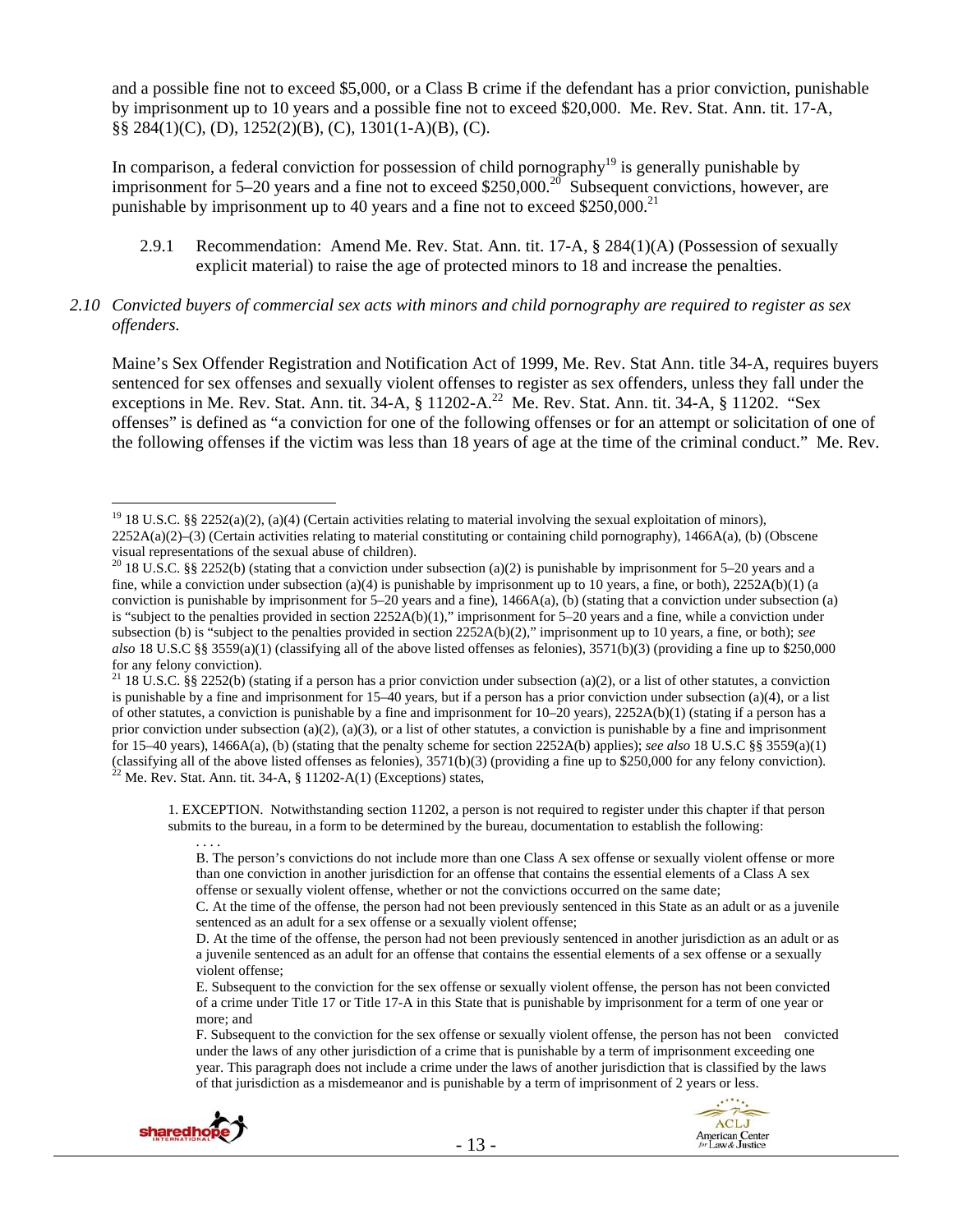and a possible fine not to exceed \$5,000, or a Class B crime if the defendant has a prior conviction, punishable by imprisonment up to 10 years and a possible fine not to exceed \$20,000. Me. Rev. Stat. Ann. tit. 17-A, §§ 284(1)(C), (D), 1252(2)(B), (C), 1301(1-A)(B), (C).

In comparison, a federal conviction for possession of child pornography<sup>19</sup> is generally punishable by imprisonment for 5–20 years and a fine not to exceed \$250,000.<sup>20</sup> Subsequent convictions, however, are punishable by imprisonment up to 40 years and a fine not to exceed  $$250,000.<sup>21</sup>$ 

- 2.9.1 Recommendation: Amend Me. Rev. Stat. Ann. tit. 17-A, § 284(1)(A) (Possession of sexually explicit material) to raise the age of protected minors to 18 and increase the penalties.
- *2.10 Convicted buyers of commercial sex acts with minors and child pornography are required to register as sex offenders.*

Maine's Sex Offender Registration and Notification Act of 1999, Me. Rev. Stat Ann. title 34-A, requires buyers sentenced for sex offenses and sexually violent offenses to register as sex offenders, unless they fall under the exceptions in Me. Rev. Stat. Ann. tit. 34-A, § 11202-A.<sup>22</sup> Me. Rev. Stat. Ann. tit. 34-A, § 11202. "Sex offenses" is defined as "a conviction for one of the following offenses or for an attempt or solicitation of one of the following offenses if the victim was less than 18 years of age at the time of the criminal conduct." Me. Rev.

1. EXCEPTION. Notwithstanding section 11202, a person is not required to register under this chapter if that person submits to the bureau, in a form to be determined by the bureau, documentation to establish the following:

F. Subsequent to the conviction for the sex offense or sexually violent offense, the person has not been convicted under the laws of any other jurisdiction of a crime that is punishable by a term of imprisonment exceeding one year. This paragraph does not include a crime under the laws of another jurisdiction that is classified by the laws of that jurisdiction as a misdemeanor and is punishable by a term of imprisonment of 2 years or less.



. . . .

<sup>&</sup>lt;sup>19</sup> 18 U.S.C. §§ 2252(a)(2), (a)(4) (Certain activities relating to material involving the sexual exploitation of minors), 2252A(a)(2)–(3) (Certain activities relating to material constituting or containing child pornography), 1466A(a), (b) (Obscene visual representations of the sexual abuse of children).

<sup>&</sup>lt;sup>20</sup> 18 U.S.C. §§ 2252(b) (stating that a conviction under subsection (a)(2) is punishable by imprisonment for 5–20 years and a fine, while a conviction under subsection (a)(4) is punishable by imprisonment up to 10 years, a fine, or both),  $2252A(b)(1)$  (a conviction is punishable by imprisonment for  $5-20$  years and a fine),  $1466A(a)$ , (b) (stating that a conviction under subsection (a) is "subject to the penalties provided in section 2252A(b)(1)," imprisonment for 5–20 years and a fine, while a conviction under subsection (b) is "subject to the penalties provided in section 2252A(b)(2)," imprisonment up to 10 years, a fine, or both); *see also* 18 U.S.C §§ 3559(a)(1) (classifying all of the above listed offenses as felonies), 3571(b)(3) (providing a fine up to \$250,000 for any felony conviction).

<sup>&</sup>lt;sup>21</sup> 18 U.S.C. §§ 2252(b) (stating if a person has a prior conviction under subsection (a)(2), or a list of other statutes, a conviction is punishable by a fine and imprisonment for 15–40 years, but if a person has a prior conviction under subsection (a)(4), or a list of other statutes, a conviction is punishable by a fine and imprisonment for  $10-20$  years),  $2252A(b)(1)$  (stating if a person has a prior conviction under subsection (a)(2), (a)(3), or a list of other statutes, a conviction is punishable by a fine and imprisonment for 15–40 years), 1466A(a), (b) (stating that the penalty scheme for section 2252A(b) applies); *see also* 18 U.S.C §§ 3559(a)(1) (classifying all of the above listed offenses as felonies),  $3571(b)(3)$  (providing a fine up to \$250,000 for any felony conviction).<br><sup>22</sup> Me. Rev. Stat. Ann. tit. 34-A, § 11202-A(1) (Exceptions) states,

B. The person's convictions do not include more than one Class A sex offense or sexually violent offense or more than one conviction in another jurisdiction for an offense that contains the essential elements of a Class A sex offense or sexually violent offense, whether or not the convictions occurred on the same date;

C. At the time of the offense, the person had not been previously sentenced in this State as an adult or as a juvenile sentenced as an adult for a sex offense or a sexually violent offense;

D. At the time of the offense, the person had not been previously sentenced in another jurisdiction as an adult or as a juvenile sentenced as an adult for an offense that contains the essential elements of a sex offense or a sexually violent offense;

E. Subsequent to the conviction for the sex offense or sexually violent offense, the person has not been convicted of a crime under Title 17 or Title 17-A in this State that is punishable by imprisonment for a term of one year or more; and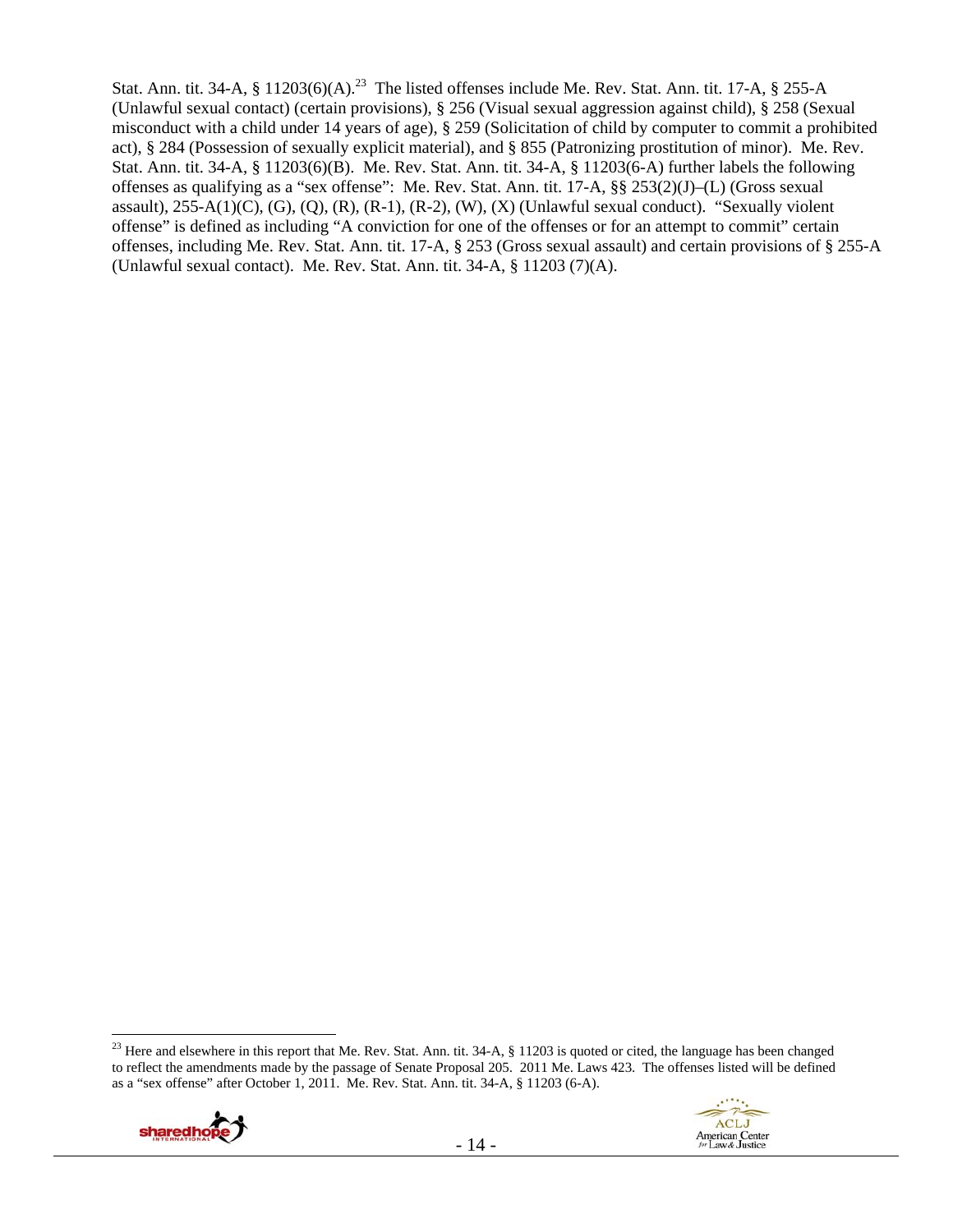Stat. Ann. tit. 34-A, § 11203(6)(A).<sup>23</sup> The listed offenses include Me. Rev. Stat. Ann. tit. 17-A, § 255-A (Unlawful sexual contact) (certain provisions), § 256 (Visual sexual aggression against child), § 258 (Sexual misconduct with a child under 14 years of age), § 259 (Solicitation of child by computer to commit a prohibited act), § 284 (Possession of sexually explicit material), and § 855 (Patronizing prostitution of minor). Me. Rev. Stat. Ann. tit. 34-A, § 11203(6)(B). Me. Rev. Stat. Ann. tit. 34-A, § 11203(6-A) further labels the following offenses as qualifying as a "sex offense": Me. Rev. Stat. Ann. tit. 17-A, §§ 253(2)(J)–(L) (Gross sexual assault),  $255-A(1)(C)$ ,  $(G)$ ,  $(Q)$ ,  $(R)$ ,  $(R-1)$ ,  $(R-2)$ ,  $(W)$ ,  $(X)$  (Unlawful sexual conduct). "Sexually violent offense" is defined as including "A conviction for one of the offenses or for an attempt to commit" certain offenses, including Me. Rev. Stat. Ann. tit. 17-A, § 253 (Gross sexual assault) and certain provisions of § 255-A (Unlawful sexual contact). Me. Rev. Stat. Ann. tit. 34-A, § 11203 (7)(A).

 $\overline{a}$ <sup>23</sup> Here and elsewhere in this report that Me. Rev. Stat. Ann. tit.  $34-A$ ,  $\S$  11203 is quoted or cited, the language has been changed to reflect the amendments made by the passage of Senate Proposal 205. 2011 Me. Laws 423. The offenses listed will be defined as a "sex offense" after October 1, 2011. Me. Rev. Stat. Ann. tit. 34-A, § 11203 (6-A).



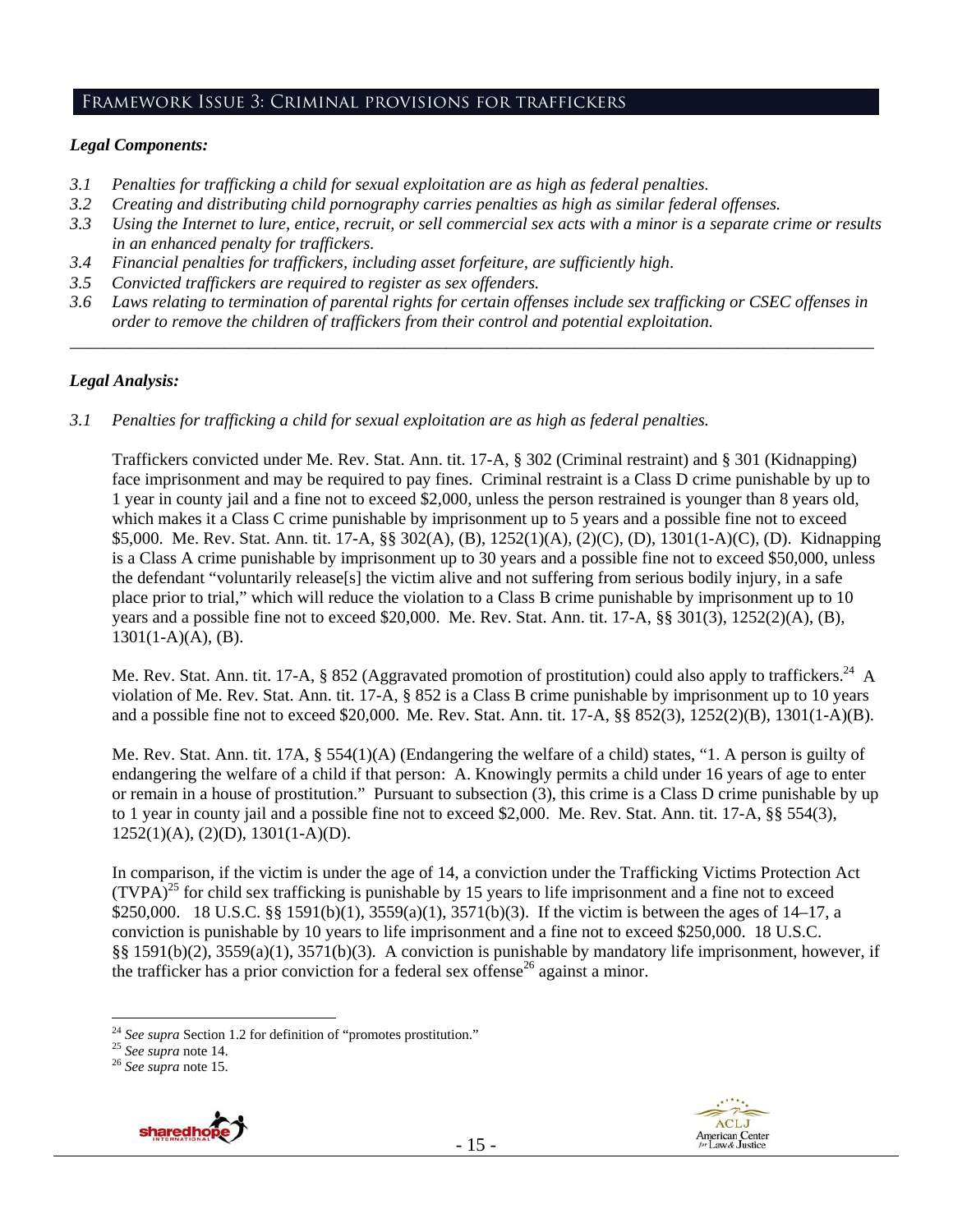# Framework Issue 3: Criminal provisions for traffickers

#### *Legal Components:*

- *3.1 Penalties for trafficking a child for sexual exploitation are as high as federal penalties.*
- *3.2 Creating and distributing child pornography carries penalties as high as similar federal offenses.*
- *3.3 Using the Internet to lure, entice, recruit, or sell commercial sex acts with a minor is a separate crime or results in an enhanced penalty for traffickers.*
- *3.4 Financial penalties for traffickers, including asset forfeiture, are sufficiently high*.
- *3.5 Convicted traffickers are required to register as sex offenders.*
- *3.6 Laws relating to termination of parental rights for certain offenses include sex trafficking or CSEC offenses in order to remove the children of traffickers from their control and potential exploitation.*

*\_\_\_\_\_\_\_\_\_\_\_\_\_\_\_\_\_\_\_\_\_\_\_\_\_\_\_\_\_\_\_\_\_\_\_\_\_\_\_\_\_\_\_\_\_\_\_\_\_\_\_\_\_\_\_\_\_\_\_\_\_\_\_\_\_\_\_\_\_\_\_\_\_\_\_\_\_\_\_\_\_\_\_\_\_\_\_\_\_\_\_\_\_\_* 

#### *Legal Analysis:*

*3.1 Penalties for trafficking a child for sexual exploitation are as high as federal penalties.* 

Traffickers convicted under Me. Rev. Stat. Ann. tit. 17-A, § 302 (Criminal restraint) and § 301 (Kidnapping) face imprisonment and may be required to pay fines. Criminal restraint is a Class D crime punishable by up to 1 year in county jail and a fine not to exceed \$2,000, unless the person restrained is younger than 8 years old, which makes it a Class C crime punishable by imprisonment up to 5 years and a possible fine not to exceed \$5,000. Me. Rev. Stat. Ann. tit. 17-A, §§ 302(A), (B), 1252(1)(A), (2)(C), (D), 1301(1-A)(C), (D). Kidnapping is a Class A crime punishable by imprisonment up to 30 years and a possible fine not to exceed \$50,000, unless the defendant "voluntarily release[s] the victim alive and not suffering from serious bodily injury, in a safe place prior to trial," which will reduce the violation to a Class B crime punishable by imprisonment up to 10 years and a possible fine not to exceed \$20,000. Me. Rev. Stat. Ann. tit. 17-A, §§ 301(3), 1252(2)(A), (B),  $1301(1-A)(A)$ , (B).

Me. Rev. Stat. Ann. tit. 17-A, § 852 (Aggravated promotion of prostitution) could also apply to traffickers.<sup>24</sup> A violation of Me. Rev. Stat. Ann. tit. 17-A, § 852 is a Class B crime punishable by imprisonment up to 10 years and a possible fine not to exceed \$20,000. Me. Rev. Stat. Ann. tit. 17-A, §§ 852(3), 1252(2)(B), 1301(1-A)(B).

Me. Rev. Stat. Ann. tit. 17A, § 554(1)(A) (Endangering the welfare of a child) states, "1. A person is guilty of endangering the welfare of a child if that person: A. Knowingly permits a child under 16 years of age to enter or remain in a house of prostitution." Pursuant to subsection (3), this crime is a Class D crime punishable by up to 1 year in county jail and a possible fine not to exceed \$2,000. Me. Rev. Stat. Ann. tit. 17-A, §§ 554(3),  $1252(1)(A), (2)(D), 1301(1-A)(D).$ 

In comparison, if the victim is under the age of 14, a conviction under the Trafficking Victims Protection Act  $(TVPA)^{25}$  for child sex trafficking is punishable by 15 years to life imprisonment and a fine not to exceed \$250,000. 18 U.S.C. §§ 1591(b)(1), 3559(a)(1), 3571(b)(3). If the victim is between the ages of 14–17, a conviction is punishable by 10 years to life imprisonment and a fine not to exceed \$250,000. 18 U.S.C. §§ 1591(b)(2), 3559(a)(1), 3571(b)(3). A conviction is punishable by mandatory life imprisonment, however, if the trafficker has a prior conviction for a federal sex offense<sup>26</sup> against a minor.





 $\overline{a}$ <sup>24</sup> *See supra* Section 1.2 for definition of "promotes prostitution." 25 *See supra* note 14. 26 *See supra* note 15.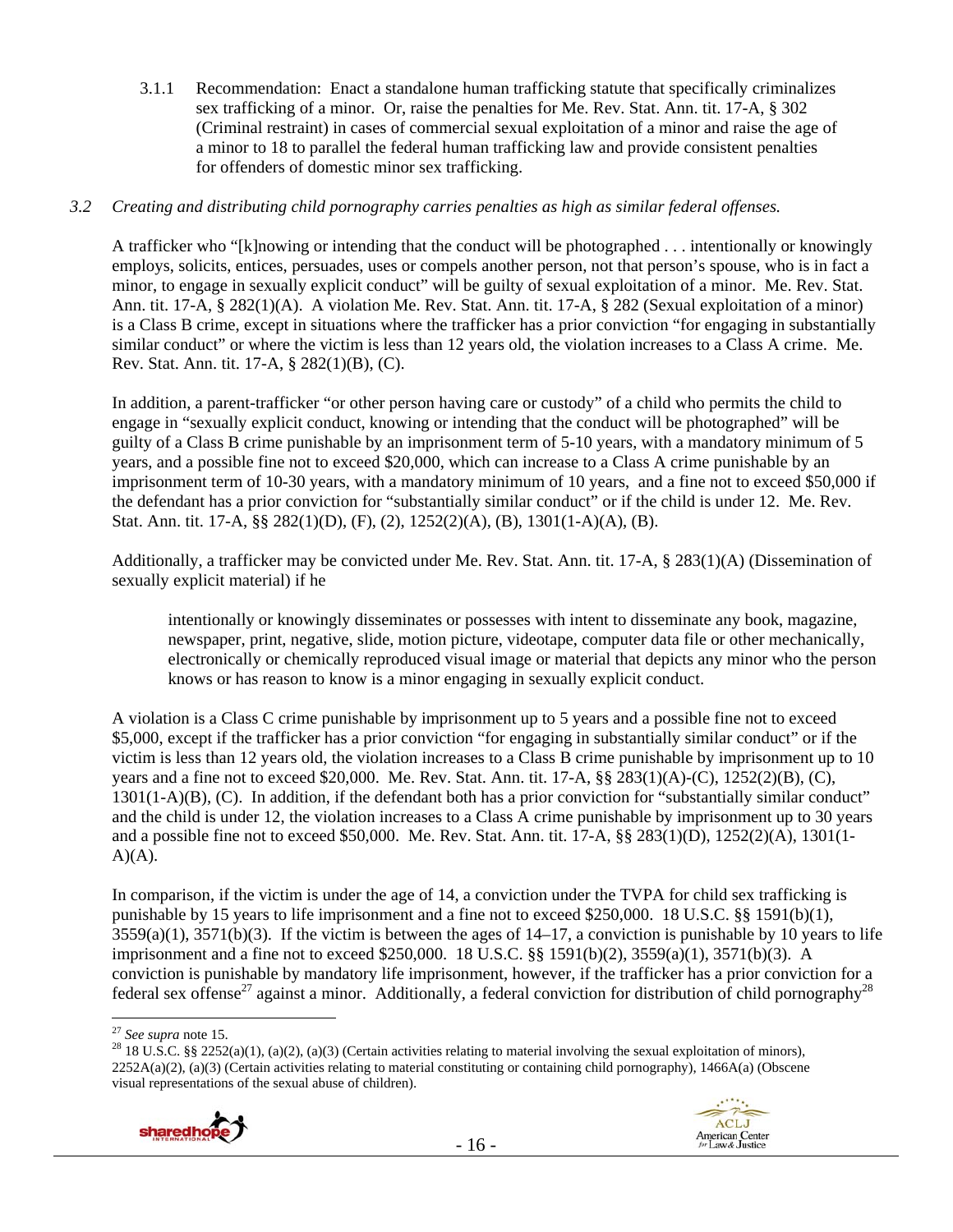3.1.1 Recommendation: Enact a standalone human trafficking statute that specifically criminalizes sex trafficking of a minor. Or, raise the penalties for Me. Rev. Stat. Ann. tit. 17-A, § 302 (Criminal restraint) in cases of commercial sexual exploitation of a minor and raise the age of a minor to 18 to parallel the federal human trafficking law and provide consistent penalties for offenders of domestic minor sex trafficking.

# *3.2 Creating and distributing child pornography carries penalties as high as similar federal offenses.*

A trafficker who "[k]nowing or intending that the conduct will be photographed . . . intentionally or knowingly employs, solicits, entices, persuades, uses or compels another person, not that person's spouse, who is in fact a minor, to engage in sexually explicit conduct" will be guilty of sexual exploitation of a minor. Me. Rev. Stat. Ann. tit. 17-A, § 282(1)(A). A violation Me. Rev. Stat. Ann. tit. 17-A, § 282 (Sexual exploitation of a minor) is a Class B crime, except in situations where the trafficker has a prior conviction "for engaging in substantially similar conduct" or where the victim is less than 12 years old, the violation increases to a Class A crime. Me. Rev. Stat. Ann. tit. 17-A, § 282(1)(B), (C).

In addition, a parent-trafficker "or other person having care or custody" of a child who permits the child to engage in "sexually explicit conduct, knowing or intending that the conduct will be photographed" will be guilty of a Class B crime punishable by an imprisonment term of 5-10 years, with a mandatory minimum of 5 years, and a possible fine not to exceed \$20,000, which can increase to a Class A crime punishable by an imprisonment term of 10-30 years, with a mandatory minimum of 10 years, and a fine not to exceed \$50,000 if the defendant has a prior conviction for "substantially similar conduct" or if the child is under 12. Me. Rev. Stat. Ann. tit. 17-A, §§ 282(1)(D), (F), (2), 1252(2)(A), (B), 1301(1-A)(A), (B).

Additionally, a trafficker may be convicted under Me. Rev. Stat. Ann. tit. 17-A, § 283(1)(A) (Dissemination of sexually explicit material) if he

intentionally or knowingly disseminates or possesses with intent to disseminate any book, magazine, newspaper, print, negative, slide, motion picture, videotape, computer data file or other mechanically, electronically or chemically reproduced visual image or material that depicts any minor who the person knows or has reason to know is a minor engaging in sexually explicit conduct.

A violation is a Class C crime punishable by imprisonment up to 5 years and a possible fine not to exceed \$5,000, except if the trafficker has a prior conviction "for engaging in substantially similar conduct" or if the victim is less than 12 years old, the violation increases to a Class B crime punishable by imprisonment up to 10 years and a fine not to exceed \$20,000. Me. Rev. Stat. Ann. tit. 17-A, §§ 283(1)(A)-(C), 1252(2)(B), (C), 1301(1-A)(B), (C). In addition, if the defendant both has a prior conviction for "substantially similar conduct" and the child is under 12, the violation increases to a Class A crime punishable by imprisonment up to 30 years and a possible fine not to exceed \$50,000. Me. Rev. Stat. Ann. tit. 17-A, §§ 283(1)(D), 1252(2)(A), 1301(1-  $A)(A)$ .

In comparison, if the victim is under the age of 14, a conviction under the TVPA for child sex trafficking is punishable by 15 years to life imprisonment and a fine not to exceed \$250,000. 18 U.S.C. §§ 1591(b)(1),  $3559(a)(1)$ ,  $3571(b)(3)$ . If the victim is between the ages of  $14-17$ , a conviction is punishable by 10 years to life imprisonment and a fine not to exceed \$250,000. 18 U.S.C. §§ 1591(b)(2), 3559(a)(1), 3571(b)(3). A conviction is punishable by mandatory life imprisonment, however, if the trafficker has a prior conviction for a federal sex offense<sup>27</sup> against a minor. Additionally, a federal conviction for distribution of child pornography<sup>28</sup>

<sup>&</sup>lt;sup>28</sup> 18 U.S.C. §§ 2252(a)(1), (a)(2), (a)(3) (Certain activities relating to material involving the sexual exploitation of minors),  $2252A(a)(2)$ , (a)(3) (Certain activities relating to material constituting or containing child pornography), 1466A(a) (Obscene visual representations of the sexual abuse of children).





<sup>&</sup>lt;sup>27</sup> See supra note 15.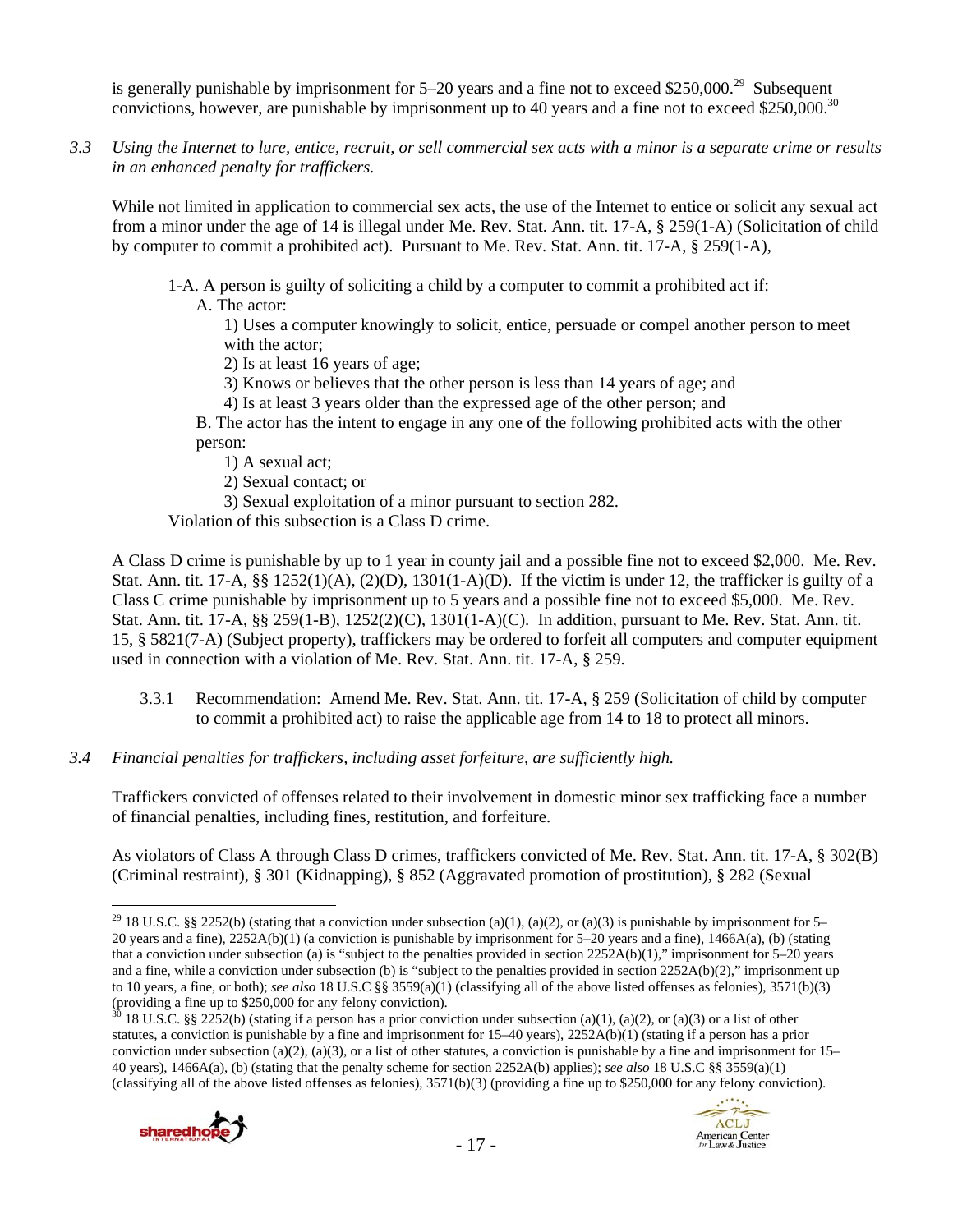is generally punishable by imprisonment for  $5-20$  years and a fine not to exceed \$250,000.<sup>29</sup> Subsequent convictions, however, are punishable by imprisonment up to 40 years and a fine not to exceed \$250,000.<sup>30</sup>

*3.3 Using the Internet to lure, entice, recruit, or sell commercial sex acts with a minor is a separate crime or results in an enhanced penalty for traffickers.* 

While not limited in application to commercial sex acts, the use of the Internet to entice or solicit any sexual act from a minor under the age of 14 is illegal under Me. Rev. Stat. Ann. tit. 17-A, § 259(1-A) (Solicitation of child by computer to commit a prohibited act). Pursuant to Me. Rev. Stat. Ann. tit. 17-A, § 259(1-A),

1-A. A person is guilty of soliciting a child by a computer to commit a prohibited act if:

A. The actor:

1) Uses a computer knowingly to solicit, entice, persuade or compel another person to meet with the actor;

2) Is at least 16 years of age;

3) Knows or believes that the other person is less than 14 years of age; and

4) Is at least 3 years older than the expressed age of the other person; and

B. The actor has the intent to engage in any one of the following prohibited acts with the other person:

1) A sexual act;

2) Sexual contact; or

3) Sexual exploitation of a minor pursuant to section 282.

Violation of this subsection is a Class D crime.

A Class D crime is punishable by up to 1 year in county jail and a possible fine not to exceed \$2,000. Me. Rev. Stat. Ann. tit. 17-A,  $\S$ § 1252(1)(A), (2)(D), 1301(1-A)(D). If the victim is under 12, the trafficker is guilty of a Class C crime punishable by imprisonment up to 5 years and a possible fine not to exceed \$5,000. Me. Rev. Stat. Ann. tit. 17-A, §§ 259(1-B), 1252(2)(C), 1301(1-A)(C). In addition, pursuant to Me. Rev. Stat. Ann. tit. 15, § 5821(7-A) (Subject property), traffickers may be ordered to forfeit all computers and computer equipment used in connection with a violation of Me. Rev. Stat. Ann. tit. 17-A, § 259.

- 3.3.1 Recommendation: Amend Me. Rev. Stat. Ann. tit. 17-A, § 259 (Solicitation of child by computer to commit a prohibited act) to raise the applicable age from 14 to 18 to protect all minors.
- *3.4 Financial penalties for traffickers, including asset forfeiture, are sufficiently high.*

Traffickers convicted of offenses related to their involvement in domestic minor sex trafficking face a number of financial penalties, including fines, restitution, and forfeiture.

As violators of Class A through Class D crimes, traffickers convicted of Me. Rev. Stat. Ann. tit. 17-A, § 302(B) (Criminal restraint), § 301 (Kidnapping), § 852 (Aggravated promotion of prostitution), § 282 (Sexual

<sup>18</sup> U.S.C. §§ 2252(b) (stating if a person has a prior conviction under subsection (a)(1), (a)(2), or (a)(3) or a list of other statutes, a conviction is punishable by a fine and imprisonment for 15–40 years), 2252A(b)(1) (stating if a person has a prior conviction under subsection (a)(2), (a)(3), or a list of other statutes, a conviction is punishable by a fine and imprisonment for  $15-$ 40 years), 1466A(a), (b) (stating that the penalty scheme for section 2252A(b) applies); *see also* 18 U.S.C §§ 3559(a)(1) (classifying all of the above listed offenses as felonies), 3571(b)(3) (providing a fine up to \$250,000 for any felony conviction).





<sup>&</sup>lt;sup>29</sup> 18 U.S.C. §§ 2252(b) (stating that a conviction under subsection (a)(1), (a)(2), or (a)(3) is punishable by imprisonment for 5– 20 years and a fine), 2252A(b)(1) (a conviction is punishable by imprisonment for 5–20 years and a fine), 1466A(a), (b) (stating that a conviction under subsection (a) is "subject to the penalties provided in section 2252A(b)(1)," imprisonment for 5–20 years and a fine, while a conviction under subsection (b) is "subject to the penalties provided in section 2252A(b)(2)," imprisonment up to 10 years, a fine, or both); *see also* 18 U.S.C §§ 3559(a)(1) (classifying all of the above listed offenses as felonies), 3571(b)(3) (providing a fine up to \$250,000 for any felony conviction).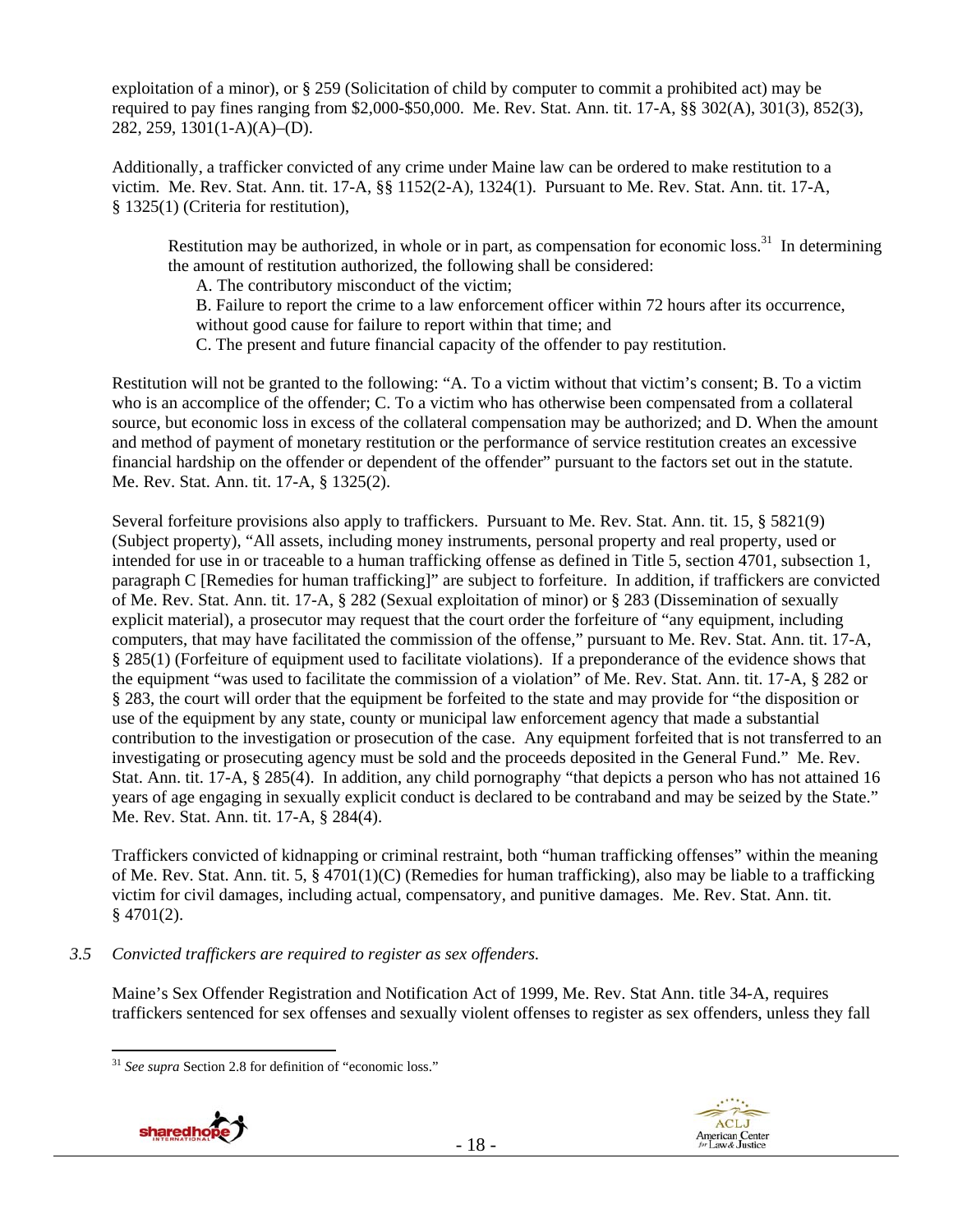exploitation of a minor), or § 259 (Solicitation of child by computer to commit a prohibited act) may be required to pay fines ranging from \$2,000-\$50,000. Me. Rev. Stat. Ann. tit. 17-A, §§ 302(A), 301(3), 852(3), 282, 259, 1301(1-A)(A)–(D).

Additionally, a trafficker convicted of any crime under Maine law can be ordered to make restitution to a victim. Me. Rev. Stat. Ann. tit. 17-A, §§ 1152(2-A), 1324(1). Pursuant to Me. Rev. Stat. Ann. tit. 17-A, § 1325(1) (Criteria for restitution),

Restitution may be authorized, in whole or in part, as compensation for economic loss.<sup>31</sup> In determining the amount of restitution authorized, the following shall be considered:

A. The contributory misconduct of the victim;

B. Failure to report the crime to a law enforcement officer within 72 hours after its occurrence, without good cause for failure to report within that time; and

C. The present and future financial capacity of the offender to pay restitution.

Restitution will not be granted to the following: "A. To a victim without that victim's consent; B. To a victim who is an accomplice of the offender; C. To a victim who has otherwise been compensated from a collateral source, but economic loss in excess of the collateral compensation may be authorized; and D. When the amount and method of payment of monetary restitution or the performance of service restitution creates an excessive financial hardship on the offender or dependent of the offender" pursuant to the factors set out in the statute. Me. Rev. Stat. Ann. tit. 17-A, § 1325(2).

Several forfeiture provisions also apply to traffickers. Pursuant to Me. Rev. Stat. Ann. tit. 15, § 5821(9) (Subject property), "All assets, including money instruments, personal property and real property, used or intended for use in or traceable to a human trafficking offense as defined in Title 5, section 4701, subsection 1, paragraph C [Remedies for human trafficking]" are subject to forfeiture. In addition, if traffickers are convicted of Me. Rev. Stat. Ann. tit. 17-A, § 282 (Sexual exploitation of minor) or § 283 (Dissemination of sexually explicit material), a prosecutor may request that the court order the forfeiture of "any equipment, including computers, that may have facilitated the commission of the offense," pursuant to Me. Rev. Stat. Ann. tit. 17-A, § 285(1) (Forfeiture of equipment used to facilitate violations). If a preponderance of the evidence shows that the equipment "was used to facilitate the commission of a violation" of Me. Rev. Stat. Ann. tit. 17-A, § 282 or § 283, the court will order that the equipment be forfeited to the state and may provide for "the disposition or use of the equipment by any state, county or municipal law enforcement agency that made a substantial contribution to the investigation or prosecution of the case. Any equipment forfeited that is not transferred to an investigating or prosecuting agency must be sold and the proceeds deposited in the General Fund." Me. Rev. Stat. Ann. tit. 17-A, § 285(4). In addition, any child pornography "that depicts a person who has not attained 16 years of age engaging in sexually explicit conduct is declared to be contraband and may be seized by the State." Me. Rev. Stat. Ann. tit. 17-A, § 284(4).

Traffickers convicted of kidnapping or criminal restraint, both "human trafficking offenses" within the meaning of Me. Rev. Stat. Ann. tit. 5, § 4701(1)(C) (Remedies for human trafficking), also may be liable to a trafficking victim for civil damages, including actual, compensatory, and punitive damages. Me. Rev. Stat. Ann. tit.  $§$  4701(2).

*3.5 Convicted traffickers are required to register as sex offenders.*

Maine's Sex Offender Registration and Notification Act of 1999, Me. Rev. Stat Ann. title 34-A, requires traffickers sentenced for sex offenses and sexually violent offenses to register as sex offenders, unless they fall

 $\overline{a}$ <sup>31</sup> *See supra* Section 2.8 for definition of "economic loss."



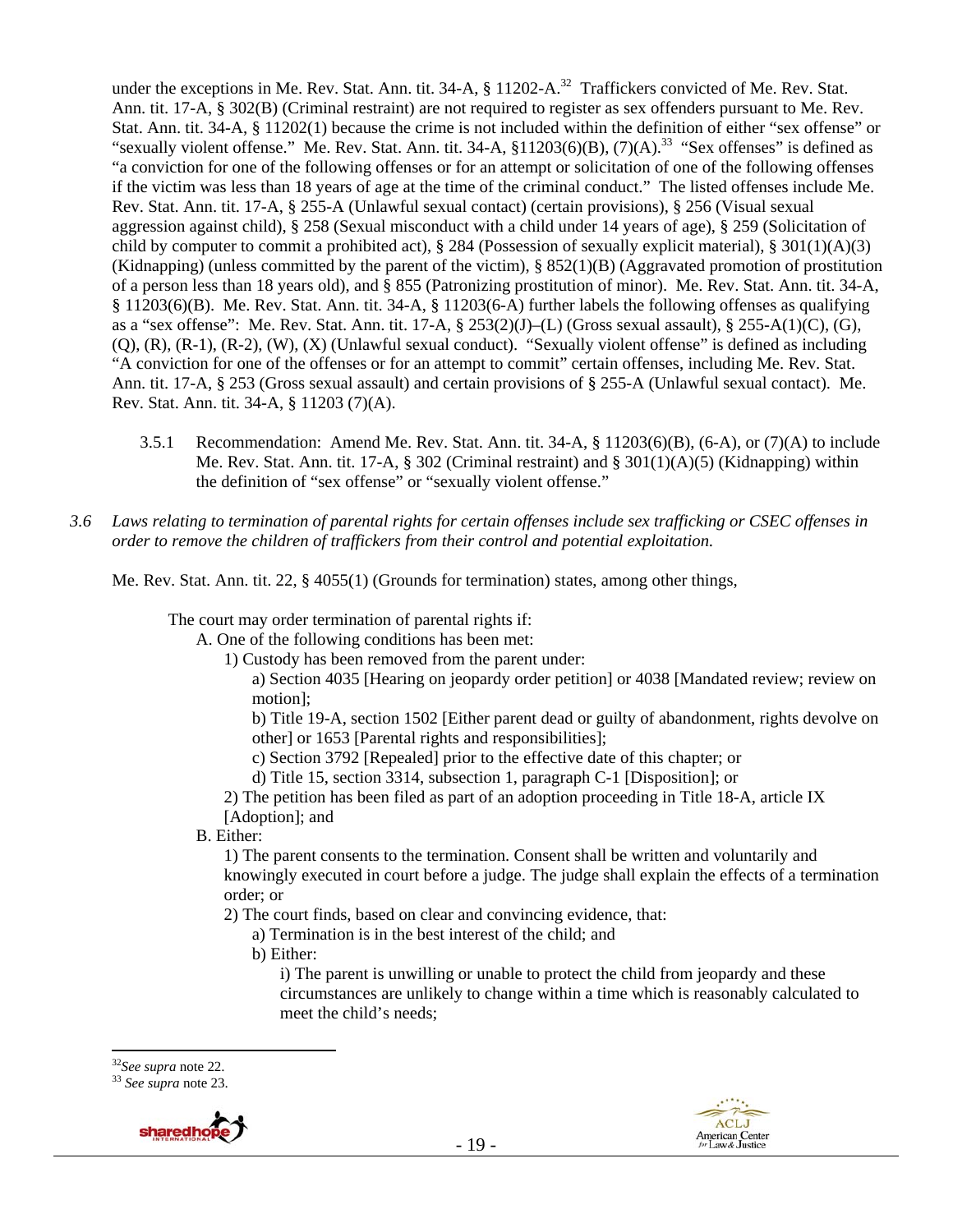under the exceptions in Me. Rev. Stat. Ann. tit. 34-A, § 11202-A.<sup>32</sup> Traffickers convicted of Me. Rev. Stat. Ann. tit. 17-A, § 302(B) (Criminal restraint) are not required to register as sex offenders pursuant to Me. Rev. Stat. Ann. tit. 34-A, § 11202(1) because the crime is not included within the definition of either "sex offense" or "sexually violent offense." Me. Rev. Stat. Ann. tit. 34-A,  $\S11203(6)(B)$ ,  $(7)(A)$ .<sup>33</sup> "Sex offenses" is defined as "a conviction for one of the following offenses or for an attempt or solicitation of one of the following offenses if the victim was less than 18 years of age at the time of the criminal conduct." The listed offenses include Me. Rev. Stat. Ann. tit. 17-A, § 255-A (Unlawful sexual contact) (certain provisions), § 256 (Visual sexual aggression against child), § 258 (Sexual misconduct with a child under 14 years of age), § 259 (Solicitation of child by computer to commit a prohibited act),  $\S 284$  (Possession of sexually explicit material),  $\S 301(1)(A)(3)$ (Kidnapping) (unless committed by the parent of the victim), § 852(1)(B) (Aggravated promotion of prostitution of a person less than 18 years old), and § 855 (Patronizing prostitution of minor). Me. Rev. Stat. Ann. tit. 34-A, § 11203(6)(B). Me. Rev. Stat. Ann. tit. 34-A, § 11203(6-A) further labels the following offenses as qualifying as a "sex offense": Me. Rev. Stat. Ann. tit. 17-A, § 253(2)(J)–(L) (Gross sexual assault), § 255-A(1)(C), (G), (Q), (R), (R-1), (R-2), (W), (X) (Unlawful sexual conduct). "Sexually violent offense" is defined as including "A conviction for one of the offenses or for an attempt to commit" certain offenses, including Me. Rev. Stat. Ann. tit. 17-A, § 253 (Gross sexual assault) and certain provisions of § 255-A (Unlawful sexual contact). Me. Rev. Stat. Ann. tit. 34-A, § 11203 (7)(A).

- 3.5.1 Recommendation: Amend Me. Rev. Stat. Ann. tit. 34-A, § 11203(6)(B), (6-A), or (7)(A) to include Me. Rev. Stat. Ann. tit. 17-A, § 302 (Criminal restraint) and § 301(1)(A)(5) (Kidnapping) within the definition of "sex offense" or "sexually violent offense."
- *3.6 Laws relating to termination of parental rights for certain offenses include sex trafficking or CSEC offenses in order to remove the children of traffickers from their control and potential exploitation.*

Me. Rev. Stat. Ann. tit. 22, § 4055(1) (Grounds for termination) states, among other things,

The court may order termination of parental rights if:

A. One of the following conditions has been met:

- 1) Custody has been removed from the parent under:
	- a) Section 4035 [Hearing on jeopardy order petition] or 4038 [Mandated review; review on motion];

b) Title 19-A, section 1502 [Either parent dead or guilty of abandonment, rights devolve on other] or 1653 [Parental rights and responsibilities];

- c) Section 3792 [Repealed] prior to the effective date of this chapter; or
- d) Title 15, section 3314, subsection 1, paragraph C-1 [Disposition]; or

2) The petition has been filed as part of an adoption proceeding in Title 18-A, article IX [Adoption]; and

B. Either:

1) The parent consents to the termination. Consent shall be written and voluntarily and knowingly executed in court before a judge. The judge shall explain the effects of a termination order; or

2) The court finds, based on clear and convincing evidence, that:

a) Termination is in the best interest of the child; and

b) Either:

i) The parent is unwilling or unable to protect the child from jeopardy and these circumstances are unlikely to change within a time which is reasonably calculated to meet the child's needs;





<sup>32</sup>*See supra* note 22. 33 *See supra* note 23.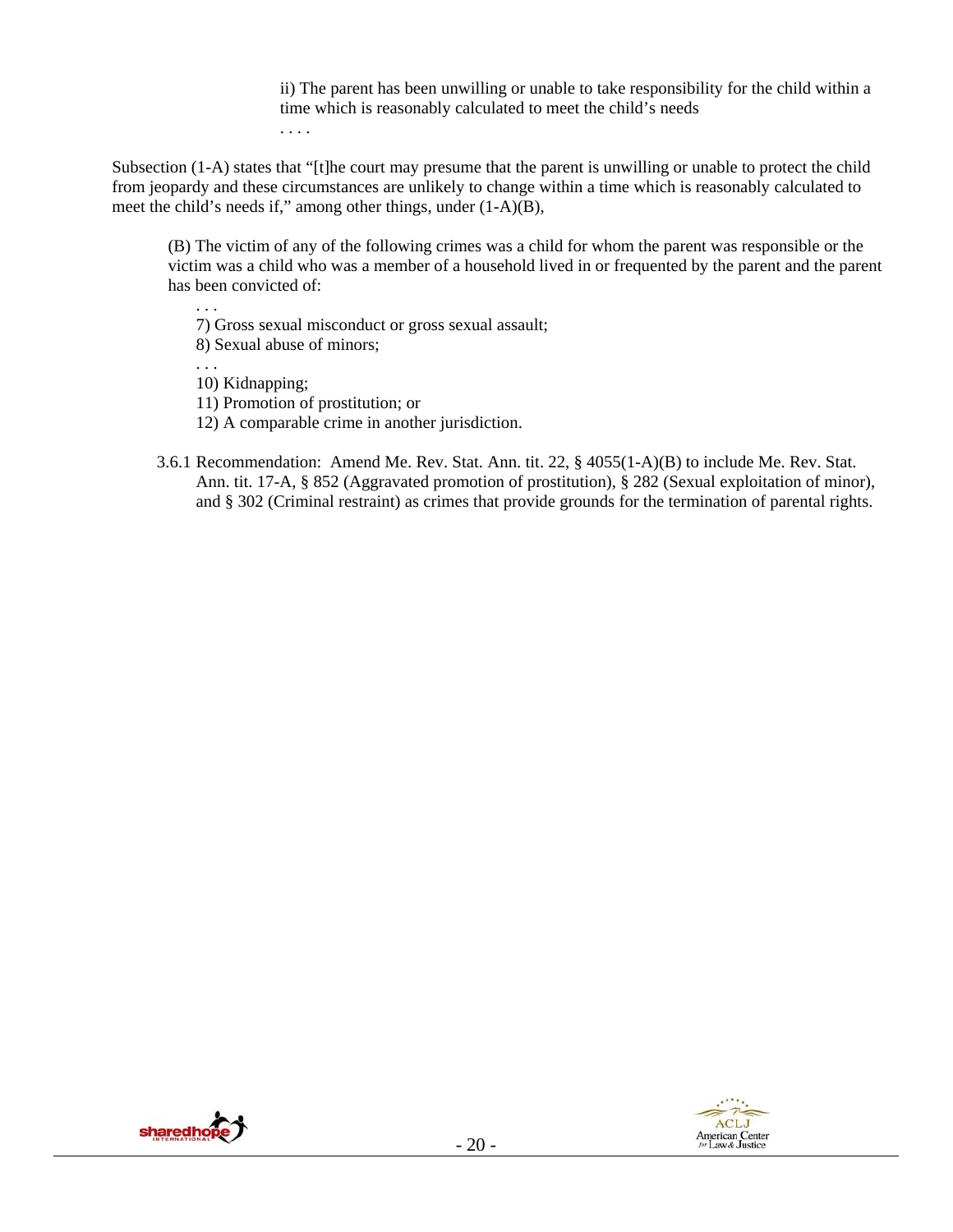ii) The parent has been unwilling or unable to take responsibility for the child within a time which is reasonably calculated to meet the child's needs . . . .

Subsection (1-A) states that "[t]he court may presume that the parent is unwilling or unable to protect the child from jeopardy and these circumstances are unlikely to change within a time which is reasonably calculated to meet the child's needs if," among other things, under (1-A)(B),

(B) The victim of any of the following crimes was a child for whom the parent was responsible or the victim was a child who was a member of a household lived in or frequented by the parent and the parent has been convicted of:

7) Gross sexual misconduct or gross sexual assault; 8) Sexual abuse of minors;

. . .

10) Kidnapping;

11) Promotion of prostitution; or

12) A comparable crime in another jurisdiction.

3.6.1 Recommendation: Amend Me. Rev. Stat. Ann. tit. 22, § 4055(1-A)(B) to include Me. Rev. Stat. Ann. tit. 17-A, § 852 (Aggravated promotion of prostitution), § 282 (Sexual exploitation of minor), and § 302 (Criminal restraint) as crimes that provide grounds for the termination of parental rights.



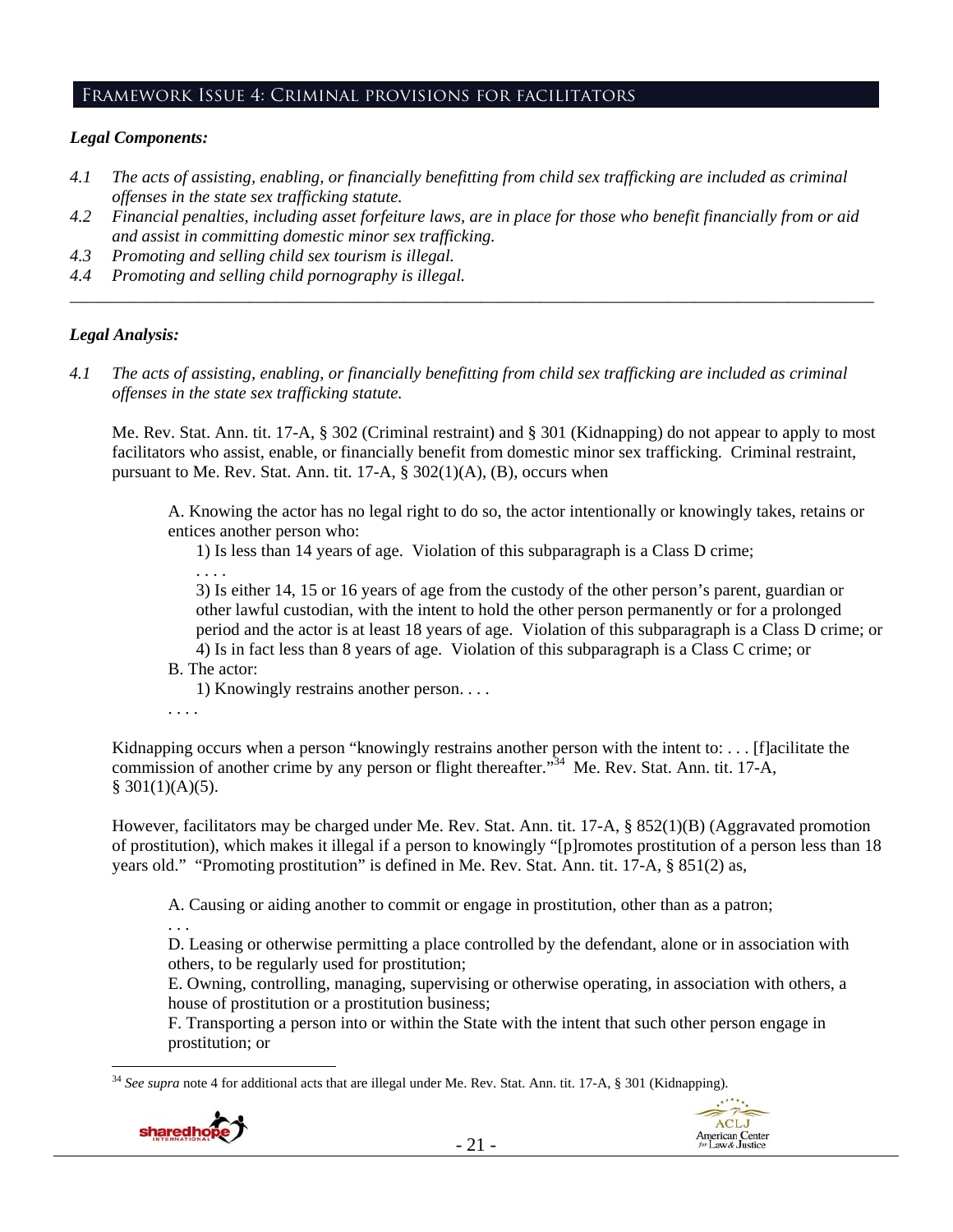#### Framework Issue 4: Criminal provisions for facilitators

### *Legal Components:*

- *4.1 The acts of assisting, enabling, or financially benefitting from child sex trafficking are included as criminal offenses in the state sex trafficking statute.*
- *4.2 Financial penalties, including asset forfeiture laws, are in place for those who benefit financially from or aid and assist in committing domestic minor sex trafficking.*
- *4.3 Promoting and selling child sex tourism is illegal.*
- *4.4 Promoting and selling child pornography is illegal. \_\_\_\_\_\_\_\_\_\_\_\_\_\_\_\_\_\_\_\_\_\_\_\_\_\_\_\_\_\_\_\_\_\_\_\_\_\_\_\_\_\_\_\_\_\_\_\_\_\_\_\_\_\_\_\_\_\_\_\_\_\_\_\_\_\_\_\_\_\_\_\_\_\_\_\_\_\_\_\_\_\_\_\_\_\_\_\_\_\_\_\_\_\_*

#### *Legal Analysis:*

*4.1 The acts of assisting, enabling, or financially benefitting from child sex trafficking are included as criminal offenses in the state sex trafficking statute.*

Me. Rev. Stat. Ann. tit. 17-A, § 302 (Criminal restraint) and § 301 (Kidnapping) do not appear to apply to most facilitators who assist, enable, or financially benefit from domestic minor sex trafficking. Criminal restraint, pursuant to Me. Rev. Stat. Ann. tit.  $17-A$ ,  $\S$   $302(1)(A)$ ,  $(B)$ , occurs when

A. Knowing the actor has no legal right to do so, the actor intentionally or knowingly takes, retains or entices another person who:

1) Is less than 14 years of age. Violation of this subparagraph is a Class D crime;

. . . .

3) Is either 14, 15 or 16 years of age from the custody of the other person's parent, guardian or other lawful custodian, with the intent to hold the other person permanently or for a prolonged period and the actor is at least 18 years of age. Violation of this subparagraph is a Class D crime; or 4) Is in fact less than 8 years of age. Violation of this subparagraph is a Class C crime; or

B. The actor:

1) Knowingly restrains another person. . . .

. . . .

Kidnapping occurs when a person "knowingly restrains another person with the intent to: . . . [f]acilitate the commission of another crime by any person or flight thereafter."<sup>34</sup> Me. Rev. Stat. Ann. tit. 17-A,  $$301(1)(A)(5).$ 

However, facilitators may be charged under Me. Rev. Stat. Ann. tit. 17-A, § 852(1)(B) (Aggravated promotion of prostitution), which makes it illegal if a person to knowingly "[p]romotes prostitution of a person less than 18 years old." "Promoting prostitution" is defined in Me. Rev. Stat. Ann. tit. 17-A, § 851(2) as,

A. Causing or aiding another to commit or engage in prostitution, other than as a patron;

. . .

 $\overline{a}$ 

D. Leasing or otherwise permitting a place controlled by the defendant, alone or in association with others, to be regularly used for prostitution;

E. Owning, controlling, managing, supervising or otherwise operating, in association with others, a house of prostitution or a prostitution business;

F. Transporting a person into or within the State with the intent that such other person engage in prostitution; or

<sup>34</sup> *See supra* note 4 for additional acts that are illegal under Me. Rev. Stat. Ann. tit. 17-A, § 301 (Kidnapping).



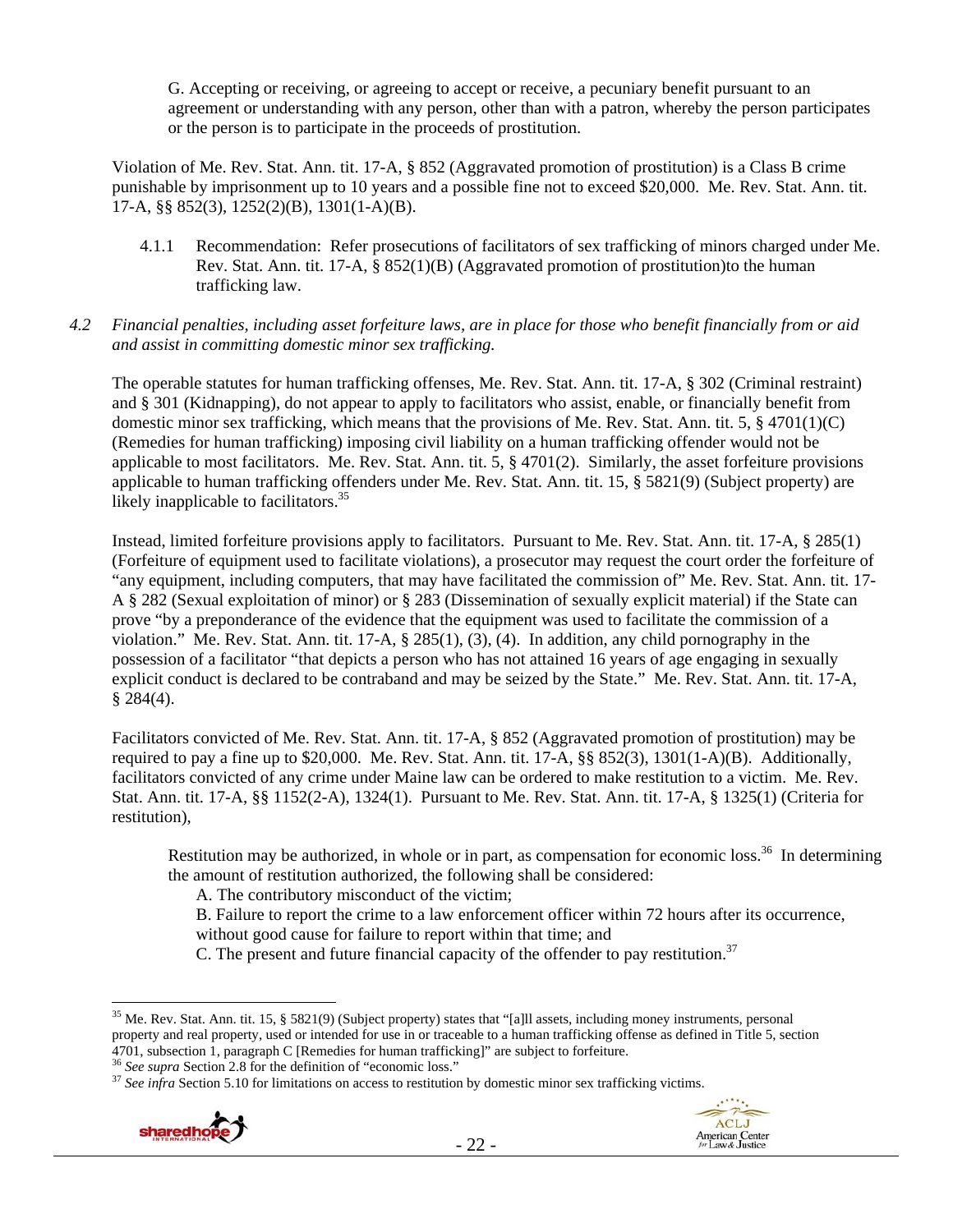G. Accepting or receiving, or agreeing to accept or receive, a pecuniary benefit pursuant to an agreement or understanding with any person, other than with a patron, whereby the person participates or the person is to participate in the proceeds of prostitution.

Violation of Me. Rev. Stat. Ann. tit. 17-A, § 852 (Aggravated promotion of prostitution) is a Class B crime punishable by imprisonment up to 10 years and a possible fine not to exceed \$20,000. Me. Rev. Stat. Ann. tit. 17-A, §§ 852(3), 1252(2)(B), 1301(1-A)(B).

- 4.1.1 Recommendation: Refer prosecutions of facilitators of sex trafficking of minors charged under Me. Rev. Stat. Ann. tit. 17-A, § 852(1)(B) (Aggravated promotion of prostitution)to the human trafficking law.
- *4.2 Financial penalties, including asset forfeiture laws, are in place for those who benefit financially from or aid and assist in committing domestic minor sex trafficking.*

The operable statutes for human trafficking offenses, Me. Rev. Stat. Ann. tit. 17-A, § 302 (Criminal restraint) and § 301 (Kidnapping), do not appear to apply to facilitators who assist, enable, or financially benefit from domestic minor sex trafficking, which means that the provisions of Me. Rev. Stat. Ann. tit. 5,  $\S$  4701(1)(C) (Remedies for human trafficking) imposing civil liability on a human trafficking offender would not be applicable to most facilitators. Me. Rev. Stat. Ann. tit. 5, § 4701(2). Similarly, the asset forfeiture provisions applicable to human trafficking offenders under Me. Rev. Stat. Ann. tit. 15, § 5821(9) (Subject property) are likely inapplicable to facilitators. $35<sup>35</sup>$ 

Instead, limited forfeiture provisions apply to facilitators. Pursuant to Me. Rev. Stat. Ann. tit. 17-A, § 285(1) (Forfeiture of equipment used to facilitate violations), a prosecutor may request the court order the forfeiture of "any equipment, including computers, that may have facilitated the commission of" Me. Rev. Stat. Ann. tit. 17- A § 282 (Sexual exploitation of minor) or § 283 (Dissemination of sexually explicit material) if the State can prove "by a preponderance of the evidence that the equipment was used to facilitate the commission of a violation." Me. Rev. Stat. Ann. tit. 17-A, § 285(1), (3), (4). In addition, any child pornography in the possession of a facilitator "that depicts a person who has not attained 16 years of age engaging in sexually explicit conduct is declared to be contraband and may be seized by the State." Me. Rev. Stat. Ann. tit. 17-A,  $§$  284(4).

Facilitators convicted of Me. Rev. Stat. Ann. tit. 17-A, § 852 (Aggravated promotion of prostitution) may be required to pay a fine up to \$20,000. Me. Rev. Stat. Ann. tit. 17-A, §§ 852(3), 1301(1-A)(B). Additionally, facilitators convicted of any crime under Maine law can be ordered to make restitution to a victim. Me. Rev. Stat. Ann. tit. 17-A, §§ 1152(2-A), 1324(1). Pursuant to Me. Rev. Stat. Ann. tit. 17-A, § 1325(1) (Criteria for restitution),

Restitution may be authorized, in whole or in part, as compensation for economic loss.<sup>36</sup> In determining the amount of restitution authorized, the following shall be considered:

A. The contributory misconduct of the victim;

- B. Failure to report the crime to a law enforcement officer within 72 hours after its occurrence, without good cause for failure to report within that time; and
- C. The present and future financial capacity of the offender to pay restitution.<sup>37</sup>





<sup>&</sup>lt;sup>35</sup> Me. Rev. Stat. Ann. tit. 15, § 5821(9) (Subject property) states that "[a]ll assets, including money instruments, personal property and real property, used or intended for use in or traceable to a human trafficking offense as defined in Title 5, section 4701, subsection 1, paragraph C [Remedies for human trafficking]" are subject to forfeiture.<br><sup>36</sup> See supra Section 2.8 for the definition of "economic loss."<br><sup>37</sup> See infra Section 5.10 for limitations on access to resti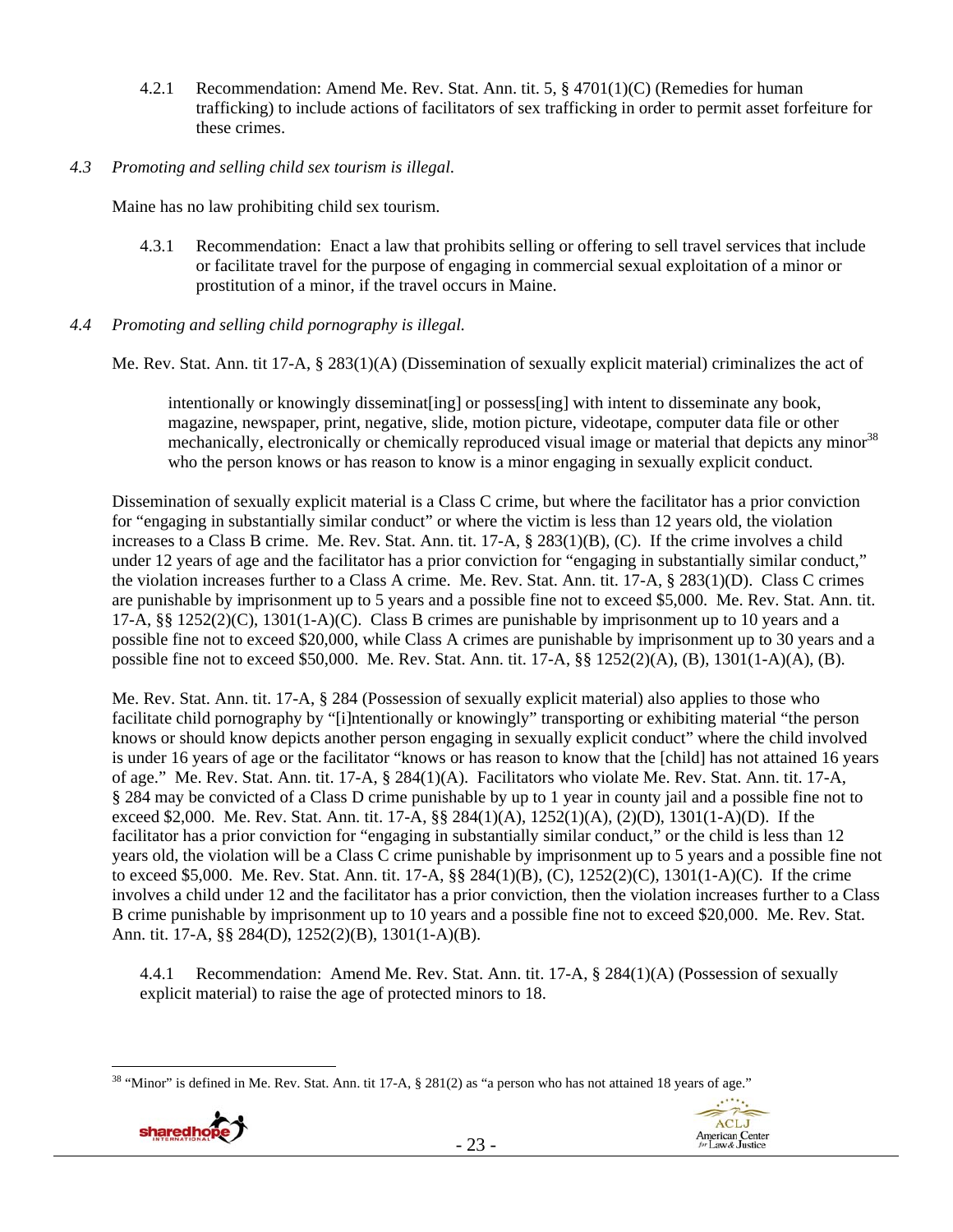- 4.2.1 Recommendation: Amend Me. Rev. Stat. Ann. tit. 5, § 4701(1)(C) (Remedies for human trafficking) to include actions of facilitators of sex trafficking in order to permit asset forfeiture for these crimes.
- *4.3 Promoting and selling child sex tourism is illegal*.

Maine has no law prohibiting child sex tourism.

- 4.3.1 Recommendation: Enact a law that prohibits selling or offering to sell travel services that include or facilitate travel for the purpose of engaging in commercial sexual exploitation of a minor or prostitution of a minor, if the travel occurs in Maine.
- *4.4 Promoting and selling child pornography is illegal.*

Me. Rev. Stat. Ann. tit 17-A, § 283(1)(A) (Dissemination of sexually explicit material) criminalizes the act of

intentionally or knowingly disseminat [ing] or possess [ing] with intent to disseminate any book, magazine, newspaper, print, negative, slide, motion picture, videotape, computer data file or other mechanically, electronically or chemically reproduced visual image or material that depicts any minor<sup>38</sup> who the person knows or has reason to know is a minor engaging in sexually explicit conduct.

Dissemination of sexually explicit material is a Class C crime, but where the facilitator has a prior conviction for "engaging in substantially similar conduct" or where the victim is less than 12 years old, the violation increases to a Class B crime. Me. Rev. Stat. Ann. tit. 17-A, § 283(1)(B), (C). If the crime involves a child under 12 years of age and the facilitator has a prior conviction for "engaging in substantially similar conduct," the violation increases further to a Class A crime. Me. Rev. Stat. Ann. tit. 17-A, § 283(1)(D). Class C crimes are punishable by imprisonment up to 5 years and a possible fine not to exceed \$5,000. Me. Rev. Stat. Ann. tit. 17-A, §§ 1252(2)(C), 1301(1-A)(C). Class B crimes are punishable by imprisonment up to 10 years and a possible fine not to exceed \$20,000, while Class A crimes are punishable by imprisonment up to 30 years and a possible fine not to exceed \$50,000. Me. Rev. Stat. Ann. tit. 17-A, §§ 1252(2)(A), (B), 1301(1-A)(A), (B).

Me. Rev. Stat. Ann. tit. 17-A, § 284 (Possession of sexually explicit material) also applies to those who facilitate child pornography by "[i]ntentionally or knowingly" transporting or exhibiting material "the person knows or should know depicts another person engaging in sexually explicit conduct" where the child involved is under 16 years of age or the facilitator "knows or has reason to know that the [child] has not attained 16 years of age." Me. Rev. Stat. Ann. tit. 17-A, § 284(1)(A). Facilitators who violate Me. Rev. Stat. Ann. tit. 17-A, § 284 may be convicted of a Class D crime punishable by up to 1 year in county jail and a possible fine not to exceed \$2,000. Me. Rev. Stat. Ann. tit. 17-A, §§ 284(1)(A), 1252(1)(A), (2)(D), 1301(1-A)(D). If the facilitator has a prior conviction for "engaging in substantially similar conduct," or the child is less than 12 years old, the violation will be a Class C crime punishable by imprisonment up to 5 years and a possible fine not to exceed \$5,000. Me. Rev. Stat. Ann. tit. 17-A, §§ 284(1)(B), (C), 1252(2)(C), 1301(1-A)(C). If the crime involves a child under 12 and the facilitator has a prior conviction, then the violation increases further to a Class B crime punishable by imprisonment up to 10 years and a possible fine not to exceed \$20,000. Me. Rev. Stat. Ann. tit. 17-A, §§ 284(D), 1252(2)(B), 1301(1-A)(B).

4.4.1 Recommendation: Amend Me. Rev. Stat. Ann. tit. 17-A, § 284(1)(A) (Possession of sexually explicit material) to raise the age of protected minors to 18.

- 23 -

<sup>&</sup>lt;sup>38</sup> "Minor" is defined in Me. Rev. Stat. Ann. tit 17-A, § 281(2) as "a person who has not attained 18 years of age."



 $\overline{a}$ 

 $1 + 1 + 1$ ACLJ

**American Center**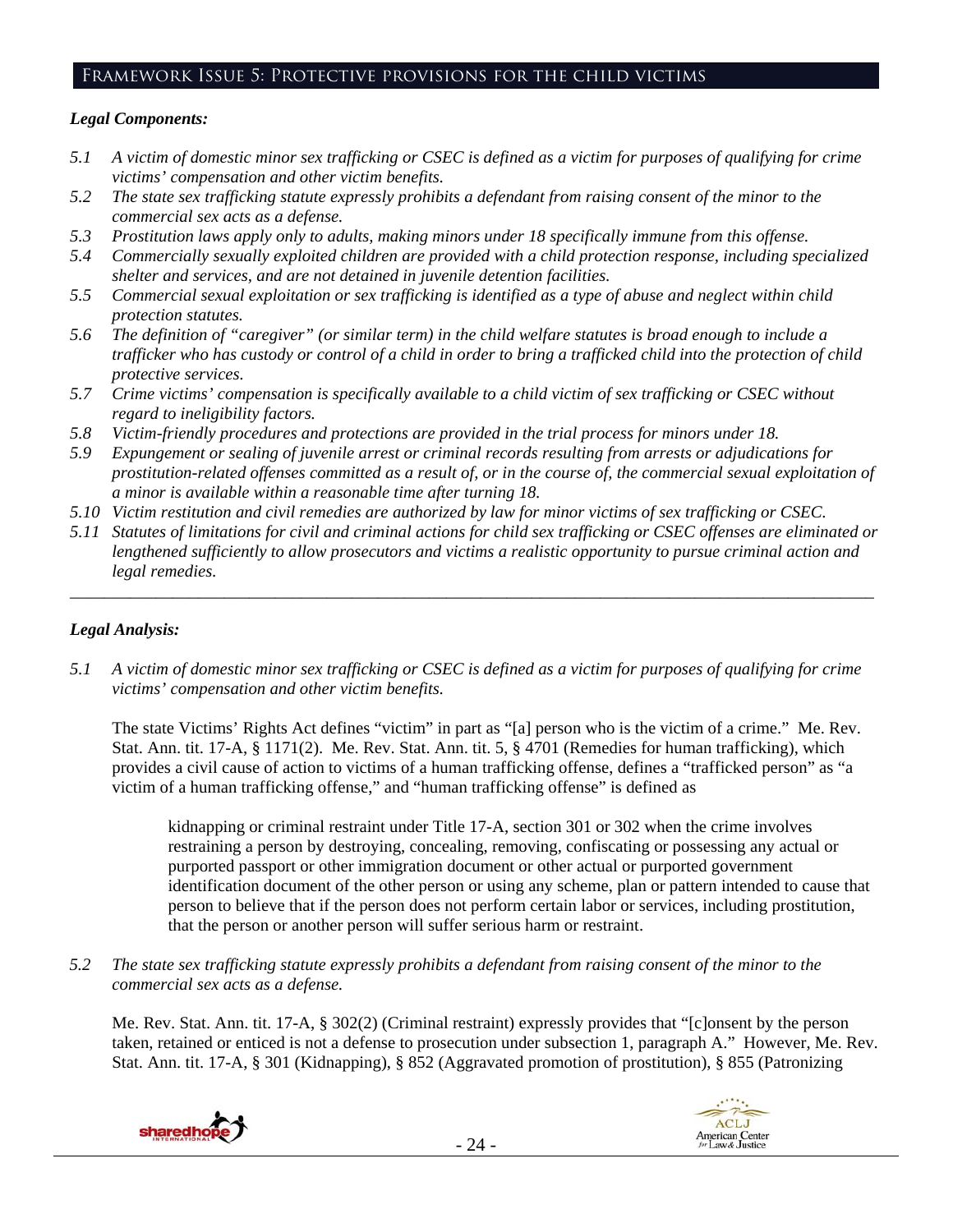## Framework Issue 5: Protective provisions for the child victims

#### *Legal Components:*

- *5.1 A victim of domestic minor sex trafficking or CSEC is defined as a victim for purposes of qualifying for crime victims' compensation and other victim benefits.*
- *5.2 The state sex trafficking statute expressly prohibits a defendant from raising consent of the minor to the commercial sex acts as a defense.*
- *5.3 Prostitution laws apply only to adults, making minors under 18 specifically immune from this offense.*
- *5.4 Commercially sexually exploited children are provided with a child protection response, including specialized shelter and services, and are not detained in juvenile detention facilities.*
- *5.5 Commercial sexual exploitation or sex trafficking is identified as a type of abuse and neglect within child protection statutes.*
- *5.6 The definition of "caregiver" (or similar term) in the child welfare statutes is broad enough to include a trafficker who has custody or control of a child in order to bring a trafficked child into the protection of child protective services.*
- *5.7 Crime victims' compensation is specifically available to a child victim of sex trafficking or CSEC without regard to ineligibility factors.*
- *5.8 Victim-friendly procedures and protections are provided in the trial process for minors under 18.*
- *5.9 Expungement or sealing of juvenile arrest or criminal records resulting from arrests or adjudications for prostitution-related offenses committed as a result of, or in the course of, the commercial sexual exploitation of a minor is available within a reasonable time after turning 18.*
- *5.10 Victim restitution and civil remedies are authorized by law for minor victims of sex trafficking or CSEC.*
- *5.11 Statutes of limitations for civil and criminal actions for child sex trafficking or CSEC offenses are eliminated or lengthened sufficiently to allow prosecutors and victims a realistic opportunity to pursue criminal action and legal remedies.*

*\_\_\_\_\_\_\_\_\_\_\_\_\_\_\_\_\_\_\_\_\_\_\_\_\_\_\_\_\_\_\_\_\_\_\_\_\_\_\_\_\_\_\_\_\_\_\_\_\_\_\_\_\_\_\_\_\_\_\_\_\_\_\_\_\_\_\_\_\_\_\_\_\_\_\_\_\_\_\_\_\_\_\_\_\_\_\_\_\_\_\_\_\_\_* 

## *Legal Analysis:*

*5.1 A victim of domestic minor sex trafficking or CSEC is defined as a victim for purposes of qualifying for crime victims' compensation and other victim benefits.* 

The state Victims' Rights Act defines "victim" in part as "[a] person who is the victim of a crime." Me. Rev. Stat. Ann. tit. 17-A, § 1171(2). Me. Rev. Stat. Ann. tit. 5, § 4701 (Remedies for human trafficking), which provides a civil cause of action to victims of a human trafficking offense, defines a "trafficked person" as "a victim of a human trafficking offense," and "human trafficking offense" is defined as

kidnapping or criminal restraint under Title 17-A, section 301 or 302 when the crime involves restraining a person by destroying, concealing, removing, confiscating or possessing any actual or purported passport or other immigration document or other actual or purported government identification document of the other person or using any scheme, plan or pattern intended to cause that person to believe that if the person does not perform certain labor or services, including prostitution, that the person or another person will suffer serious harm or restraint.

*5.2 The state sex trafficking statute expressly prohibits a defendant from raising consent of the minor to the commercial sex acts as a defense.* 

Me. Rev. Stat. Ann. tit. 17-A, § 302(2) (Criminal restraint) expressly provides that "[c]onsent by the person taken, retained or enticed is not a defense to prosecution under subsection 1, paragraph A." However, Me. Rev. Stat. Ann. tit. 17-A, § 301 (Kidnapping), § 852 (Aggravated promotion of prostitution), § 855 (Patronizing



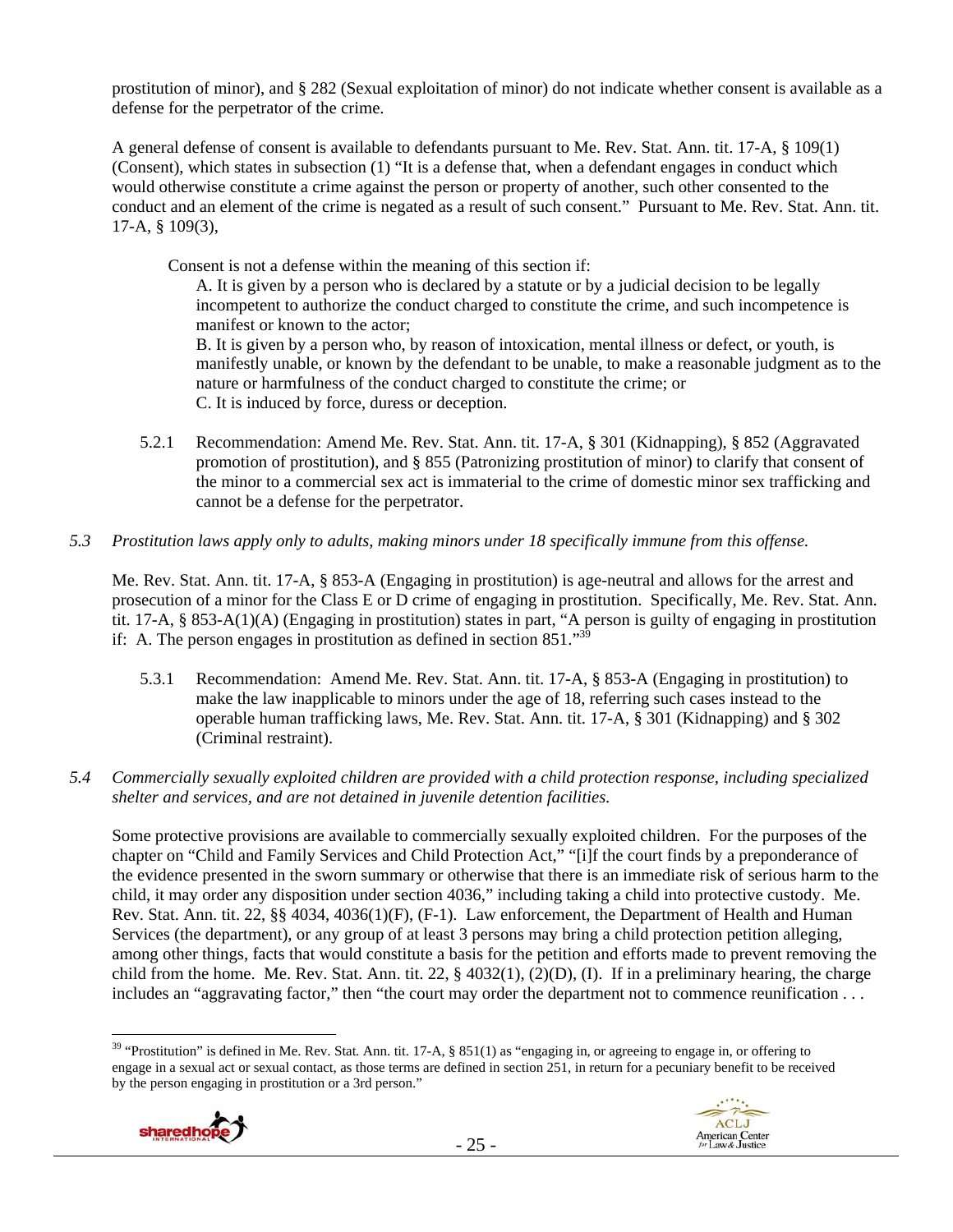prostitution of minor), and § 282 (Sexual exploitation of minor) do not indicate whether consent is available as a defense for the perpetrator of the crime.

A general defense of consent is available to defendants pursuant to Me. Rev. Stat. Ann. tit. 17-A, § 109(1) (Consent), which states in subsection (1) "It is a defense that, when a defendant engages in conduct which would otherwise constitute a crime against the person or property of another, such other consented to the conduct and an element of the crime is negated as a result of such consent." Pursuant to Me. Rev. Stat. Ann. tit. 17-A, § 109(3),

Consent is not a defense within the meaning of this section if:

A. It is given by a person who is declared by a statute or by a judicial decision to be legally incompetent to authorize the conduct charged to constitute the crime, and such incompetence is manifest or known to the actor;

B. It is given by a person who, by reason of intoxication, mental illness or defect, or youth, is manifestly unable, or known by the defendant to be unable, to make a reasonable judgment as to the nature or harmfulness of the conduct charged to constitute the crime; or C. It is induced by force, duress or deception.

- 5.2.1 Recommendation: Amend Me. Rev. Stat. Ann. tit. 17-A, § 301 (Kidnapping), § 852 (Aggravated promotion of prostitution), and § 855 (Patronizing prostitution of minor) to clarify that consent of the minor to a commercial sex act is immaterial to the crime of domestic minor sex trafficking and cannot be a defense for the perpetrator.
- *5.3 Prostitution laws apply only to adults, making minors under 18 specifically immune from this offense.*

Me. Rev. Stat. Ann. tit. 17-A, § 853-A (Engaging in prostitution) is age-neutral and allows for the arrest and prosecution of a minor for the Class E or D crime of engaging in prostitution. Specifically, Me. Rev. Stat. Ann. tit. 17-A, § 853-A(1)(A) (Engaging in prostitution) states in part, "A person is guilty of engaging in prostitution if: A. The person engages in prostitution as defined in section  $851.^{33}$ 

- 5.3.1 Recommendation: Amend Me. Rev. Stat. Ann. tit. 17-A, § 853-A (Engaging in prostitution) to make the law inapplicable to minors under the age of 18, referring such cases instead to the operable human trafficking laws, Me. Rev. Stat. Ann. tit. 17-A, § 301 (Kidnapping) and § 302 (Criminal restraint).
- *5.4 Commercially sexually exploited children are provided with a child protection response, including specialized shelter and services, and are not detained in juvenile detention facilities.*

Some protective provisions are available to commercially sexually exploited children. For the purposes of the chapter on "Child and Family Services and Child Protection Act," "[i]f the court finds by a preponderance of the evidence presented in the sworn summary or otherwise that there is an immediate risk of serious harm to the child, it may order any disposition under section 4036," including taking a child into protective custody. Me. Rev. Stat. Ann. tit. 22, §§ 4034, 4036(1)(F), (F-1). Law enforcement, the Department of Health and Human Services (the department), or any group of at least 3 persons may bring a child protection petition alleging, among other things, facts that would constitute a basis for the petition and efforts made to prevent removing the child from the home. Me. Rev. Stat. Ann. tit. 22, § 4032(1), (2)(D), (I). If in a preliminary hearing, the charge includes an "aggravating factor," then "the court may order the department not to commence reunification . . .

 $\overline{a}$ <sup>39</sup> "Prostitution" is defined in Me. Rev. Stat. Ann. tit. 17-A, § 851(1) as "engaging in, or agreeing to engage in, or offering to engage in a sexual act or sexual contact, as those terms are defined in section 251, in return for a pecuniary benefit to be received by the person engaging in prostitution or a 3rd person."



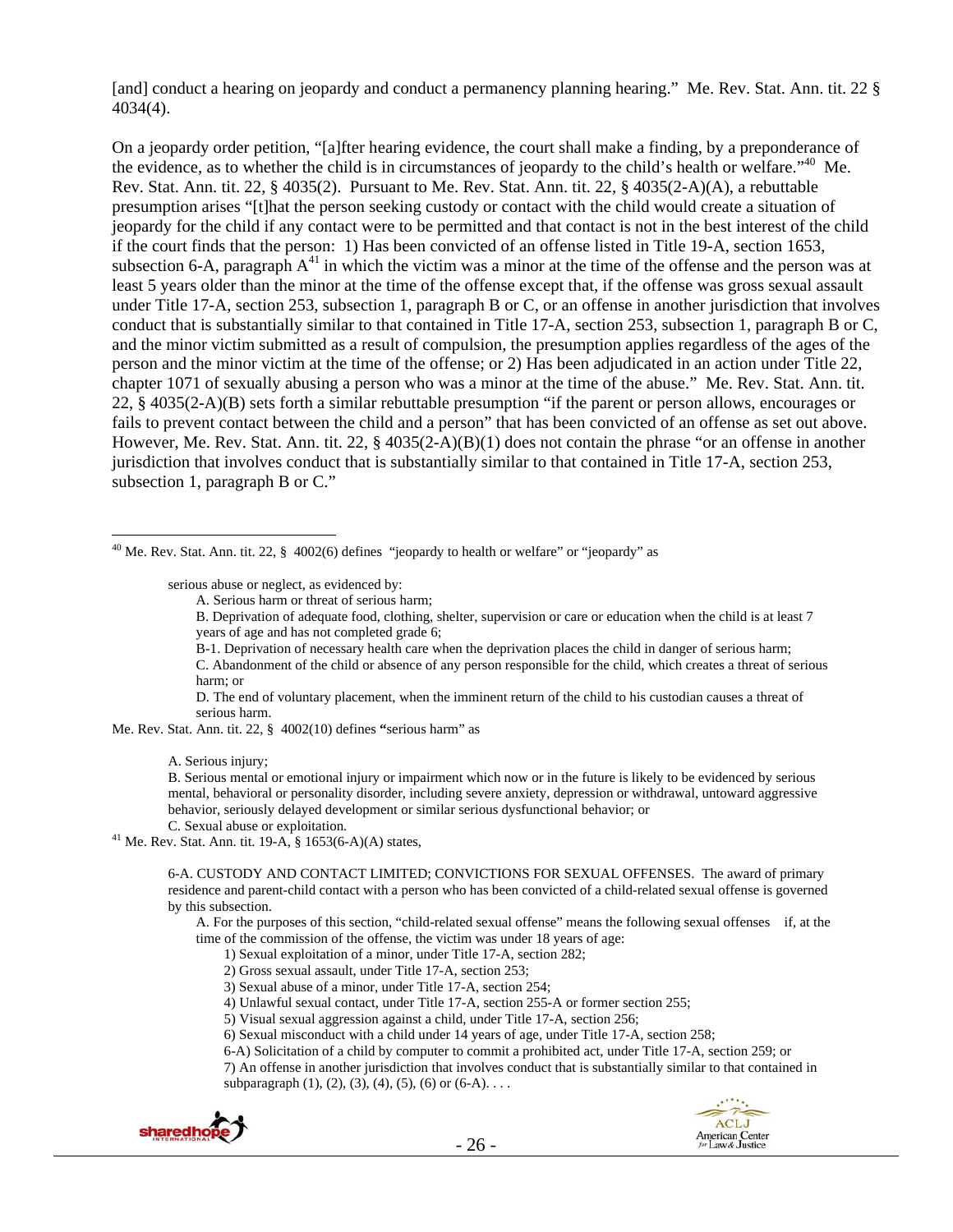[and] conduct a hearing on jeopardy and conduct a permanency planning hearing." Me. Rev. Stat. Ann. tit. 22 § 4034(4).

On a jeopardy order petition, "[a]fter hearing evidence, the court shall make a finding, by a preponderance of the evidence, as to whether the child is in circumstances of jeopardy to the child's health or welfare."40 Me. Rev. Stat. Ann. tit. 22, § 4035(2). Pursuant to Me. Rev. Stat. Ann. tit. 22, § 4035(2-A)(A), a rebuttable presumption arises "[t]hat the person seeking custody or contact with the child would create a situation of jeopardy for the child if any contact were to be permitted and that contact is not in the best interest of the child if the court finds that the person: 1) Has been convicted of an offense listed in Title 19-A, section 1653, subsection 6-A, paragraph  $A^{41}$  in which the victim was a minor at the time of the offense and the person was at least 5 years older than the minor at the time of the offense except that, if the offense was gross sexual assault under Title 17-A, section 253, subsection 1, paragraph B or C, or an offense in another jurisdiction that involves conduct that is substantially similar to that contained in Title 17-A, section 253, subsection 1, paragraph B or C, and the minor victim submitted as a result of compulsion, the presumption applies regardless of the ages of the person and the minor victim at the time of the offense; or 2) Has been adjudicated in an action under Title 22, chapter 1071 of sexually abusing a person who was a minor at the time of the abuse." Me. Rev. Stat. Ann. tit. 22, § 4035(2-A)(B) sets forth a similar rebuttable presumption "if the parent or person allows, encourages or fails to prevent contact between the child and a person" that has been convicted of an offense as set out above. However, Me. Rev. Stat. Ann. tit. 22, § 4035(2-A)(B)(1) does not contain the phrase "or an offense in another jurisdiction that involves conduct that is substantially similar to that contained in Title 17-A, section 253, subsection 1, paragraph B or C."

<sup>40</sup> Me. Rev. Stat. Ann. tit. 22,  $\S$  4002(6) defines "jeopardy to health or welfare" or "jeopardy" as

serious abuse or neglect, as evidenced by:

A. Serious harm or threat of serious harm;

B. Deprivation of adequate food, clothing, shelter, supervision or care or education when the child is at least 7 years of age and has not completed grade 6;

B-1. Deprivation of necessary health care when the deprivation places the child in danger of serious harm;

C. Abandonment of the child or absence of any person responsible for the child, which creates a threat of serious harm; or

D. The end of voluntary placement, when the imminent return of the child to his custodian causes a threat of serious harm.

Me. Rev. Stat. Ann. tit. 22, § 4002(10) defines **"**serious harm" as

A. Serious injury;

 $\overline{a}$ 

B. Serious mental or emotional injury or impairment which now or in the future is likely to be evidenced by serious mental, behavioral or personality disorder, including severe anxiety, depression or withdrawal, untoward aggressive behavior, seriously delayed development or similar serious dysfunctional behavior; or

C. Sexual abuse or exploitation. 41 Me. Rev. Stat. Ann. tit. 19-A, § 1653(6-A)(A) states,

6-A. CUSTODY AND CONTACT LIMITED; CONVICTIONS FOR SEXUAL OFFENSES. The award of primary residence and parent-child contact with a person who has been convicted of a child-related sexual offense is governed by this subsection.

A. For the purposes of this section, "child-related sexual offense" means the following sexual offenses if, at the time of the commission of the offense, the victim was under 18 years of age:

- 1) Sexual exploitation of a minor, under Title 17-A, section 282;
- 2) Gross sexual assault, under Title 17-A, section 253;
- 3) Sexual abuse of a minor, under Title 17-A, section 254;
- 4) Unlawful sexual contact, under Title 17-A, section 255-A or former section 255;
- 5) Visual sexual aggression against a child, under Title 17-A, section 256;
- 6) Sexual misconduct with a child under 14 years of age, under Title 17-A, section 258;
- 6-A) Solicitation of a child by computer to commit a prohibited act, under Title 17-A, section 259; or

7) An offense in another jurisdiction that involves conduct that is substantially similar to that contained in subparagraph  $(1)$ ,  $(2)$ ,  $(3)$ ,  $(4)$ ,  $(5)$ ,  $(6)$  or  $(6-A)$ ...



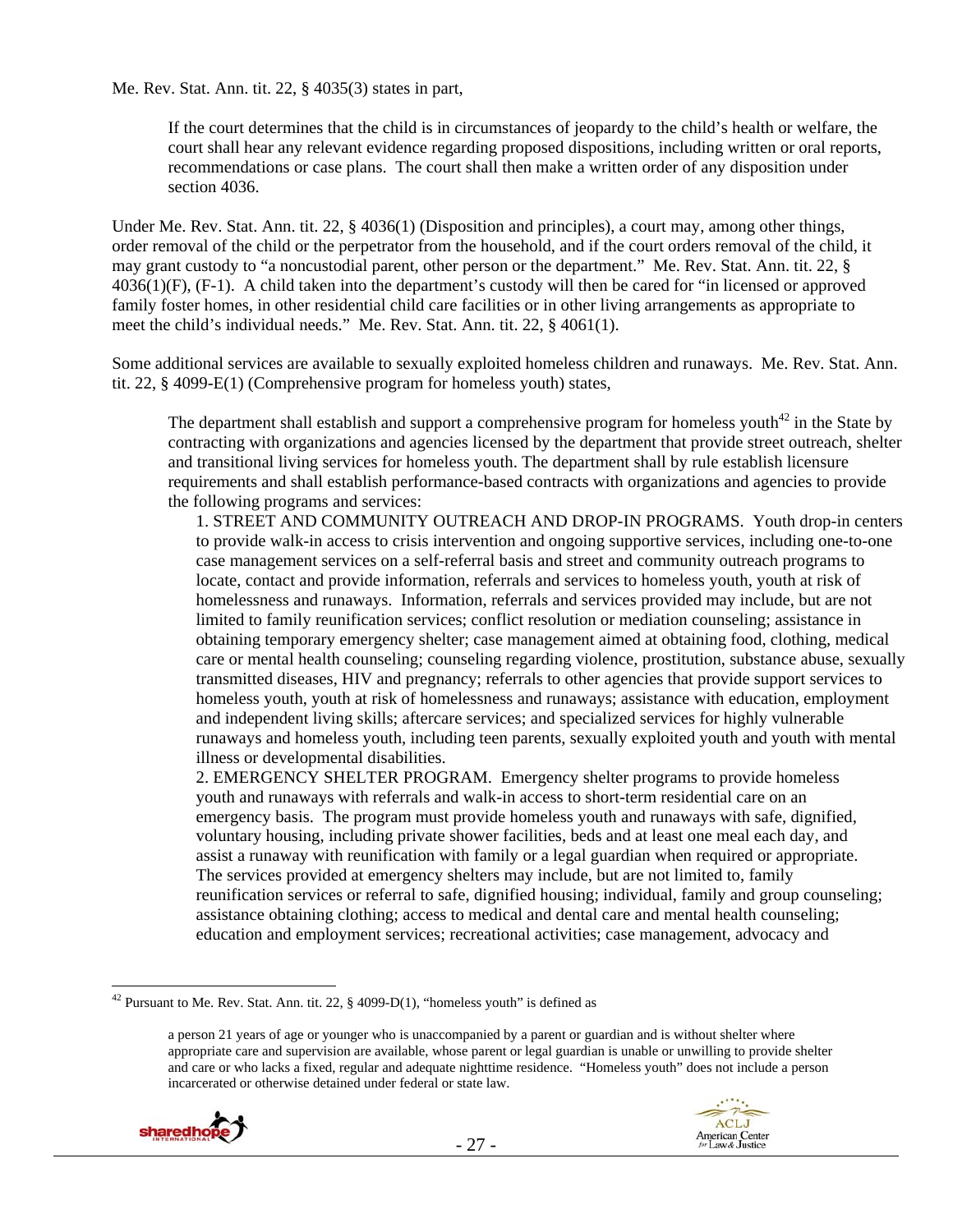Me. Rev. Stat. Ann. tit. 22, § 4035(3) states in part,

If the court determines that the child is in circumstances of jeopardy to the child's health or welfare, the court shall hear any relevant evidence regarding proposed dispositions, including written or oral reports, recommendations or case plans. The court shall then make a written order of any disposition under section 4036.

Under Me. Rev. Stat. Ann. tit. 22, § 4036(1) (Disposition and principles), a court may, among other things, order removal of the child or the perpetrator from the household, and if the court orders removal of the child, it may grant custody to "a noncustodial parent, other person or the department." Me. Rev. Stat. Ann. tit. 22, § 4036(1)(F), (F-1). A child taken into the department's custody will then be cared for "in licensed or approved family foster homes, in other residential child care facilities or in other living arrangements as appropriate to meet the child's individual needs." Me. Rev. Stat. Ann. tit. 22, § 4061(1).

Some additional services are available to sexually exploited homeless children and runaways. Me. Rev. Stat. Ann. tit. 22, § 4099-E(1) (Comprehensive program for homeless youth) states,

The department shall establish and support a comprehensive program for homeless youth<sup>42</sup> in the State by contracting with organizations and agencies licensed by the department that provide street outreach, shelter and transitional living services for homeless youth. The department shall by rule establish licensure requirements and shall establish performance-based contracts with organizations and agencies to provide the following programs and services:

1. STREET AND COMMUNITY OUTREACH AND DROP-IN PROGRAMS. Youth drop-in centers to provide walk-in access to crisis intervention and ongoing supportive services, including one-to-one case management services on a self-referral basis and street and community outreach programs to locate, contact and provide information, referrals and services to homeless youth, youth at risk of homelessness and runaways. Information, referrals and services provided may include, but are not limited to family reunification services; conflict resolution or mediation counseling; assistance in obtaining temporary emergency shelter; case management aimed at obtaining food, clothing, medical care or mental health counseling; counseling regarding violence, prostitution, substance abuse, sexually transmitted diseases, HIV and pregnancy; referrals to other agencies that provide support services to homeless youth, youth at risk of homelessness and runaways; assistance with education, employment and independent living skills; aftercare services; and specialized services for highly vulnerable runaways and homeless youth, including teen parents, sexually exploited youth and youth with mental illness or developmental disabilities.

2. EMERGENCY SHELTER PROGRAM. Emergency shelter programs to provide homeless youth and runaways with referrals and walk-in access to short-term residential care on an emergency basis. The program must provide homeless youth and runaways with safe, dignified, voluntary housing, including private shower facilities, beds and at least one meal each day, and assist a runaway with reunification with family or a legal guardian when required or appropriate. The services provided at emergency shelters may include, but are not limited to, family reunification services or referral to safe, dignified housing; individual, family and group counseling; assistance obtaining clothing; access to medical and dental care and mental health counseling; education and employment services; recreational activities; case management, advocacy and

a person 21 years of age or younger who is unaccompanied by a parent or guardian and is without shelter where appropriate care and supervision are available, whose parent or legal guardian is unable or unwilling to provide shelter and care or who lacks a fixed, regular and adequate nighttime residence. "Homeless youth" does not include a person incarcerated or otherwise detained under federal or state law.





<sup>&</sup>lt;sup>42</sup> Pursuant to Me. Rev. Stat. Ann. tit. 22,  $\S$  4099-D(1), "homeless youth" is defined as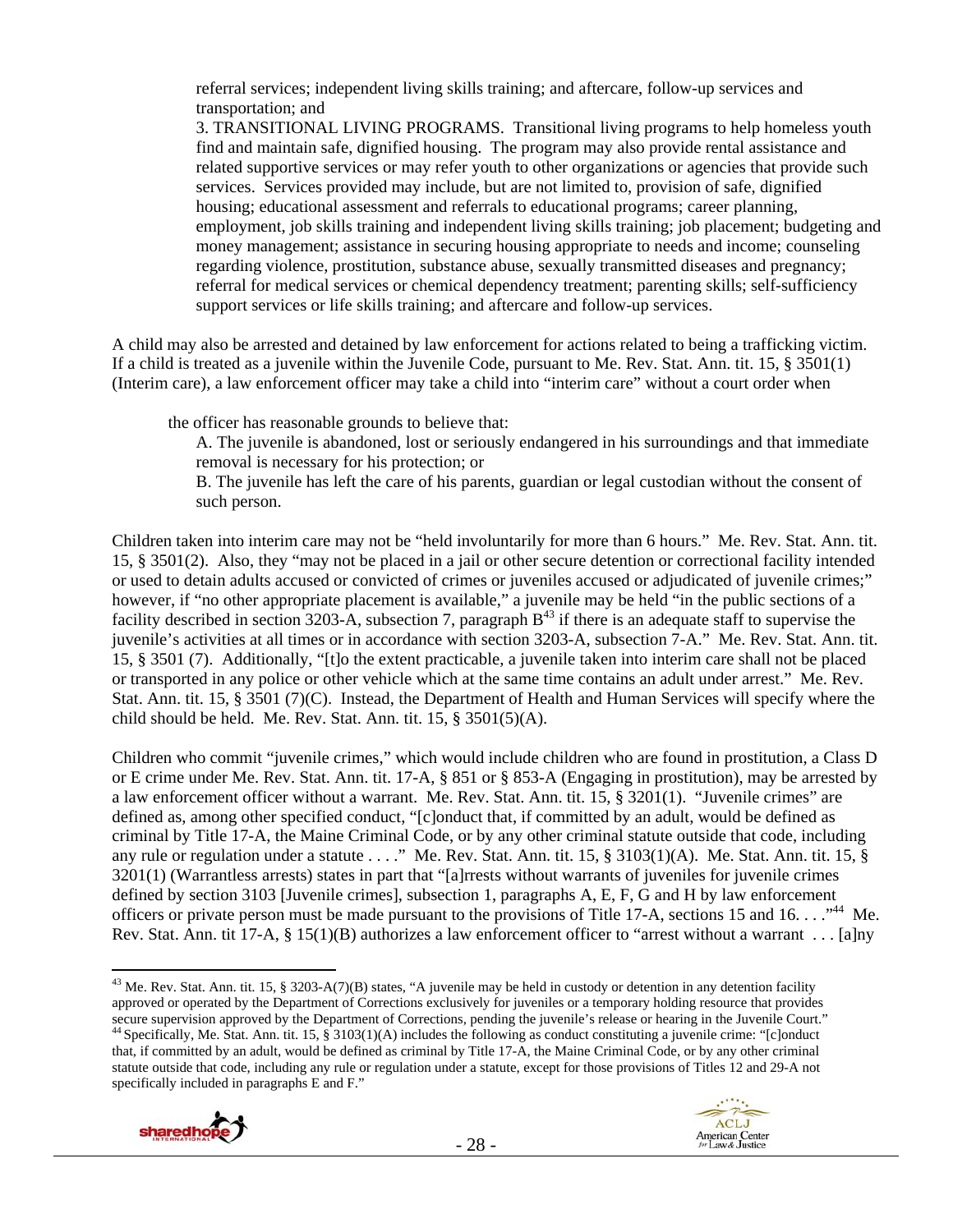referral services; independent living skills training; and aftercare, follow-up services and transportation; and

3. TRANSITIONAL LIVING PROGRAMS. Transitional living programs to help homeless youth find and maintain safe, dignified housing. The program may also provide rental assistance and related supportive services or may refer youth to other organizations or agencies that provide such services. Services provided may include, but are not limited to, provision of safe, dignified housing; educational assessment and referrals to educational programs; career planning, employment, job skills training and independent living skills training; job placement; budgeting and money management; assistance in securing housing appropriate to needs and income; counseling regarding violence, prostitution, substance abuse, sexually transmitted diseases and pregnancy; referral for medical services or chemical dependency treatment; parenting skills; self-sufficiency support services or life skills training; and aftercare and follow-up services.

A child may also be arrested and detained by law enforcement for actions related to being a trafficking victim. If a child is treated as a juvenile within the Juvenile Code, pursuant to Me. Rev. Stat. Ann. tit. 15, § 3501(1) (Interim care), a law enforcement officer may take a child into "interim care" without a court order when

the officer has reasonable grounds to believe that:

A. The juvenile is abandoned, lost or seriously endangered in his surroundings and that immediate removal is necessary for his protection; or

B. The juvenile has left the care of his parents, guardian or legal custodian without the consent of such person.

Children taken into interim care may not be "held involuntarily for more than 6 hours." Me. Rev. Stat. Ann. tit. 15, § 3501(2). Also, they "may not be placed in a jail or other secure detention or correctional facility intended or used to detain adults accused or convicted of crimes or juveniles accused or adjudicated of juvenile crimes;" however, if "no other appropriate placement is available," a juvenile may be held "in the public sections of a facility described in section 3203-A, subsection 7, paragraph  $B^{43}$  if there is an adequate staff to supervise the juvenile's activities at all times or in accordance with section 3203-A, subsection 7-A." Me. Rev. Stat. Ann. tit. 15, § 3501 (7). Additionally, "[t]o the extent practicable, a juvenile taken into interim care shall not be placed or transported in any police or other vehicle which at the same time contains an adult under arrest." Me. Rev. Stat. Ann. tit. 15, § 3501 (7)(C). Instead, the Department of Health and Human Services will specify where the child should be held. Me. Rev. Stat. Ann. tit. 15, § 3501(5)(A).

Children who commit "juvenile crimes," which would include children who are found in prostitution, a Class D or E crime under Me. Rev. Stat. Ann. tit. 17-A, § 851 or § 853-A (Engaging in prostitution), may be arrested by a law enforcement officer without a warrant. Me. Rev. Stat. Ann. tit. 15, § 3201(1). "Juvenile crimes" are defined as, among other specified conduct, "[c]onduct that, if committed by an adult, would be defined as criminal by Title 17-A, the Maine Criminal Code, or by any other criminal statute outside that code, including any rule or regulation under a statute . . . ." Me. Rev. Stat. Ann. tit. 15, § 3103(1)(A). Me. Stat. Ann. tit. 15, § 3201(1) (Warrantless arrests) states in part that "[a]rrests without warrants of juveniles for juvenile crimes defined by section 3103 [Juvenile crimes], subsection 1, paragraphs A, E, F, G and H by law enforcement officers or private person must be made pursuant to the provisions of Title 17-A, sections 15 and 16. . . ."<sup>44</sup> Me. Rev. Stat. Ann. tit 17-A, § 15(1)(B) authorizes a law enforcement officer to "arrest without a warrant . . . [a]ny

<sup>&</sup>lt;sup>43</sup> Me. Rev. Stat. Ann. tit. 15, § 3203-A(7)(B) states, "A juvenile may be held in custody or detention in any detention facility approved or operated by the Department of Corrections exclusively for juveniles or a temporary holding resource that provides secure supervision approved by the Department of Corrections, pending the juvenile's release or hearing in the Juvenile Court."<br><sup>44</sup> Specifically, Me. Stat. Ann. tit. 15, § 3103(1)(A) includes the following as conduct cons that, if committed by an adult, would be defined as criminal by Title 17-A, the Maine Criminal Code, or by any other criminal statute outside that code, including any rule or regulation under a statute, except for those provisions of Titles 12 and 29-A not specifically included in paragraphs E and F."

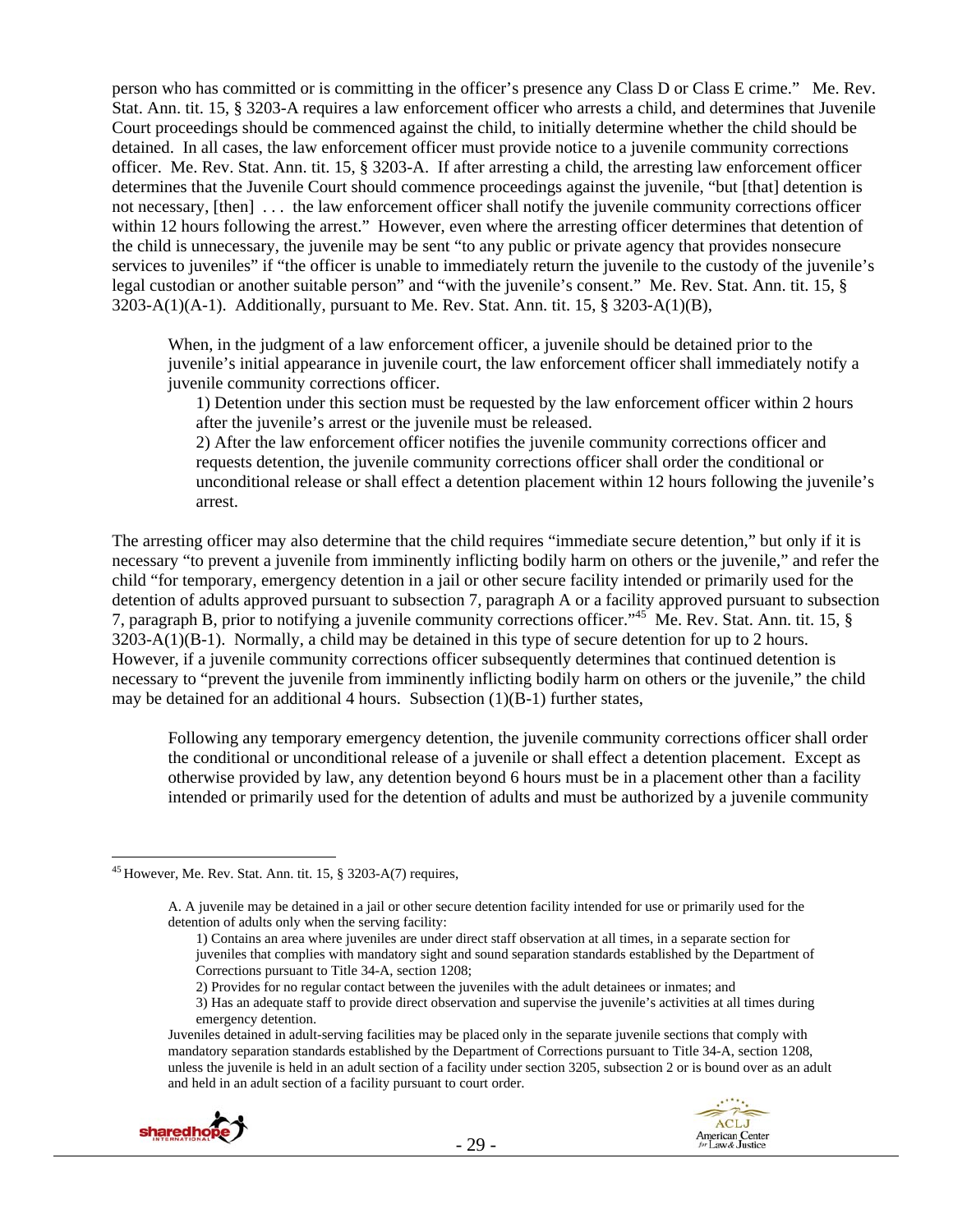person who has committed or is committing in the officer's presence any Class D or Class E crime." Me. Rev. Stat. Ann. tit. 15, § 3203-A requires a law enforcement officer who arrests a child, and determines that Juvenile Court proceedings should be commenced against the child, to initially determine whether the child should be detained. In all cases, the law enforcement officer must provide notice to a juvenile community corrections officer. Me. Rev. Stat. Ann. tit. 15, § 3203-A. If after arresting a child, the arresting law enforcement officer determines that the Juvenile Court should commence proceedings against the juvenile, "but [that] detention is not necessary, [then] . . . the law enforcement officer shall notify the juvenile community corrections officer within 12 hours following the arrest." However, even where the arresting officer determines that detention of the child is unnecessary, the juvenile may be sent "to any public or private agency that provides nonsecure services to juveniles" if "the officer is unable to immediately return the juvenile to the custody of the juvenile's legal custodian or another suitable person" and "with the juvenile's consent." Me. Rev. Stat. Ann. tit. 15, §  $3203-A(1)(A-1)$ . Additionally, pursuant to Me. Rev. Stat. Ann. tit. 15, § 3203-A(1)(B),

When, in the judgment of a law enforcement officer, a juvenile should be detained prior to the juvenile's initial appearance in juvenile court, the law enforcement officer shall immediately notify a juvenile community corrections officer.

1) Detention under this section must be requested by the law enforcement officer within 2 hours after the juvenile's arrest or the juvenile must be released.

2) After the law enforcement officer notifies the juvenile community corrections officer and requests detention, the juvenile community corrections officer shall order the conditional or unconditional release or shall effect a detention placement within 12 hours following the juvenile's arrest.

The arresting officer may also determine that the child requires "immediate secure detention," but only if it is necessary "to prevent a juvenile from imminently inflicting bodily harm on others or the juvenile," and refer the child "for temporary, emergency detention in a jail or other secure facility intended or primarily used for the detention of adults approved pursuant to subsection 7, paragraph A or a facility approved pursuant to subsection 7, paragraph B, prior to notifying a juvenile community corrections officer."45 Me. Rev. Stat. Ann. tit. 15, § 3203-A(1)(B-1). Normally, a child may be detained in this type of secure detention for up to 2 hours. However, if a juvenile community corrections officer subsequently determines that continued detention is necessary to "prevent the juvenile from imminently inflicting bodily harm on others or the juvenile," the child may be detained for an additional 4 hours. Subsection  $(1)(B-1)$  further states,

Following any temporary emergency detention, the juvenile community corrections officer shall order the conditional or unconditional release of a juvenile or shall effect a detention placement. Except as otherwise provided by law, any detention beyond 6 hours must be in a placement other than a facility intended or primarily used for the detention of adults and must be authorized by a juvenile community

Juveniles detained in adult-serving facilities may be placed only in the separate juvenile sections that comply with mandatory separation standards established by the Department of Corrections pursuant to Title 34-A, section 1208, unless the juvenile is held in an adult section of a facility under section 3205, subsection 2 or is bound over as an adult and held in an adult section of a facility pursuant to court order.



 $\overline{a}$  $45$  However, Me. Rev. Stat. Ann. tit. 15, § 3203-A(7) requires,

A. A juvenile may be detained in a jail or other secure detention facility intended for use or primarily used for the detention of adults only when the serving facility:

<sup>1)</sup> Contains an area where juveniles are under direct staff observation at all times, in a separate section for juveniles that complies with mandatory sight and sound separation standards established by the Department of Corrections pursuant to Title 34-A, section 1208;

<sup>2)</sup> Provides for no regular contact between the juveniles with the adult detainees or inmates; and

<sup>3)</sup> Has an adequate staff to provide direct observation and supervise the juvenile's activities at all times during emergency detention.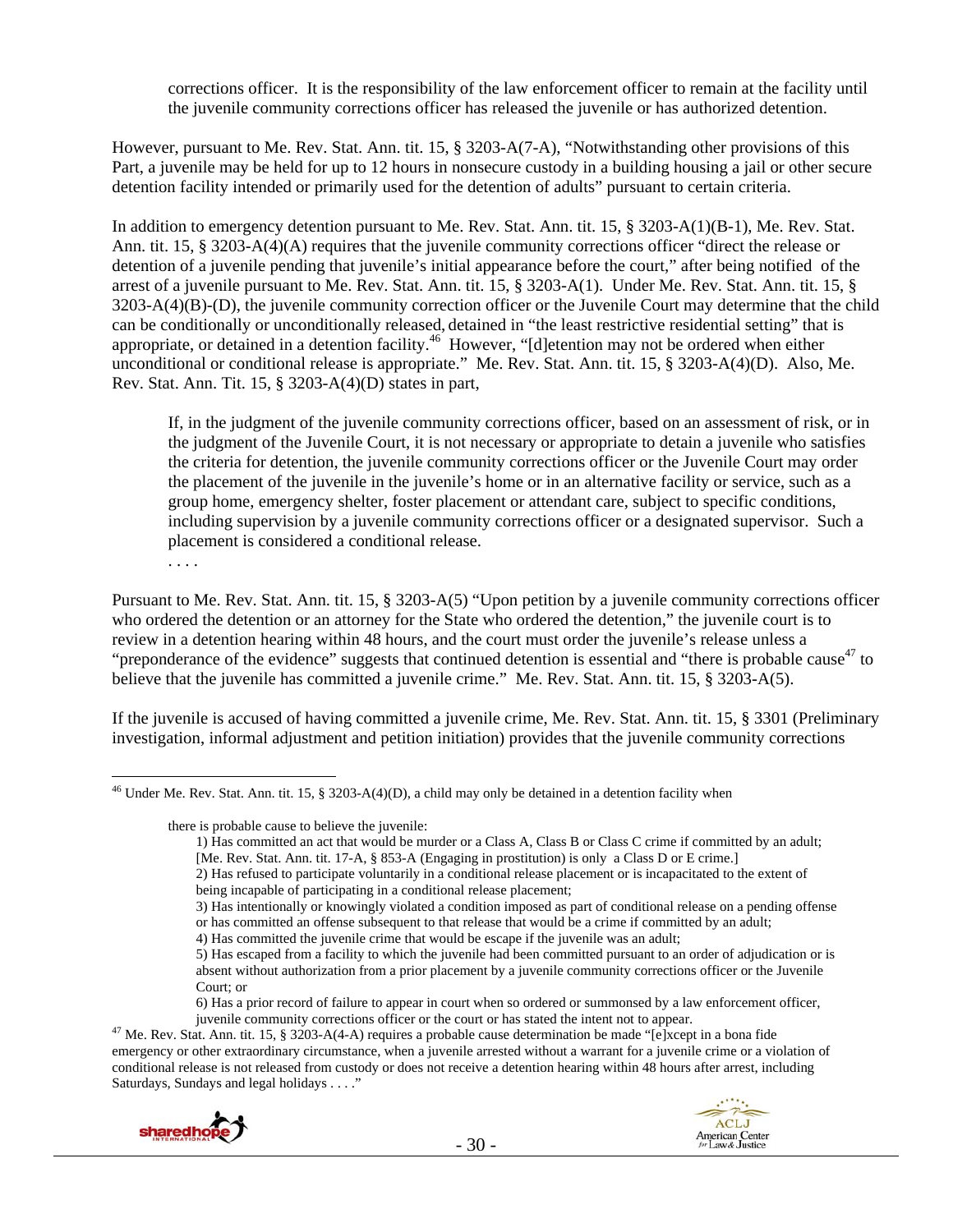corrections officer. It is the responsibility of the law enforcement officer to remain at the facility until the juvenile community corrections officer has released the juvenile or has authorized detention.

However, pursuant to Me. Rev. Stat. Ann. tit. 15, § 3203-A(7-A), "Notwithstanding other provisions of this Part, a juvenile may be held for up to 12 hours in nonsecure custody in a building housing a jail or other secure detention facility intended or primarily used for the detention of adults" pursuant to certain criteria.

In addition to emergency detention pursuant to Me. Rev. Stat. Ann. tit. 15, § 3203-A(1)(B-1), Me. Rev. Stat. Ann. tit. 15, § 3203-A(4)(A) requires that the juvenile community corrections officer "direct the release or detention of a juvenile pending that juvenile's initial appearance before the court," after being notified of the arrest of a juvenile pursuant to Me. Rev. Stat. Ann. tit. 15, § 3203-A(1). Under Me. Rev. Stat. Ann. tit. 15, § 3203-A(4)(B)-(D), the juvenile community correction officer or the Juvenile Court may determine that the child can be conditionally or unconditionally released, detained in "the least restrictive residential setting" that is appropriate, or detained in a detention facility.46 However, "[d]etention may not be ordered when either unconditional or conditional release is appropriate." Me. Rev. Stat. Ann. tit. 15, § 3203-A(4)(D). Also, Me. Rev. Stat. Ann. Tit. 15, § 3203-A(4)(D) states in part,

If, in the judgment of the juvenile community corrections officer, based on an assessment of risk, or in the judgment of the Juvenile Court, it is not necessary or appropriate to detain a juvenile who satisfies the criteria for detention, the juvenile community corrections officer or the Juvenile Court may order the placement of the juvenile in the juvenile's home or in an alternative facility or service, such as a group home, emergency shelter, foster placement or attendant care, subject to specific conditions, including supervision by a juvenile community corrections officer or a designated supervisor. Such a placement is considered a conditional release.

. . . .

Pursuant to Me. Rev. Stat. Ann. tit. 15, § 3203-A(5) "Upon petition by a juvenile community corrections officer who ordered the detention or an attorney for the State who ordered the detention," the juvenile court is to review in a detention hearing within 48 hours, and the court must order the juvenile's release unless a "preponderance of the evidence" suggests that continued detention is essential and "there is probable cause<sup>47</sup> to believe that the juvenile has committed a juvenile crime." Me. Rev. Stat. Ann. tit. 15, § 3203-A(5).

If the juvenile is accused of having committed a juvenile crime, Me. Rev. Stat. Ann. tit. 15, § 3301 (Preliminary investigation, informal adjustment and petition initiation) provides that the juvenile community corrections

there is probable cause to believe the juvenile:

juvenile community corrections officer or the court or has stated the intent not to appear. 47 Me. Rev. Stat. Ann. tit. 15, § 3203-A(4-A) requires a probable cause determination be made "[e]xcept in a bona fide emergency or other extraordinary circumstance, when a juvenile arrested without a warrant for a juvenile crime or a violation of conditional release is not released from custody or does not receive a detention hearing within 48 hours after arrest, including Saturdays, Sundays and legal holidays . . . ."



 $\overline{a}$ <sup>46</sup> Under Me. Rev. Stat. Ann. tit. 15, § 3203-A(4)(D), a child may only be detained in a detention facility when

<sup>1)</sup> Has committed an act that would be murder or a Class A, Class B or Class C crime if committed by an adult; [Me. Rev. Stat. Ann. tit. 17-A, § 853-A (Engaging in prostitution) is only a Class D or E crime.]

<sup>2)</sup> Has refused to participate voluntarily in a conditional release placement or is incapacitated to the extent of being incapable of participating in a conditional release placement;

<sup>3)</sup> Has intentionally or knowingly violated a condition imposed as part of conditional release on a pending offense

or has committed an offense subsequent to that release that would be a crime if committed by an adult;

<sup>4)</sup> Has committed the juvenile crime that would be escape if the juvenile was an adult;

<sup>5)</sup> Has escaped from a facility to which the juvenile had been committed pursuant to an order of adjudication or is absent without authorization from a prior placement by a juvenile community corrections officer or the Juvenile Court; or

<sup>6)</sup> Has a prior record of failure to appear in court when so ordered or summonsed by a law enforcement officer,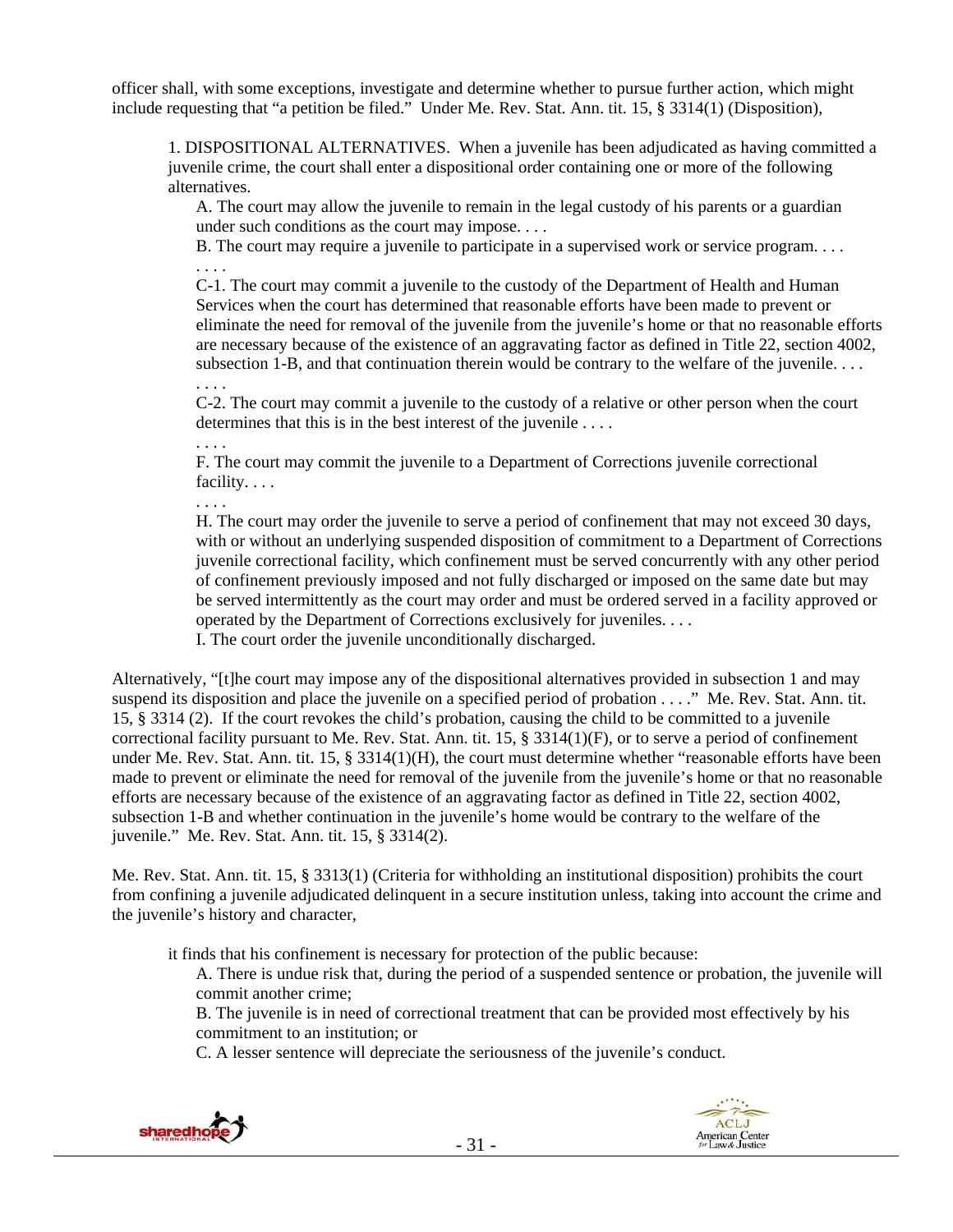officer shall, with some exceptions, investigate and determine whether to pursue further action, which might include requesting that "a petition be filed." Under Me. Rev. Stat. Ann. tit. 15, § 3314(1) (Disposition),

1. DISPOSITIONAL ALTERNATIVES. When a juvenile has been adjudicated as having committed a juvenile crime, the court shall enter a dispositional order containing one or more of the following alternatives.

A. The court may allow the juvenile to remain in the legal custody of his parents or a guardian under such conditions as the court may impose. . . .

B. The court may require a juvenile to participate in a supervised work or service program. . . . . . . .

C-1. The court may commit a juvenile to the custody of the Department of Health and Human Services when the court has determined that reasonable efforts have been made to prevent or eliminate the need for removal of the juvenile from the juvenile's home or that no reasonable efforts are necessary because of the existence of an aggravating factor as defined in Title 22, section 4002, subsection 1-B, and that continuation therein would be contrary to the welfare of the juvenile. . . . . . . .

C-2. The court may commit a juvenile to the custody of a relative or other person when the court determines that this is in the best interest of the juvenile . . . .

. . . .

F. The court may commit the juvenile to a Department of Corrections juvenile correctional facility. . . .

. . . .

H. The court may order the juvenile to serve a period of confinement that may not exceed 30 days, with or without an underlying suspended disposition of commitment to a Department of Corrections juvenile correctional facility, which confinement must be served concurrently with any other period of confinement previously imposed and not fully discharged or imposed on the same date but may be served intermittently as the court may order and must be ordered served in a facility approved or operated by the Department of Corrections exclusively for juveniles. . . .

I. The court order the juvenile unconditionally discharged.

Alternatively, "[t]he court may impose any of the dispositional alternatives provided in subsection 1 and may suspend its disposition and place the juvenile on a specified period of probation . . . ." Me. Rev. Stat. Ann. tit. 15, § 3314 (2). If the court revokes the child's probation, causing the child to be committed to a juvenile correctional facility pursuant to Me. Rev. Stat. Ann. tit. 15, § 3314(1)(F), or to serve a period of confinement under Me. Rev. Stat. Ann. tit. 15, § 3314(1)(H), the court must determine whether "reasonable efforts have been made to prevent or eliminate the need for removal of the juvenile from the juvenile's home or that no reasonable efforts are necessary because of the existence of an aggravating factor as defined in Title 22, section 4002, subsection 1-B and whether continuation in the juvenile's home would be contrary to the welfare of the juvenile." Me. Rev. Stat. Ann. tit. 15, § 3314(2).

Me. Rev. Stat. Ann. tit. 15, § 3313(1) (Criteria for withholding an institutional disposition) prohibits the court from confining a juvenile adjudicated delinquent in a secure institution unless, taking into account the crime and the juvenile's history and character,

it finds that his confinement is necessary for protection of the public because:

A. There is undue risk that, during the period of a suspended sentence or probation, the juvenile will commit another crime;

B. The juvenile is in need of correctional treatment that can be provided most effectively by his commitment to an institution; or

C. A lesser sentence will depreciate the seriousness of the juvenile's conduct.



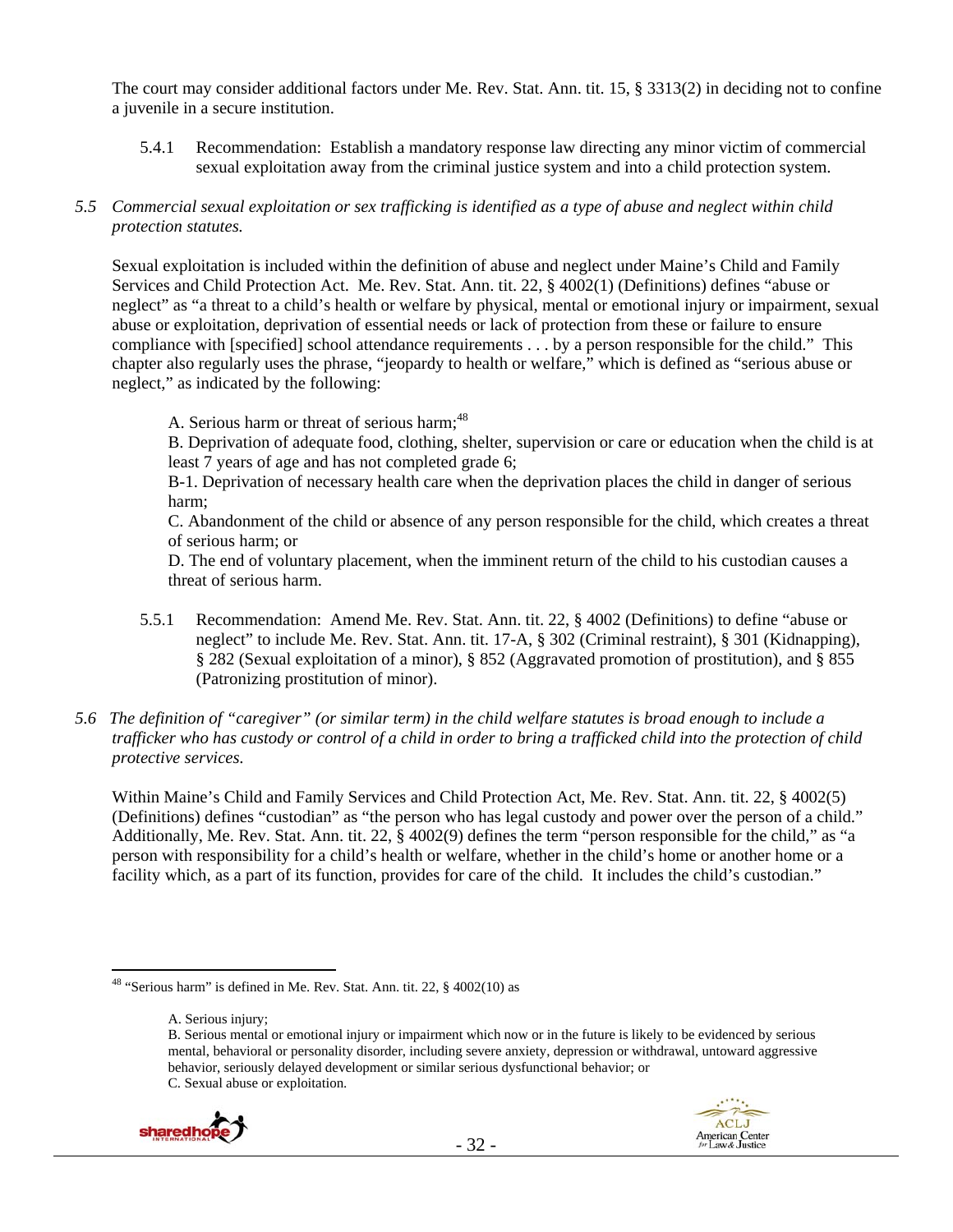The court may consider additional factors under Me. Rev. Stat. Ann. tit. 15, § 3313(2) in deciding not to confine a juvenile in a secure institution.

- 5.4.1 Recommendation: Establish a mandatory response law directing any minor victim of commercial sexual exploitation away from the criminal justice system and into a child protection system.
- *5.5 Commercial sexual exploitation or sex trafficking is identified as a type of abuse and neglect within child protection statutes.*

Sexual exploitation is included within the definition of abuse and neglect under Maine's Child and Family Services and Child Protection Act. Me. Rev. Stat. Ann. tit. 22, § 4002(1) (Definitions) defines "abuse or neglect" as "a threat to a child's health or welfare by physical, mental or emotional injury or impairment, sexual abuse or exploitation, deprivation of essential needs or lack of protection from these or failure to ensure compliance with [specified] school attendance requirements . . . by a person responsible for the child." This chapter also regularly uses the phrase, "jeopardy to health or welfare," which is defined as "serious abuse or neglect," as indicated by the following:

A. Serious harm or threat of serious harm:<sup>48</sup>

B. Deprivation of adequate food, clothing, shelter, supervision or care or education when the child is at least 7 years of age and has not completed grade 6;

B-1. Deprivation of necessary health care when the deprivation places the child in danger of serious harm;

C. Abandonment of the child or absence of any person responsible for the child, which creates a threat of serious harm; or

D. The end of voluntary placement, when the imminent return of the child to his custodian causes a threat of serious harm.

- 5.5.1 Recommendation: Amend Me. Rev. Stat. Ann. tit. 22, § 4002 (Definitions) to define "abuse or neglect" to include Me. Rev. Stat. Ann. tit. 17-A, § 302 (Criminal restraint), § 301 (Kidnapping), § 282 (Sexual exploitation of a minor), § 852 (Aggravated promotion of prostitution), and § 855 (Patronizing prostitution of minor).
- *5.6 The definition of "caregiver" (or similar term) in the child welfare statutes is broad enough to include a trafficker who has custody or control of a child in order to bring a trafficked child into the protection of child protective services.*

Within Maine's Child and Family Services and Child Protection Act, Me. Rev. Stat. Ann. tit. 22, § 4002(5) (Definitions) defines "custodian" as "the person who has legal custody and power over the person of a child." Additionally, Me. Rev. Stat. Ann. tit. 22, § 4002(9) defines the term "person responsible for the child," as "a person with responsibility for a child's health or welfare, whether in the child's home or another home or a facility which, as a part of its function, provides for care of the child. It includes the child's custodian."

A. Serious injury;

B. Serious mental or emotional injury or impairment which now or in the future is likely to be evidenced by serious mental, behavioral or personality disorder, including severe anxiety, depression or withdrawal, untoward aggressive behavior, seriously delayed development or similar serious dysfunctional behavior; or C. Sexual abuse or exploitation.





 $48$  "Serious harm" is defined in Me. Rev. Stat. Ann. tit. 22,  $\S$  4002(10) as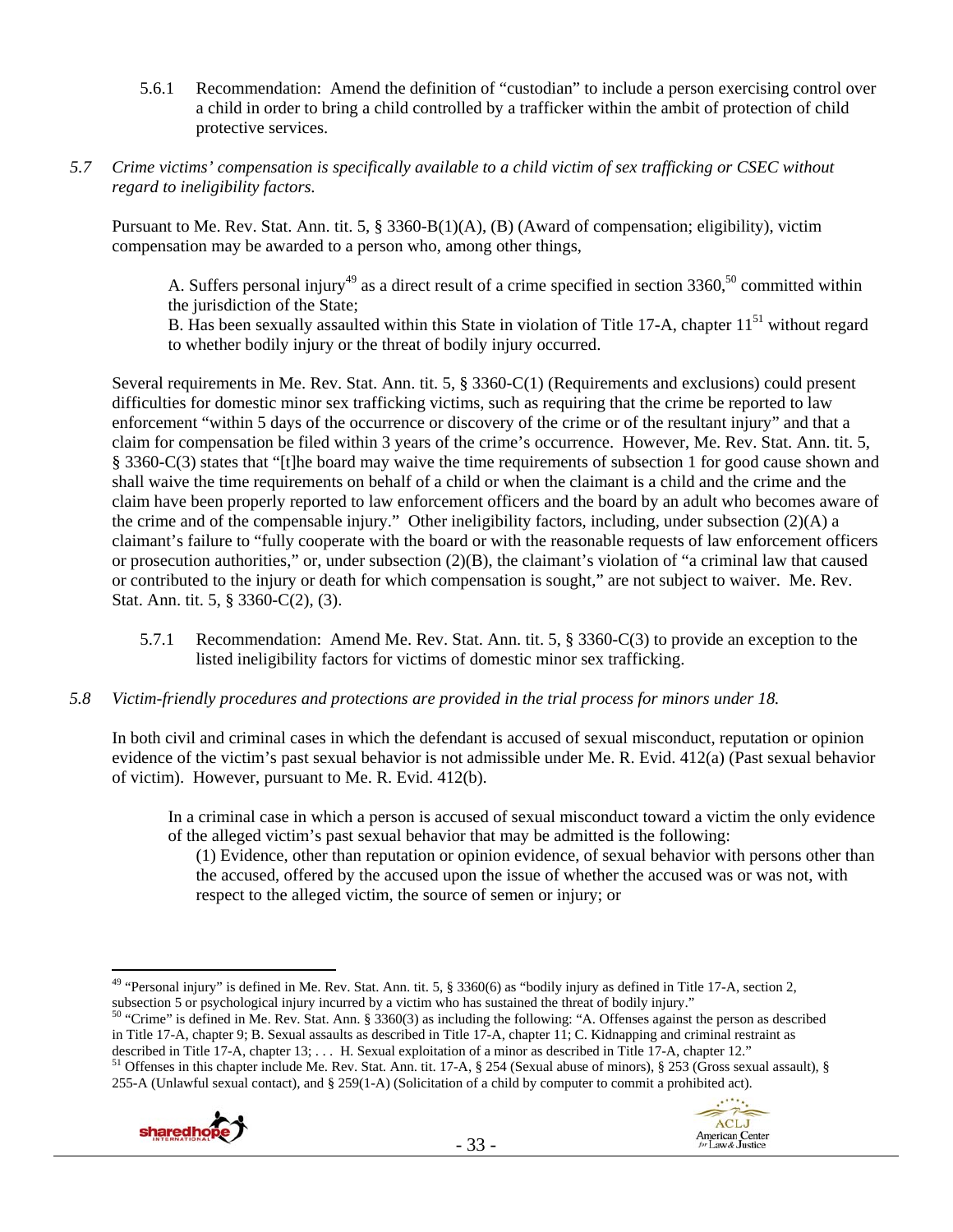- 5.6.1 Recommendation: Amend the definition of "custodian" to include a person exercising control over a child in order to bring a child controlled by a trafficker within the ambit of protection of child protective services.
- *5.7 Crime victims' compensation is specifically available to a child victim of sex trafficking or CSEC without regard to ineligibility factors.*

Pursuant to Me. Rev. Stat. Ann. tit. 5, § 3360-B(1)(A), (B) (Award of compensation; eligibility), victim compensation may be awarded to a person who, among other things,

A. Suffers personal injury<sup>49</sup> as a direct result of a crime specified in section  $3360$ ,<sup>50</sup> committed within the jurisdiction of the State;

B. Has been sexually assaulted within this State in violation of Title 17-A, chapter  $11<sup>51</sup>$  without regard to whether bodily injury or the threat of bodily injury occurred.

Several requirements in Me. Rev. Stat. Ann. tit. 5, § 3360-C(1) (Requirements and exclusions) could present difficulties for domestic minor sex trafficking victims, such as requiring that the crime be reported to law enforcement "within 5 days of the occurrence or discovery of the crime or of the resultant injury" and that a claim for compensation be filed within 3 years of the crime's occurrence. However, Me. Rev. Stat. Ann. tit. 5, § 3360-C(3) states that "[t]he board may waive the time requirements of subsection 1 for good cause shown and shall waive the time requirements on behalf of a child or when the claimant is a child and the crime and the claim have been properly reported to law enforcement officers and the board by an adult who becomes aware of the crime and of the compensable injury." Other ineligibility factors, including, under subsection (2)(A) a claimant's failure to "fully cooperate with the board or with the reasonable requests of law enforcement officers or prosecution authorities," or, under subsection  $(2)(B)$ , the claimant's violation of "a criminal law that caused or contributed to the injury or death for which compensation is sought," are not subject to waiver. Me. Rev. Stat. Ann. tit. 5, § 3360-C(2), (3).

- 5.7.1 Recommendation: Amend Me. Rev. Stat. Ann. tit. 5, § 3360-C(3) to provide an exception to the listed ineligibility factors for victims of domestic minor sex trafficking.
- *5.8 Victim-friendly procedures and protections are provided in the trial process for minors under 18.*

In both civil and criminal cases in which the defendant is accused of sexual misconduct, reputation or opinion evidence of the victim's past sexual behavior is not admissible under Me. R. Evid. 412(a) (Past sexual behavior of victim). However, pursuant to Me. R. Evid. 412(b).

In a criminal case in which a person is accused of sexual misconduct toward a victim the only evidence of the alleged victim's past sexual behavior that may be admitted is the following:

(1) Evidence, other than reputation or opinion evidence, of sexual behavior with persons other than the accused, offered by the accused upon the issue of whether the accused was or was not, with respect to the alleged victim, the source of semen or injury; or

in Title 17-A, chapter 9; B. Sexual assaults as described in Title 17-A, chapter 11; C. Kidnapping and criminal restraint as described in Title 17-A, chapter 12."

<sup>&</sup>lt;sup>51</sup> Offenses in this chapter include Me. Rev. Stat. Ann. tit. 17-A, § 254 (Sexual abuse of minors), § 253 (Gross sexual assault), § 255-A (Unlawful sexual contact), and § 259(1-A) (Solicitation of a child by computer to commit a prohibited act).





<sup>&</sup>lt;sup>49</sup> "Personal injury" is defined in Me. Rev. Stat. Ann. tit. 5,  $\S 3360(6)$  as "bodily injury as defined in Title 17-A, section 2, subsection 5 or psychological injury incurred by a victim who has sustained the threat of bodily injury."<br><sup>50</sup> "Crime" is defined in Me. Rev. Stat. Ann. § 3360(3) as including the following: "A. Offenses against the person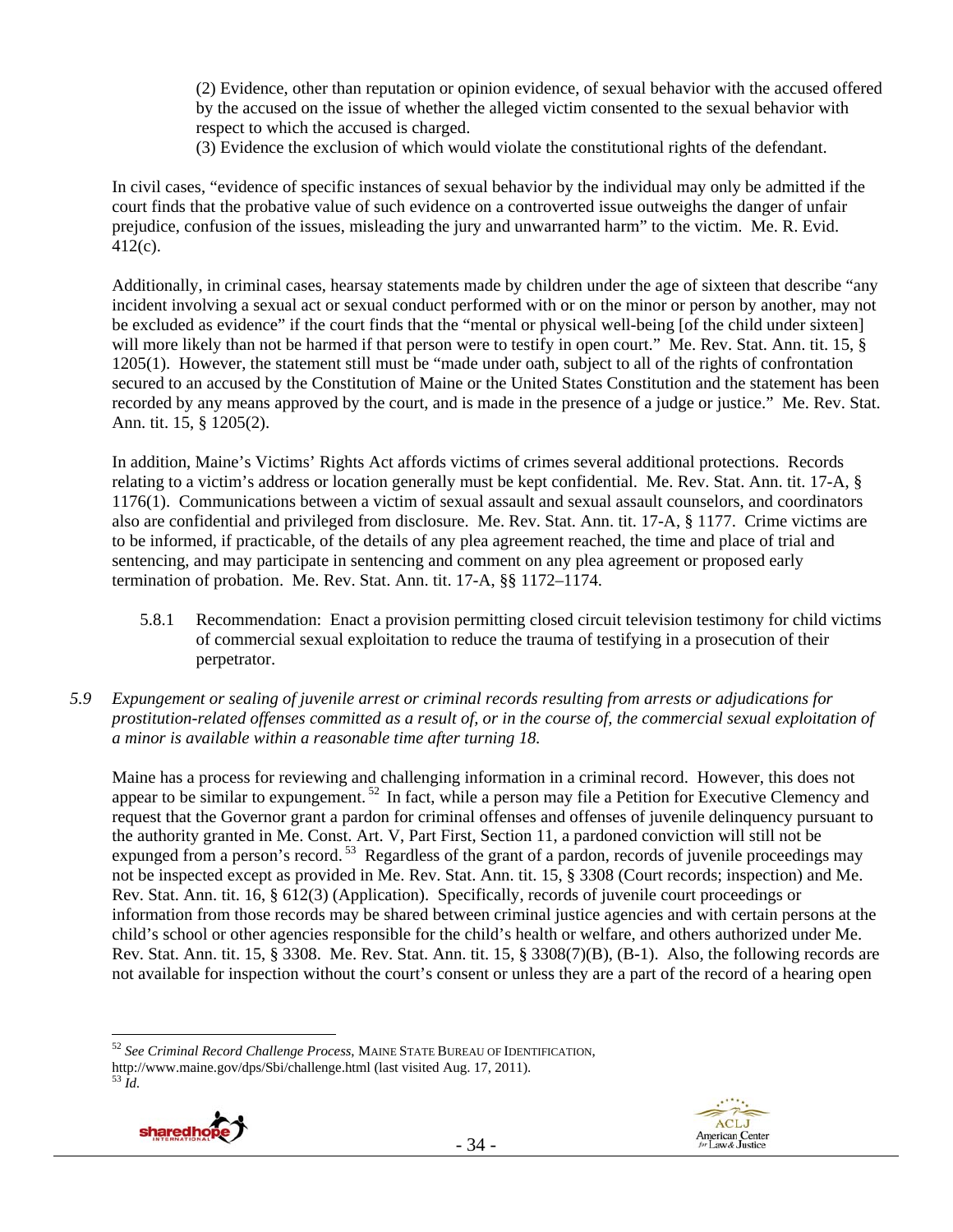(2) Evidence, other than reputation or opinion evidence, of sexual behavior with the accused offered by the accused on the issue of whether the alleged victim consented to the sexual behavior with respect to which the accused is charged.

(3) Evidence the exclusion of which would violate the constitutional rights of the defendant.

In civil cases, "evidence of specific instances of sexual behavior by the individual may only be admitted if the court finds that the probative value of such evidence on a controverted issue outweighs the danger of unfair prejudice, confusion of the issues, misleading the jury and unwarranted harm" to the victim. Me. R. Evid. 412(c).

Additionally, in criminal cases, hearsay statements made by children under the age of sixteen that describe "any incident involving a sexual act or sexual conduct performed with or on the minor or person by another, may not be excluded as evidence" if the court finds that the "mental or physical well-being [of the child under sixteen] will more likely than not be harmed if that person were to testify in open court." Me. Rev. Stat. Ann. tit. 15, § 1205(1). However, the statement still must be "made under oath, subject to all of the rights of confrontation secured to an accused by the Constitution of Maine or the United States Constitution and the statement has been recorded by any means approved by the court, and is made in the presence of a judge or justice." Me. Rev. Stat. Ann. tit. 15, § 1205(2).

In addition, Maine's Victims' Rights Act affords victims of crimes several additional protections. Records relating to a victim's address or location generally must be kept confidential. Me. Rev. Stat. Ann. tit. 17-A, § 1176(1). Communications between a victim of sexual assault and sexual assault counselors, and coordinators also are confidential and privileged from disclosure. Me. Rev. Stat. Ann. tit. 17-A, § 1177. Crime victims are to be informed, if practicable, of the details of any plea agreement reached, the time and place of trial and sentencing, and may participate in sentencing and comment on any plea agreement or proposed early termination of probation. Me. Rev. Stat. Ann. tit. 17-A, §§ 1172–1174.

- 5.8.1 Recommendation: Enact a provision permitting closed circuit television testimony for child victims of commercial sexual exploitation to reduce the trauma of testifying in a prosecution of their perpetrator.
- *5.9 Expungement or sealing of juvenile arrest or criminal records resulting from arrests or adjudications for prostitution-related offenses committed as a result of, or in the course of, the commercial sexual exploitation of a minor is available within a reasonable time after turning 18.*

Maine has a process for reviewing and challenging information in a criminal record. However, this does not appear to be similar to expungement. 52 In fact, while a person may file a Petition for Executive Clemency and request that the Governor grant a pardon for criminal offenses and offenses of juvenile delinquency pursuant to the authority granted in Me. Const. Art. V, Part First, Section 11, a pardoned conviction will still not be expunged from a person's record.<sup>53</sup> Regardless of the grant of a pardon, records of juvenile proceedings may not be inspected except as provided in Me. Rev. Stat. Ann. tit. 15, § 3308 (Court records; inspection) and Me. Rev. Stat. Ann. tit. 16, § 612(3) (Application). Specifically, records of juvenile court proceedings or information from those records may be shared between criminal justice agencies and with certain persons at the child's school or other agencies responsible for the child's health or welfare, and others authorized under Me. Rev. Stat. Ann. tit. 15, § 3308. Me. Rev. Stat. Ann. tit. 15, § 3308(7)(B), (B-1). Also, the following records are not available for inspection without the court's consent or unless they are a part of the record of a hearing open

 $\overline{a}$ <sup>52</sup> *See Criminal Record Challenge Process*, MAINE STATE BUREAU OF IDENTIFICATION, http://www.maine.gov/dps/Sbi/challenge.html (last visited Aug. 17, 2011). 53 *Id.*



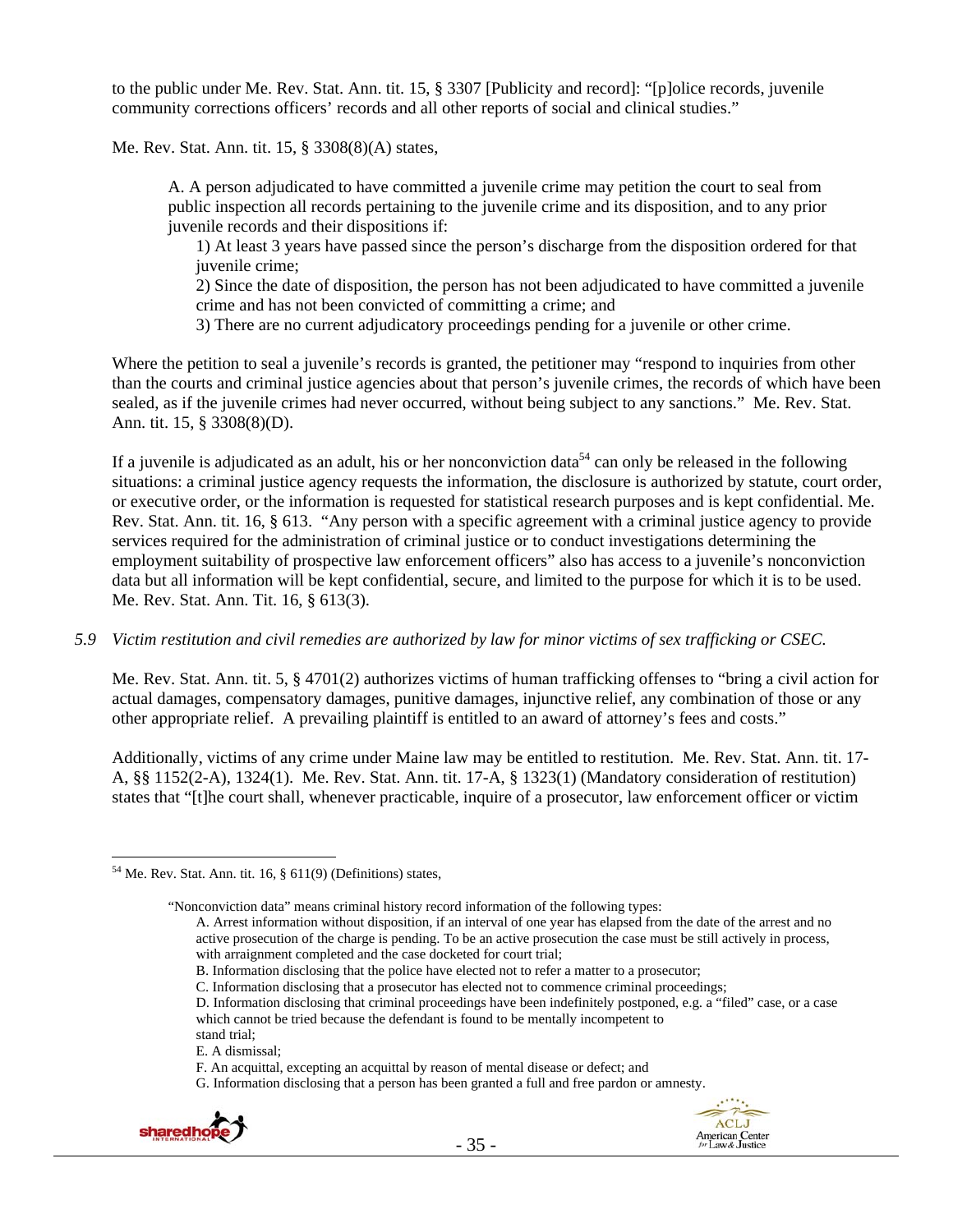to the public under Me. Rev. Stat. Ann. tit. 15, § 3307 [Publicity and record]: "[p]olice records, juvenile community corrections officers' records and all other reports of social and clinical studies."

Me. Rev. Stat. Ann. tit. 15, § 3308(8)(A) states,

A. A person adjudicated to have committed a juvenile crime may petition the court to seal from public inspection all records pertaining to the juvenile crime and its disposition, and to any prior juvenile records and their dispositions if:

1) At least 3 years have passed since the person's discharge from the disposition ordered for that juvenile crime;

2) Since the date of disposition, the person has not been adjudicated to have committed a juvenile crime and has not been convicted of committing a crime; and

3) There are no current adjudicatory proceedings pending for a juvenile or other crime.

Where the petition to seal a juvenile's records is granted, the petitioner may "respond to inquiries from other than the courts and criminal justice agencies about that person's juvenile crimes, the records of which have been sealed, as if the juvenile crimes had never occurred, without being subject to any sanctions." Me. Rev. Stat. Ann. tit. 15, § 3308(8)(D).

If a juvenile is adjudicated as an adult, his or her nonconviction data<sup>54</sup> can only be released in the following situations: a criminal justice agency requests the information, the disclosure is authorized by statute, court order, or executive order, or the information is requested for statistical research purposes and is kept confidential. Me. Rev. Stat. Ann. tit. 16, § 613. "Any person with a specific agreement with a criminal justice agency to provide services required for the administration of criminal justice or to conduct investigations determining the employment suitability of prospective law enforcement officers" also has access to a juvenile's nonconviction data but all information will be kept confidential, secure, and limited to the purpose for which it is to be used. Me. Rev. Stat. Ann. Tit. 16, § 613(3).

#### *5.9 Victim restitution and civil remedies are authorized by law for minor victims of sex trafficking or CSEC.*

Me. Rev. Stat. Ann. tit. 5, § 4701(2) authorizes victims of human trafficking offenses to "bring a civil action for actual damages, compensatory damages, punitive damages, injunctive relief, any combination of those or any other appropriate relief. A prevailing plaintiff is entitled to an award of attorney's fees and costs."

Additionally, victims of any crime under Maine law may be entitled to restitution. Me. Rev. Stat. Ann. tit. 17- A, §§ 1152(2-A), 1324(1). Me. Rev. Stat. Ann. tit. 17-A, § 1323(1) (Mandatory consideration of restitution) states that "[t]he court shall, whenever practicable, inquire of a prosecutor, law enforcement officer or victim

"Nonconviction data" means criminal history record information of the following types:

G. Information disclosing that a person has been granted a full and free pardon or amnesty.





 $54$  Me. Rev. Stat. Ann. tit. 16,  $\S$  611(9) (Definitions) states,

A. Arrest information without disposition, if an interval of one year has elapsed from the date of the arrest and no active prosecution of the charge is pending. To be an active prosecution the case must be still actively in process, with arraignment completed and the case docketed for court trial;

B. Information disclosing that the police have elected not to refer a matter to a prosecutor;

C. Information disclosing that a prosecutor has elected not to commence criminal proceedings;

D. Information disclosing that criminal proceedings have been indefinitely postponed, e.g. a "filed" case, or a case which cannot be tried because the defendant is found to be mentally incompetent to

stand trial; E. A dismissal;

F. An acquittal, excepting an acquittal by reason of mental disease or defect; and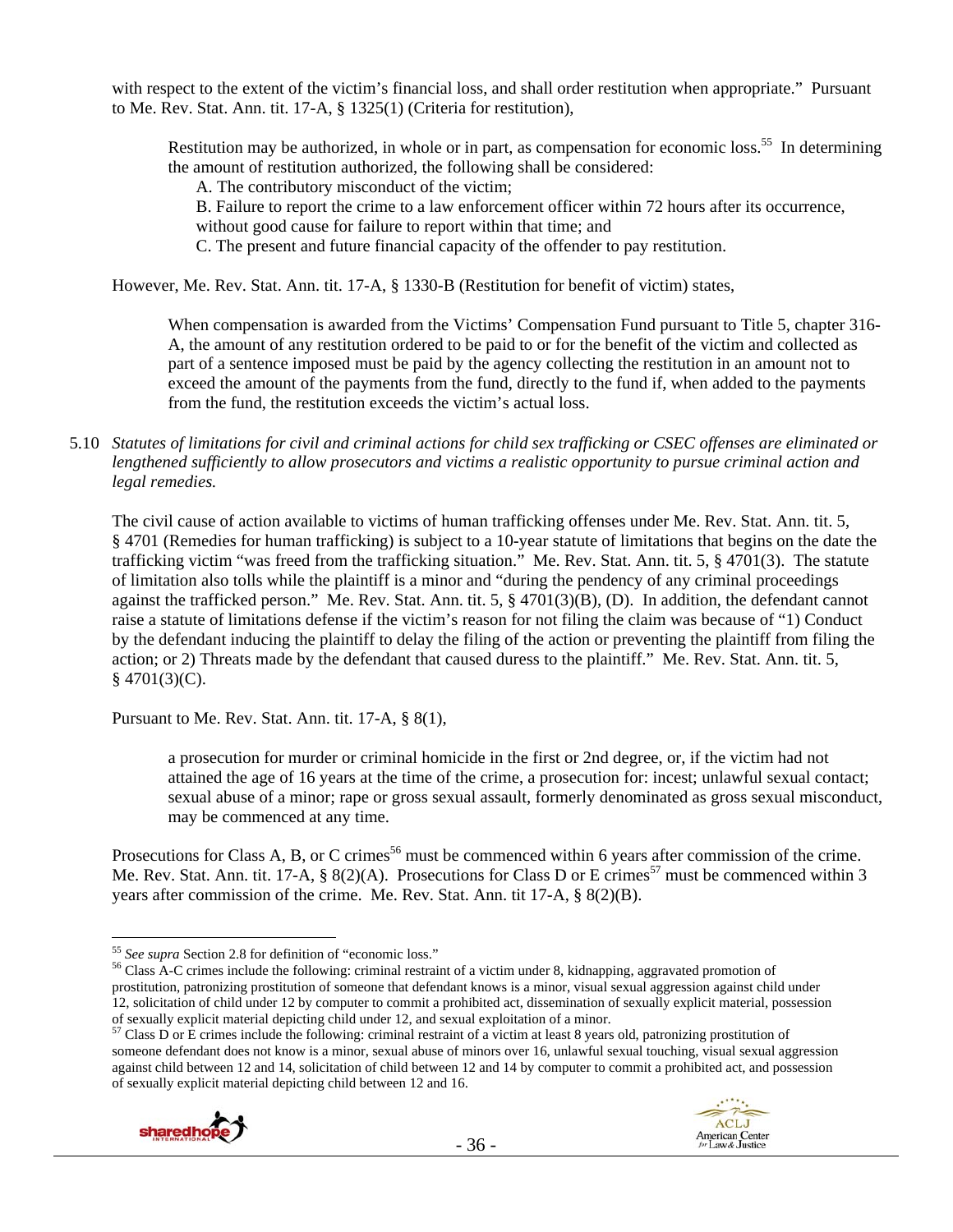with respect to the extent of the victim's financial loss, and shall order restitution when appropriate." Pursuant to Me. Rev. Stat. Ann. tit. 17-A, § 1325(1) (Criteria for restitution),

Restitution may be authorized, in whole or in part, as compensation for economic loss.<sup>55</sup> In determining the amount of restitution authorized, the following shall be considered:

A. The contributory misconduct of the victim;

B. Failure to report the crime to a law enforcement officer within 72 hours after its occurrence,

without good cause for failure to report within that time; and

C. The present and future financial capacity of the offender to pay restitution.

However, Me. Rev. Stat. Ann. tit. 17-A, § 1330-B (Restitution for benefit of victim) states,

When compensation is awarded from the Victims' Compensation Fund pursuant to Title 5, chapter 316- A, the amount of any restitution ordered to be paid to or for the benefit of the victim and collected as part of a sentence imposed must be paid by the agency collecting the restitution in an amount not to exceed the amount of the payments from the fund, directly to the fund if, when added to the payments from the fund, the restitution exceeds the victim's actual loss.

5.10 *Statutes of limitations for civil and criminal actions for child sex trafficking or CSEC offenses are eliminated or lengthened sufficiently to allow prosecutors and victims a realistic opportunity to pursue criminal action and legal remedies.*

The civil cause of action available to victims of human trafficking offenses under Me. Rev. Stat. Ann. tit. 5, § 4701 (Remedies for human trafficking) is subject to a 10-year statute of limitations that begins on the date the trafficking victim "was freed from the trafficking situation." Me. Rev. Stat. Ann. tit. 5, § 4701(3). The statute of limitation also tolls while the plaintiff is a minor and "during the pendency of any criminal proceedings against the trafficked person." Me. Rev. Stat. Ann. tit. 5, § 4701(3)(B), (D). In addition, the defendant cannot raise a statute of limitations defense if the victim's reason for not filing the claim was because of "1) Conduct by the defendant inducing the plaintiff to delay the filing of the action or preventing the plaintiff from filing the action; or 2) Threats made by the defendant that caused duress to the plaintiff." Me. Rev. Stat. Ann. tit. 5,  $§$  4701(3)(C).

Pursuant to Me. Rev. Stat. Ann. tit. 17-A, § 8(1),

a prosecution for murder or criminal homicide in the first or 2nd degree, or, if the victim had not attained the age of 16 years at the time of the crime, a prosecution for: incest; unlawful sexual contact; sexual abuse of a minor; rape or gross sexual assault, formerly denominated as gross sexual misconduct, may be commenced at any time.

Prosecutions for Class A, B, or C crimes<sup>56</sup> must be commenced within 6 years after commission of the crime. Me. Rev. Stat. Ann. tit. 17-A, § 8(2)(A). Prosecutions for Class D or E crimes<sup>57</sup> must be commenced within 3 years after commission of the crime. Me. Rev. Stat. Ann. tit 17-A, § 8(2)(B).

someone defendant does not know is a minor, sexual abuse of minors over 16, unlawful sexual touching, visual sexual aggression against child between 12 and 14, solicitation of child between 12 and 14 by computer to commit a prohibited act, and possession of sexually explicit material depicting child between 12 and 16.



<sup>&</sup>lt;sup>55</sup> See supra Section 2.8 for definition of "economic loss."

<sup>&</sup>lt;sup>56</sup> Class A-C crimes include the following: criminal restraint of a victim under 8, kidnapping, aggravated promotion of prostitution, patronizing prostitution of someone that defendant knows is a minor, visual sexual aggression against child under 12, solicitation of child under 12 by computer to commit a prohibited act, dissemination of sexually explicit material, possession of sexually explicit material depicting child under 12, and sexual exploitation of a minor.<br><sup>57</sup> Class D or E crimes include the following: criminal restraint of a victim at least 8 years old, patronizing prostitution of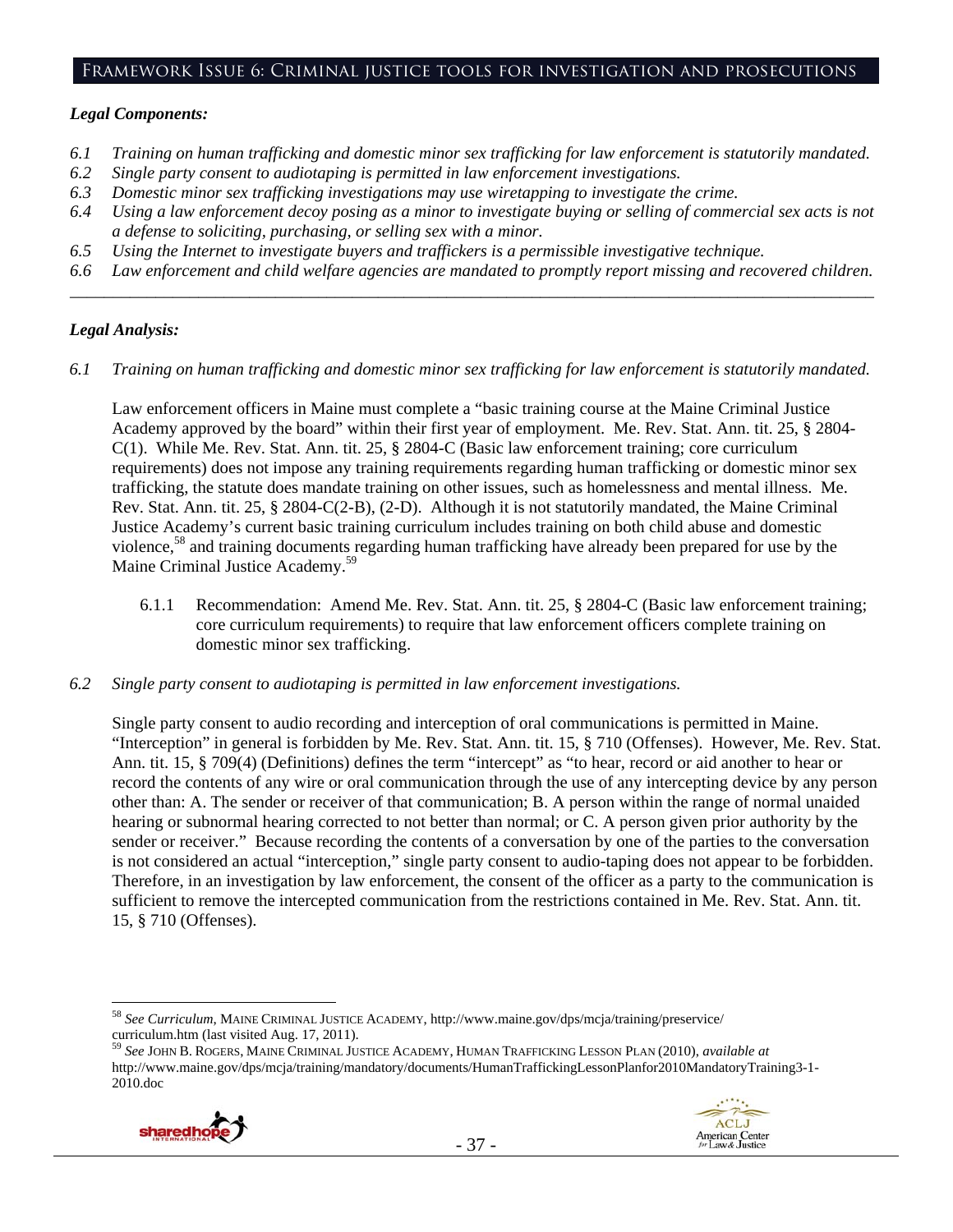#### Framework Issue 6: Criminal justice tools for investigation and prosecutions

#### *Legal Components:*

- *6.1 Training on human trafficking and domestic minor sex trafficking for law enforcement is statutorily mandated.*
- *6.2 Single party consent to audiotaping is permitted in law enforcement investigations.*
- *6.3 Domestic minor sex trafficking investigations may use wiretapping to investigate the crime.*
- *6.4 Using a law enforcement decoy posing as a minor to investigate buying or selling of commercial sex acts is not a defense to soliciting, purchasing, or selling sex with a minor.*
- *6.5 Using the Internet to investigate buyers and traffickers is a permissible investigative technique.*
- *6.6 Law enforcement and child welfare agencies are mandated to promptly report missing and recovered children. \_\_\_\_\_\_\_\_\_\_\_\_\_\_\_\_\_\_\_\_\_\_\_\_\_\_\_\_\_\_\_\_\_\_\_\_\_\_\_\_\_\_\_\_\_\_\_\_\_\_\_\_\_\_\_\_\_\_\_\_\_\_\_\_\_\_\_\_\_\_\_\_\_\_\_\_\_\_\_\_\_\_\_\_\_\_\_\_\_\_\_\_\_\_*

## *Legal Analysis:*

*6.1 Training on human trafficking and domestic minor sex trafficking for law enforcement is statutorily mandated.*

Law enforcement officers in Maine must complete a "basic training course at the Maine Criminal Justice Academy approved by the board" within their first year of employment. Me. Rev. Stat. Ann. tit. 25, § 2804- C(1). While Me. Rev. Stat. Ann. tit. 25, § 2804-C (Basic law enforcement training; core curriculum requirements) does not impose any training requirements regarding human trafficking or domestic minor sex trafficking, the statute does mandate training on other issues, such as homelessness and mental illness. Me. Rev. Stat. Ann. tit. 25, § 2804-C(2-B), (2-D). Although it is not statutorily mandated, the Maine Criminal Justice Academy's current basic training curriculum includes training on both child abuse and domestic violence,58 and training documents regarding human trafficking have already been prepared for use by the Maine Criminal Justice Academy.<sup>59</sup>

- 6.1.1 Recommendation: Amend Me. Rev. Stat. Ann. tit. 25, § 2804-C (Basic law enforcement training; core curriculum requirements) to require that law enforcement officers complete training on domestic minor sex trafficking.
- *6.2 Single party consent to audiotaping is permitted in law enforcement investigations.*

Single party consent to audio recording and interception of oral communications is permitted in Maine. "Interception" in general is forbidden by Me. Rev. Stat. Ann. tit. 15, § 710 (Offenses). However, Me. Rev. Stat. Ann. tit. 15, § 709(4) (Definitions) defines the term "intercept" as "to hear, record or aid another to hear or record the contents of any wire or oral communication through the use of any intercepting device by any person other than: A. The sender or receiver of that communication; B. A person within the range of normal unaided hearing or subnormal hearing corrected to not better than normal; or C. A person given prior authority by the sender or receiver." Because recording the contents of a conversation by one of the parties to the conversation is not considered an actual "interception," single party consent to audio-taping does not appear to be forbidden. Therefore, in an investigation by law enforcement, the consent of the officer as a party to the communication is sufficient to remove the intercepted communication from the restrictions contained in Me. Rev. Stat. Ann. tit. 15, § 710 (Offenses).

<sup>59</sup> *See* JOHN B. ROGERS, MAINE CRIMINAL JUSTICE ACADEMY, HUMAN TRAFFICKING LESSON PLAN (2010), *available at* http://www.maine.gov/dps/mcja/training/mandatory/documents/HumanTraffickingLessonPlanfor2010MandatoryTraining3-1- 2010.doc





<sup>58</sup> *See Curriculum*, MAINE CRIMINAL JUSTICE ACADEMY, http://www.maine.gov/dps/mcja/training/preservice/ curriculum.htm (last visited Aug. 17, 2011).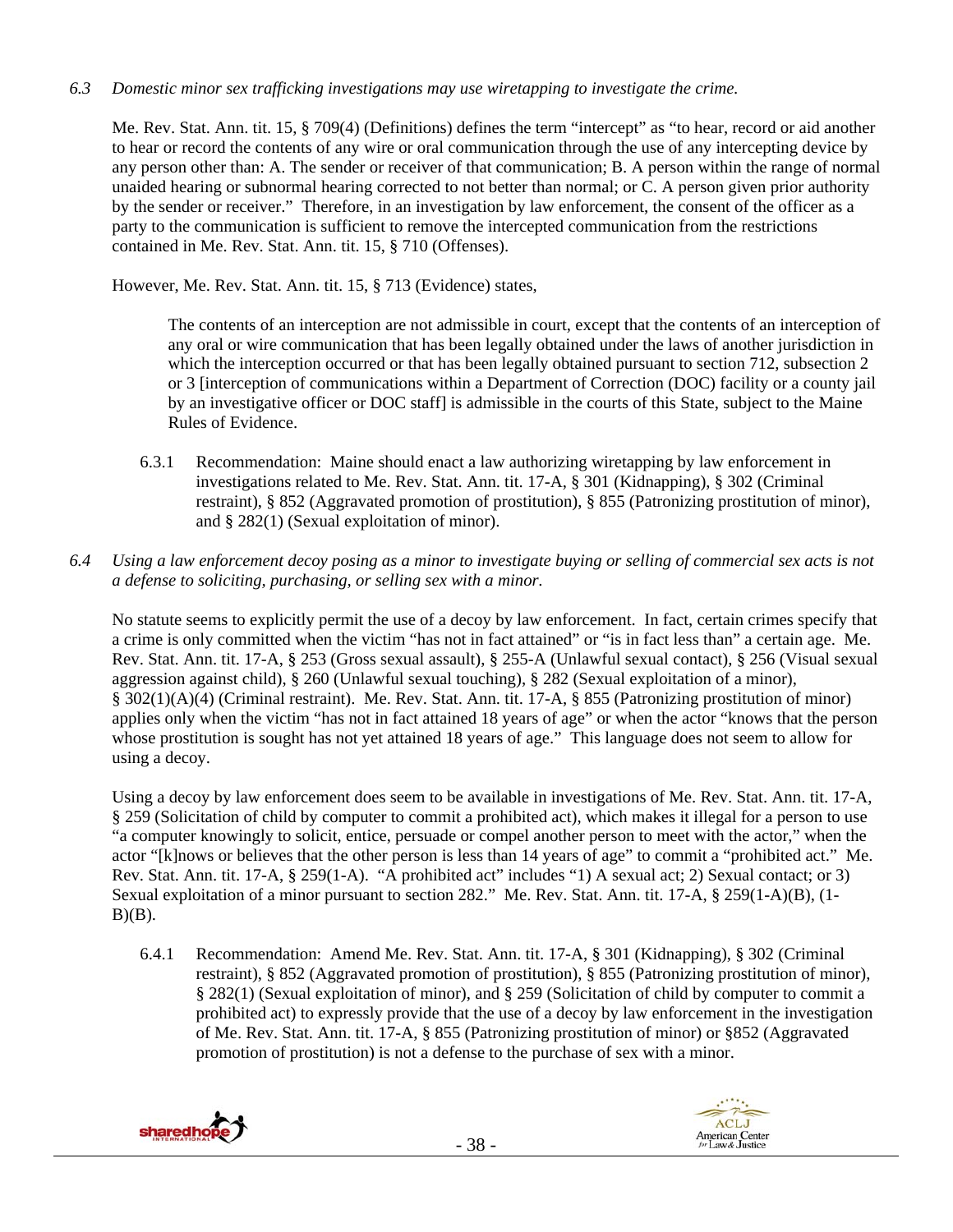*6.3 Domestic minor sex trafficking investigations may use wiretapping to investigate the crime.* 

Me. Rev. Stat. Ann. tit. 15, § 709(4) (Definitions) defines the term "intercept" as "to hear, record or aid another to hear or record the contents of any wire or oral communication through the use of any intercepting device by any person other than: A. The sender or receiver of that communication; B. A person within the range of normal unaided hearing or subnormal hearing corrected to not better than normal; or C. A person given prior authority by the sender or receiver." Therefore, in an investigation by law enforcement, the consent of the officer as a party to the communication is sufficient to remove the intercepted communication from the restrictions contained in Me. Rev. Stat. Ann. tit. 15, § 710 (Offenses).

However, Me. Rev. Stat. Ann. tit. 15, § 713 (Evidence) states,

The contents of an interception are not admissible in court, except that the contents of an interception of any oral or wire communication that has been legally obtained under the laws of another jurisdiction in which the interception occurred or that has been legally obtained pursuant to section 712, subsection 2 or 3 [interception of communications within a Department of Correction (DOC) facility or a county jail by an investigative officer or DOC staff] is admissible in the courts of this State, subject to the Maine Rules of Evidence.

- 6.3.1 Recommendation: Maine should enact a law authorizing wiretapping by law enforcement in investigations related to Me. Rev. Stat. Ann. tit. 17-A, § 301 (Kidnapping), § 302 (Criminal restraint), § 852 (Aggravated promotion of prostitution), § 855 (Patronizing prostitution of minor), and § 282(1) (Sexual exploitation of minor).
- *6.4 Using a law enforcement decoy posing as a minor to investigate buying or selling of commercial sex acts is not a defense to soliciting, purchasing, or selling sex with a minor.*

No statute seems to explicitly permit the use of a decoy by law enforcement. In fact, certain crimes specify that a crime is only committed when the victim "has not in fact attained" or "is in fact less than" a certain age. Me. Rev. Stat. Ann. tit. 17-A, § 253 (Gross sexual assault), § 255-A (Unlawful sexual contact), § 256 (Visual sexual aggression against child), § 260 (Unlawful sexual touching), § 282 (Sexual exploitation of a minor), § 302(1)(A)(4) (Criminal restraint). Me. Rev. Stat. Ann. tit. 17-A, § 855 (Patronizing prostitution of minor) applies only when the victim "has not in fact attained 18 years of age" or when the actor "knows that the person whose prostitution is sought has not yet attained 18 years of age." This language does not seem to allow for using a decoy.

Using a decoy by law enforcement does seem to be available in investigations of Me. Rev. Stat. Ann. tit. 17-A, § 259 (Solicitation of child by computer to commit a prohibited act), which makes it illegal for a person to use "a computer knowingly to solicit, entice, persuade or compel another person to meet with the actor," when the actor "[k]nows or believes that the other person is less than 14 years of age" to commit a "prohibited act." Me. Rev. Stat. Ann. tit. 17-A, § 259(1-A). "A prohibited act" includes "1) A sexual act; 2) Sexual contact; or 3) Sexual exploitation of a minor pursuant to section 282." Me. Rev. Stat. Ann. tit. 17-A, § 259(1-A)(B), (1-  $B)(B)$ .

6.4.1 Recommendation: Amend Me. Rev. Stat. Ann. tit. 17-A, § 301 (Kidnapping), § 302 (Criminal restraint), § 852 (Aggravated promotion of prostitution), § 855 (Patronizing prostitution of minor), § 282(1) (Sexual exploitation of minor), and § 259 (Solicitation of child by computer to commit a prohibited act) to expressly provide that the use of a decoy by law enforcement in the investigation of Me. Rev. Stat. Ann. tit. 17-A, § 855 (Patronizing prostitution of minor) or §852 (Aggravated promotion of prostitution) is not a defense to the purchase of sex with a minor.



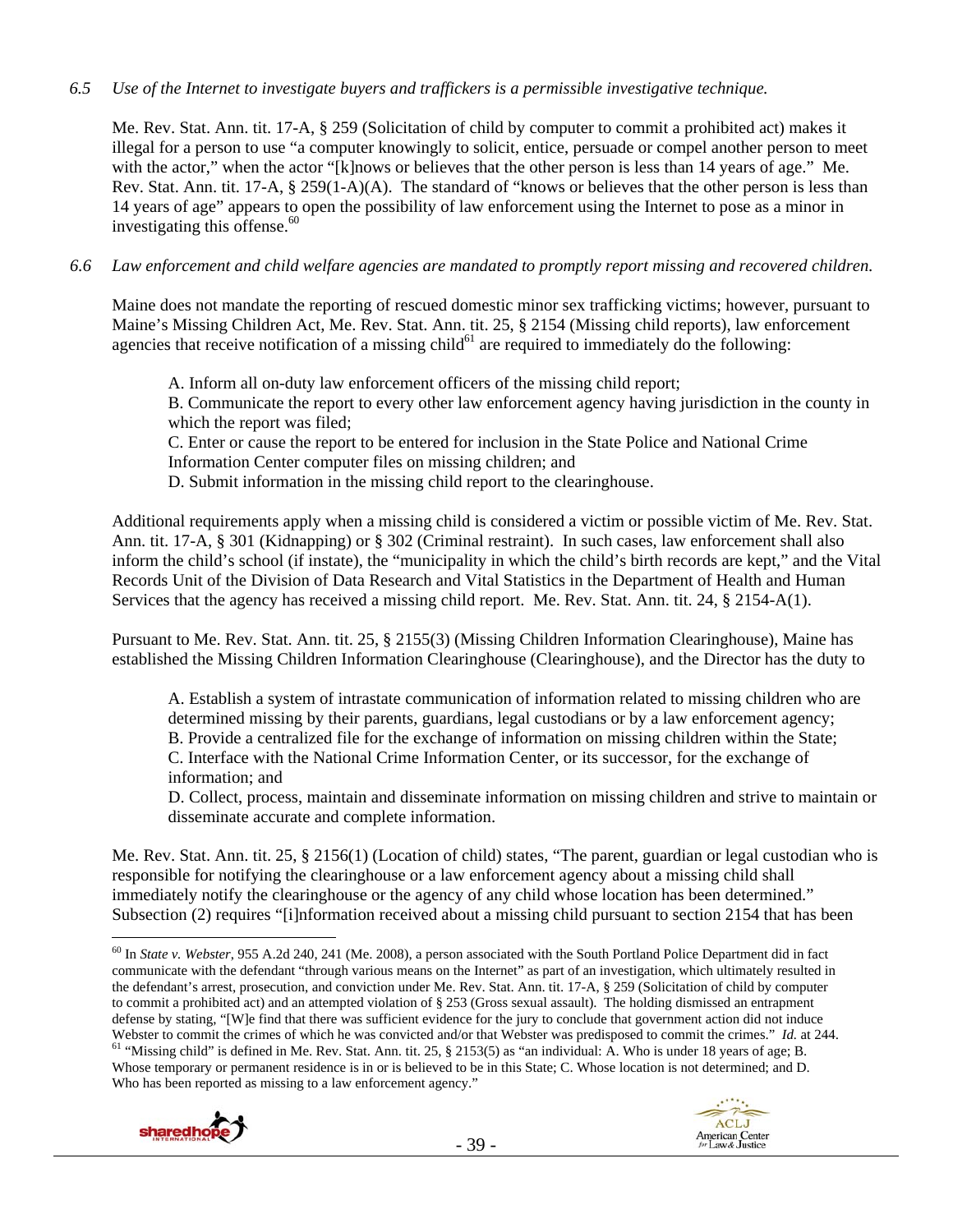### *6.5 Use of the Internet to investigate buyers and traffickers is a permissible investigative technique.*

Me. Rev. Stat. Ann. tit. 17-A, § 259 (Solicitation of child by computer to commit a prohibited act) makes it illegal for a person to use "a computer knowingly to solicit, entice, persuade or compel another person to meet with the actor," when the actor "[k]nows or believes that the other person is less than 14 years of age." Me. Rev. Stat. Ann. tit. 17-A, § 259(1-A)(A). The standard of "knows or believes that the other person is less than 14 years of age" appears to open the possibility of law enforcement using the Internet to pose as a minor in investigating this offense. $60$ 

## *6.6 Law enforcement and child welfare agencies are mandated to promptly report missing and recovered children.*

Maine does not mandate the reporting of rescued domestic minor sex trafficking victims; however, pursuant to Maine's Missing Children Act, Me. Rev. Stat. Ann. tit. 25, § 2154 (Missing child reports), law enforcement agencies that receive notification of a missing child $^{61}$  are required to immediately do the following:

A. Inform all on-duty law enforcement officers of the missing child report;

B. Communicate the report to every other law enforcement agency having jurisdiction in the county in which the report was filed;

C. Enter or cause the report to be entered for inclusion in the State Police and National Crime Information Center computer files on missing children; and

D. Submit information in the missing child report to the clearinghouse.

Additional requirements apply when a missing child is considered a victim or possible victim of Me. Rev. Stat. Ann. tit. 17-A, § 301 (Kidnapping) or § 302 (Criminal restraint). In such cases, law enforcement shall also inform the child's school (if instate), the "municipality in which the child's birth records are kept," and the Vital Records Unit of the Division of Data Research and Vital Statistics in the Department of Health and Human Services that the agency has received a missing child report. Me. Rev. Stat. Ann. tit. 24, § 2154-A(1).

Pursuant to Me. Rev. Stat. Ann. tit. 25, § 2155(3) (Missing Children Information Clearinghouse), Maine has established the Missing Children Information Clearinghouse (Clearinghouse), and the Director has the duty to

A. Establish a system of intrastate communication of information related to missing children who are determined missing by their parents, guardians, legal custodians or by a law enforcement agency; B. Provide a centralized file for the exchange of information on missing children within the State; C. Interface with the National Crime Information Center, or its successor, for the exchange of information; and

D. Collect, process, maintain and disseminate information on missing children and strive to maintain or disseminate accurate and complete information.

Me. Rev. Stat. Ann. tit. 25, § 2156(1) (Location of child) states, "The parent, guardian or legal custodian who is responsible for notifying the clearinghouse or a law enforcement agency about a missing child shall immediately notify the clearinghouse or the agency of any child whose location has been determined." Subsection (2) requires "[i]nformation received about a missing child pursuant to section 2154 that has been

<sup>60</sup> In *State v. Webster*, 955 A.2d 240, 241 (Me. 2008), a person associated with the South Portland Police Department did in fact communicate with the defendant "through various means on the Internet" as part of an investigation, which ultimately resulted in the defendant's arrest, prosecution, and conviction under Me. Rev. Stat. Ann. tit. 17-A, § 259 (Solicitation of child by computer to commit a prohibited act) and an attempted violation of § 253 (Gross sexual assault). The holding dismissed an entrapment defense by stating, "[W]e find that there was sufficient evidence for the jury to conclude that government action did not induce Webster to commit the crimes of which he was convicted and/or that Webster was predisposed to commit the crimes." Id. at 244.<br><sup>61</sup> "Missing child" is defined in Me. Rev. Stat. Ann. tit. 25, § 2153(5) as "an individual: A. Whose temporary or permanent residence is in or is believed to be in this State; C. Whose location is not determined; and D. Who has been reported as missing to a law enforcement agency."